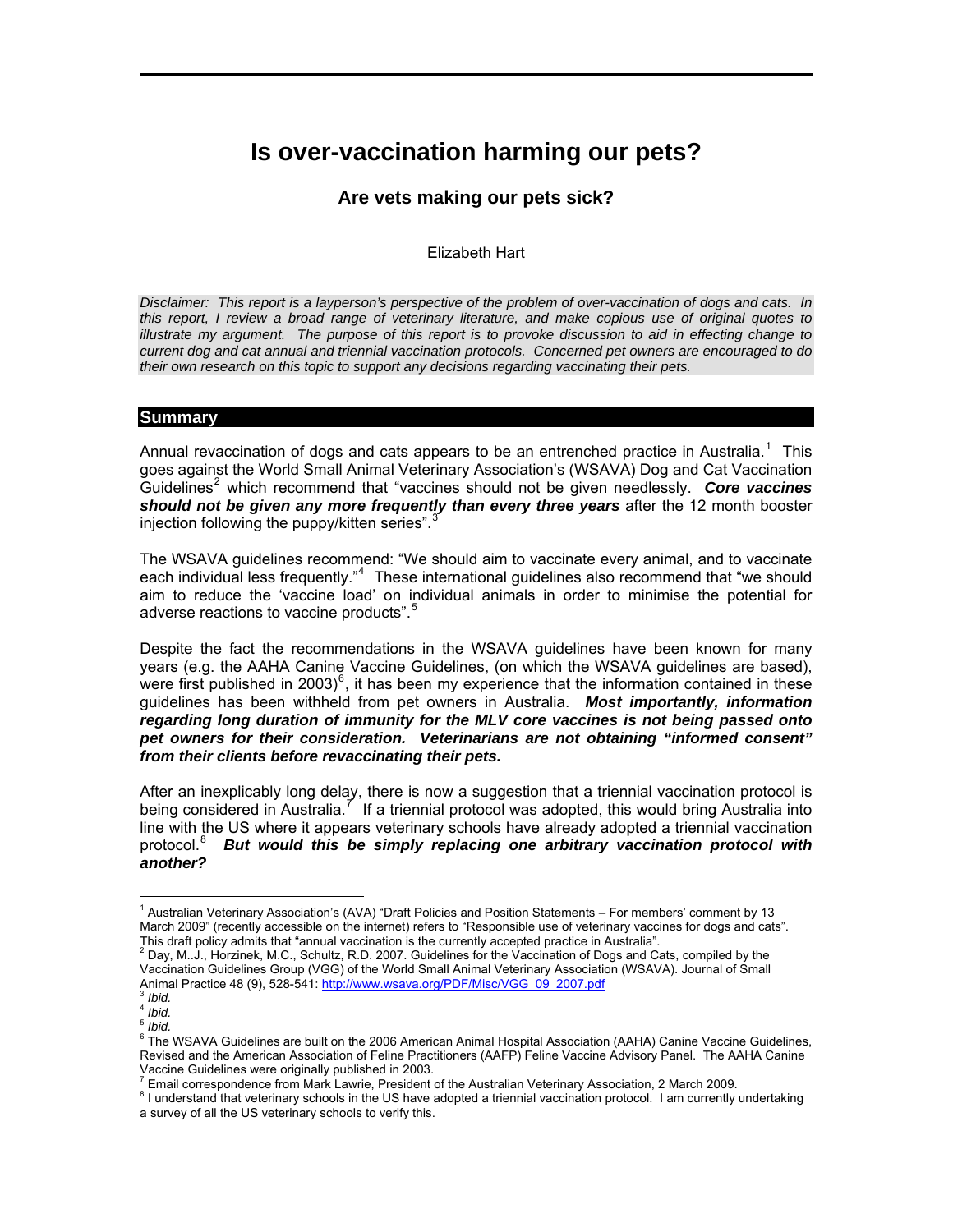# **Is over-vaccination harming our pets?**

 $\mathcal{L}_\mathcal{L} = \mathcal{L}_\mathcal{L} - \mathcal{L}_\mathcal{L}$ 

# **Are vets making our pets sick?**

## Elizabeth Hart

*Disclaimer: This report is a layperson's perspective of the problem of over-vaccination of dogs and cats. In this report, I review a broad range of veterinary literature, and make copious use of original quotes to illustrate my argument. The purpose of this report is to provoke discussion to aid in effecting change to current dog and cat annual and triennial vaccination protocols. Concerned pet owners are encouraged to do their own research on this topic to support any decisions regarding vaccinating their pets.* 

#### **Summary**

Annual revaccination of dogs and cats appears to be an entrenched practice in Australia.<sup>[1](#page-0-0)</sup> This goes against the World Small Animal Veterinary Association's (WSAVA) Dog and Cat Vaccination Guidelines<sup>[2](#page-0-1)</sup> which recommend that "vaccines should not be given needlessly. Core vaccines *should not be given any more frequently than every three years* after the 12 month booster injection following the puppy/kitten series". $3$ 

The WSAVA guidelines recommend: "We should aim to vaccinate every animal, and to vaccinate each individual less frequently."<sup>[4](#page-0-3)</sup> These international guidelines also recommend that "we should aim to reduce the 'vaccine load' on individual animals in order to minimise the potential for adverse reactions to vaccine products".<sup>[5](#page-0-4)</sup>

Despite the fact the recommendations in the WSAVA guidelines have been known for many years (e.g. the AAHA Canine Vaccine Guidelines, (on which the WSAVA guidelines are based), were first published in 2003)<sup>[6](#page-0-5)</sup>, it has been my experience that the information contained in these guidelines has been withheld from pet owners in Australia. *Most importantly, information regarding long duration of immunity for the MLV core vaccines is not being passed onto pet owners for their consideration. Veterinarians are not obtaining "informed consent" from their clients before revaccinating their pets.*

After an inexplicably long delay, there is now a suggestion that a triennial vaccination protocol is being considered in Australia.<sup>[7](#page-0-6)</sup> If a triennial protocol was adopted, this would bring Australia into line with the US where it appears veterinary schools have already adopted a triennial vaccination protocol.<sup>[8](#page-0-7)</sup> But would this be simply replacing one arbitrary vaccination protocol with *another?*

<span id="page-0-0"></span><sup>&</sup>lt;sup>1</sup> Australian Veterinary Association's (AVA) "Draft Policies and Position Statements – For members' comment by 13 March 2009" (recently accessible on the internet) refers to "Responsible use of veterinary vaccines for dogs and cats". This draft policy admits that "annual vaccination is the currently accepted practice in Australia". 2

<span id="page-0-1"></span><sup>2</sup> Day, M..J., Horzinek, M.C., Schultz, R.D. 2007. Guidelines for the Vaccination of Dogs and Cats, compiled by the Vaccination Guidelines Group (VGG) of the World Small Animal Veterinary Association (WSAVA). Journal of Small Animal Practice 48 (9), 528-541: [http://www.wsava.org/PDF/Misc/VGG\\_09\\_2007.pdf](http://www.wsava.org/PDF/Misc/VGG_09_2007.pdf) <sup>3</sup> *Ibid.*

<sup>4</sup> *Ibid.*

<span id="page-0-5"></span><span id="page-0-4"></span><span id="page-0-3"></span><span id="page-0-2"></span><sup>5</sup> *Ibid.*

<sup>&</sup>lt;sup>6</sup> The WSAVA Guidelines are built on the 2006 American Animal Hospital Association (AAHA) Canine Vaccine Guidelines, Revised and the American Association of Feline Practitioners (AAFP) Feline Vaccine Advisory Panel. The AAHA Canine

Vaccine Guidelines were originally published in 2003.<br><sup>7</sup> Email correspondence from Mark Lawrie, President of the Australian Veterinary Association, 2 March 2009.<br><sup>8</sup> Lunderstand that veterinary asheels in the US have adop

<span id="page-0-7"></span><span id="page-0-6"></span><sup>&</sup>lt;sup>8</sup> I understand that veterinary schools in the US have adopted a triennial vaccination protocol. I am currently undertaking a survey of all the US veterinary schools to verify this.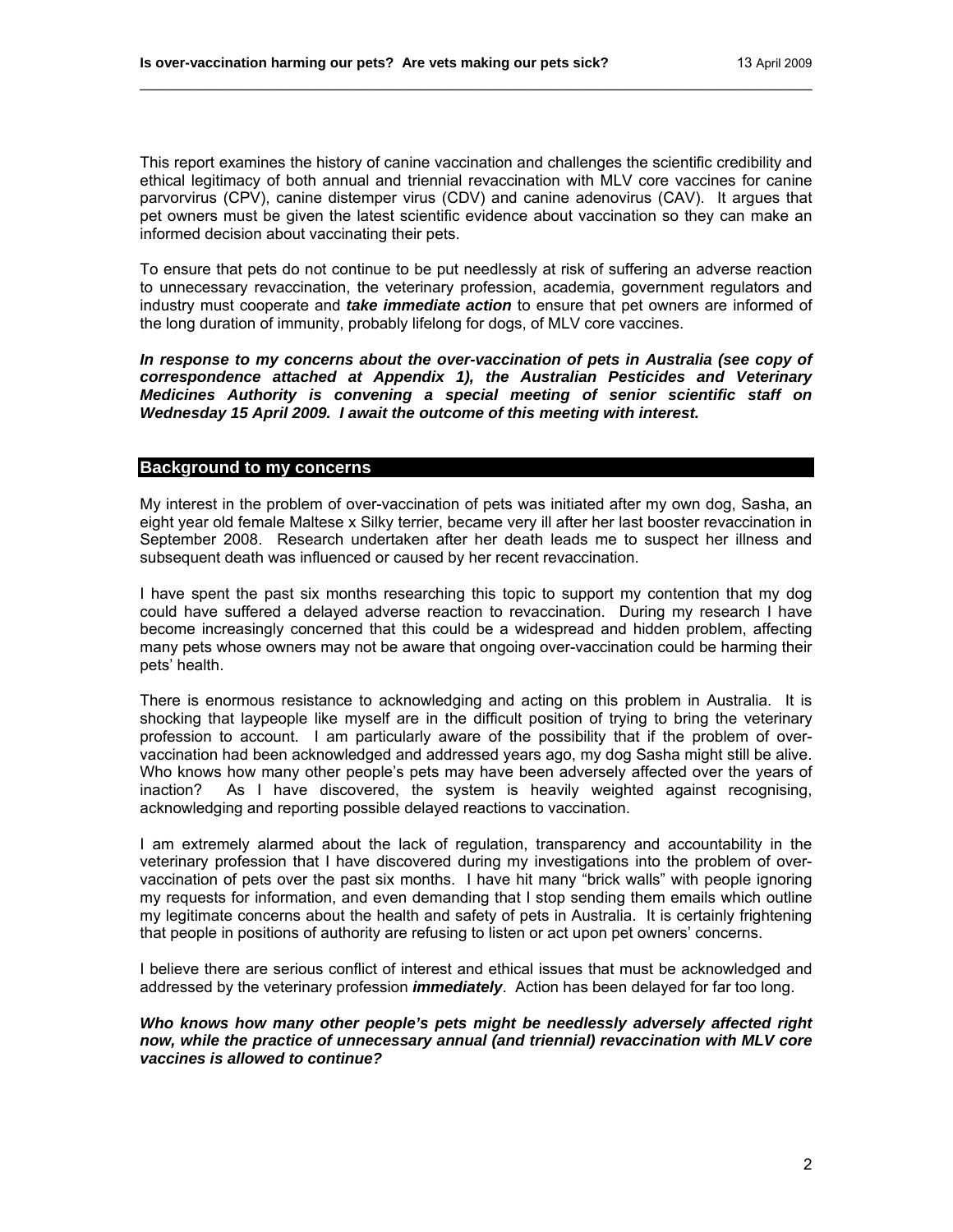This report examines the history of canine vaccination and challenges the scientific credibility and ethical legitimacy of both annual and triennial revaccination with MLV core vaccines for canine parvorvirus (CPV), canine distemper virus (CDV) and canine adenovirus (CAV). It argues that pet owners must be given the latest scientific evidence about vaccination so they can make an informed decision about vaccinating their pets.

\_\_\_\_\_\_\_\_\_\_\_\_\_\_\_\_\_\_\_\_\_\_\_\_\_\_\_\_\_\_\_\_\_\_\_\_\_\_\_\_\_\_\_\_\_\_\_\_\_\_\_\_\_\_\_\_\_\_\_\_\_\_\_\_\_\_\_\_\_\_\_\_

To ensure that pets do not continue to be put needlessly at risk of suffering an adverse reaction to unnecessary revaccination, the veterinary profession, academia, government regulators and industry must cooperate and *take immediate action* to ensure that pet owners are informed of the long duration of immunity, probably lifelong for dogs, of MLV core vaccines.

*In response to my concerns about the over-vaccination of pets in Australia (see copy of correspondence attached at Appendix 1), the Australian Pesticides and Veterinary Medicines Authority is convening a special meeting of senior scientific staff on Wednesday 15 April 2009. I await the outcome of this meeting with interest.* 

## **Background to my concerns**

My interest in the problem of over-vaccination of pets was initiated after my own dog, Sasha, an eight year old female Maltese x Silky terrier, became very ill after her last booster revaccination in September 2008. Research undertaken after her death leads me to suspect her illness and subsequent death was influenced or caused by her recent revaccination.

I have spent the past six months researching this topic to support my contention that my dog could have suffered a delayed adverse reaction to revaccination. During my research I have become increasingly concerned that this could be a widespread and hidden problem, affecting many pets whose owners may not be aware that ongoing over-vaccination could be harming their pets' health.

There is enormous resistance to acknowledging and acting on this problem in Australia. It is shocking that laypeople like myself are in the difficult position of trying to bring the veterinary profession to account. I am particularly aware of the possibility that if the problem of overvaccination had been acknowledged and addressed years ago, my dog Sasha might still be alive. Who knows how many other people's pets may have been adversely affected over the years of inaction? As I have discovered, the system is heavily weighted against recognising, acknowledging and reporting possible delayed reactions to vaccination.

I am extremely alarmed about the lack of regulation, transparency and accountability in the veterinary profession that I have discovered during my investigations into the problem of overvaccination of pets over the past six months. I have hit many "brick walls" with people ignoring my requests for information, and even demanding that I stop sending them emails which outline my legitimate concerns about the health and safety of pets in Australia. It is certainly frightening that people in positions of authority are refusing to listen or act upon pet owners' concerns.

I believe there are serious conflict of interest and ethical issues that must be acknowledged and addressed by the veterinary profession *immediately*. Action has been delayed for far too long.

*Who knows how many other people's pets might be needlessly adversely affected right now, while the practice of unnecessary annual (and triennial) revaccination with MLV core vaccines is allowed to continue?*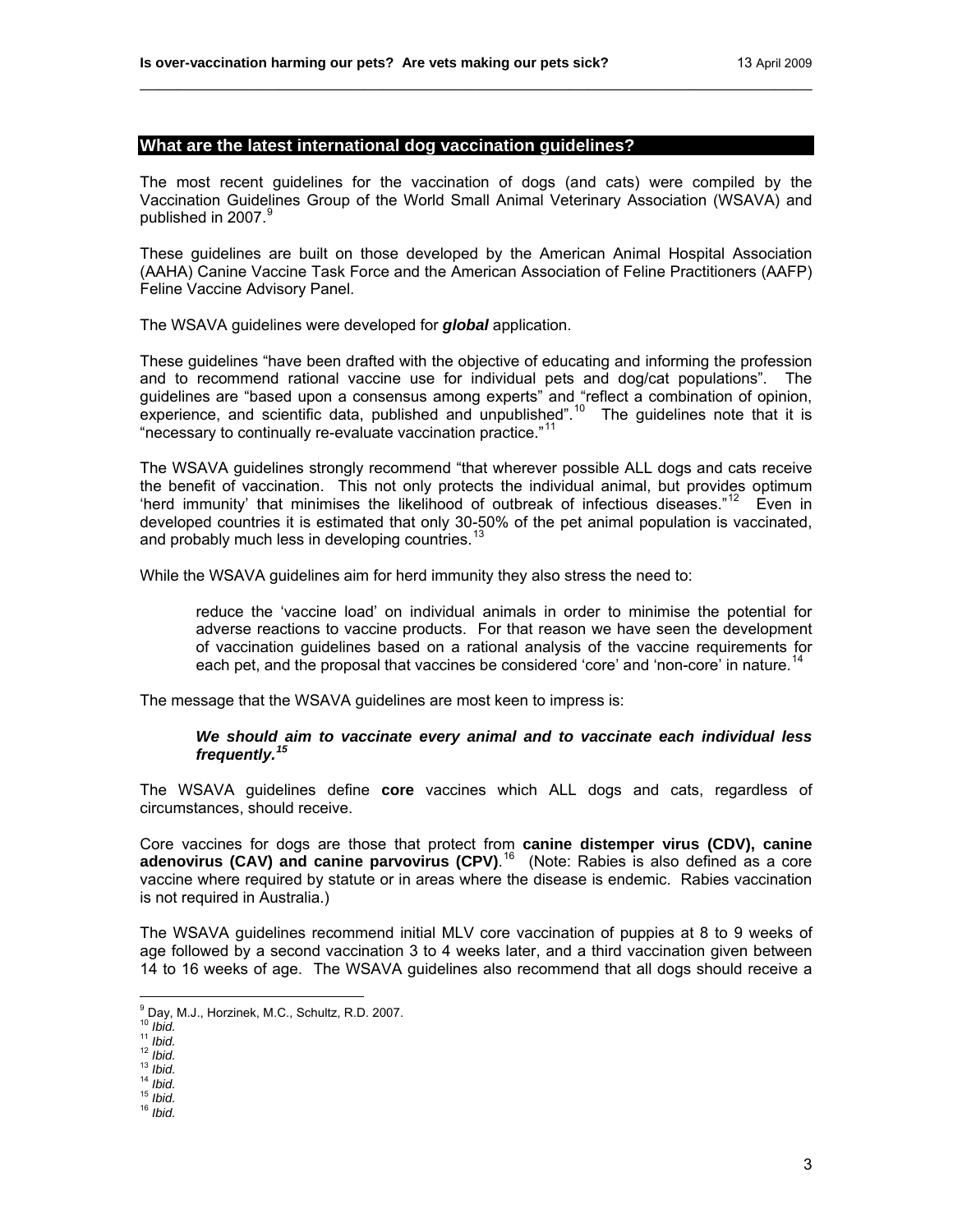## **What are the latest international dog vaccination guidelines?**

The most recent guidelines for the vaccination of dogs (and cats) were compiled by the Vaccination Guidelines Group of the World Small Animal Veterinary Association (WSAVA) and published in 2007.<sup>[9](#page-2-0)</sup>

\_\_\_\_\_\_\_\_\_\_\_\_\_\_\_\_\_\_\_\_\_\_\_\_\_\_\_\_\_\_\_\_\_\_\_\_\_\_\_\_\_\_\_\_\_\_\_\_\_\_\_\_\_\_\_\_\_\_\_\_\_\_\_\_\_\_\_\_\_\_\_\_

These guidelines are built on those developed by the American Animal Hospital Association (AAHA) Canine Vaccine Task Force and the American Association of Feline Practitioners (AAFP) Feline Vaccine Advisory Panel.

The WSAVA guidelines were developed for *global* application.

These guidelines "have been drafted with the objective of educating and informing the profession and to recommend rational vaccine use for individual pets and dog/cat populations". The guidelines are "based upon a consensus among experts" and "reflect a combination of opinion, experience, and scientific data, published and unpublished".<sup>[10](#page-2-1)</sup> The guidelines note that it is "necessary to continually re-evaluate vaccination practice."[11](#page-2-2)

The WSAVA guidelines strongly recommend "that wherever possible ALL dogs and cats receive the benefit of vaccination. This not only protects the individual animal, but provides optimum 'herd immunity' that minimises the likelihood of outbreak of infectious diseases."<sup>[12](#page-2-3)</sup> Even in developed countries it is estimated that only 30-50% of the pet animal population is vaccinated, and probably much less in developing countries. $^{13}$  $^{13}$  $^{13}$ 

While the WSAVA guidelines aim for herd immunity they also stress the need to:

reduce the 'vaccine load' on individual animals in order to minimise the potential for adverse reactions to vaccine products. For that reason we have seen the development of vaccination guidelines based on a rational analysis of the vaccine requirements for each pet, and the proposal that vaccines be considered 'core' and 'non-core' in nature.<sup>[14](#page-2-5)</sup>

The message that the WSAVA guidelines are most keen to impress is:

#### *We should aim to vaccinate every animal and to vaccinate each individual less frequently.[15](#page-2-6)*

The WSAVA guidelines define **core** vaccines which ALL dogs and cats, regardless of circumstances, should receive.

Core vaccines for dogs are those that protect from **canine distemper virus (CDV), canine**  adenovirus (CAV) and canine parvovirus (CPV).<sup>[16](#page-2-7)</sup> (Note: Rabies is also defined as a core vaccine where required by statute or in areas where the disease is endemic. Rabies vaccination is not required in Australia.)

The WSAVA guidelines recommend initial MLV core vaccination of puppies at 8 to 9 weeks of age followed by a second vaccination 3 to 4 weeks later, and a third vaccination given between 14 to 16 weeks of age. The WSAVA guidelines also recommend that all dogs should receive a

<span id="page-2-0"></span><sup>&</sup>lt;sup>9</sup> Day, M.J., Horzinek, M.C., Schultz, R.D. 2007.<br><sup>10</sup> *Ibid.*<br><sup>11</sup> *Ibid.*<br><sup>12</sup> *Ibid.* 13 *Ibid.* 14 *Ibid.* 15 *Ibid.* 15 *Ibid.* 16 *Ibid.* 

<span id="page-2-1"></span>

<span id="page-2-2"></span>

<span id="page-2-6"></span><span id="page-2-5"></span><span id="page-2-4"></span><span id="page-2-3"></span>

<span id="page-2-7"></span>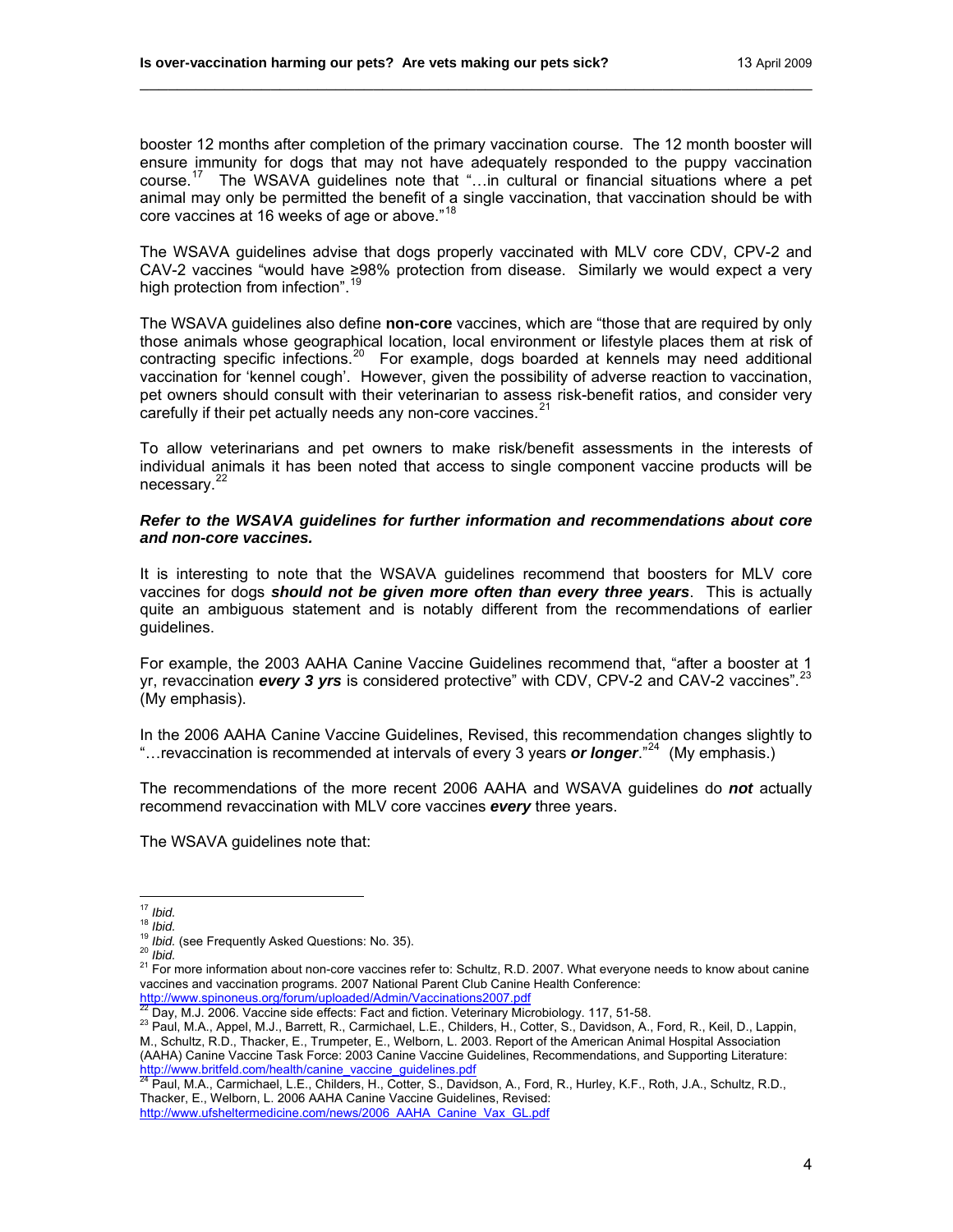booster 12 months after completion of the primary vaccination course. The 12 month booster will ensure immunity for dogs that may not have adequately responded to the puppy vaccination course.<sup>[17](#page-3-0)</sup> The WSAVA guidelines note that "...in cultural or financial situations where a pet animal may only be permitted the benefit of a single vaccination, that vaccination should be with core vaccines at 16 weeks of age or above."<sup>[18](#page-3-1)</sup>

\_\_\_\_\_\_\_\_\_\_\_\_\_\_\_\_\_\_\_\_\_\_\_\_\_\_\_\_\_\_\_\_\_\_\_\_\_\_\_\_\_\_\_\_\_\_\_\_\_\_\_\_\_\_\_\_\_\_\_\_\_\_\_\_\_\_\_\_\_\_\_\_

The WSAVA guidelines advise that dogs properly vaccinated with MLV core CDV, CPV-2 and CAV-2 vaccines "would have ≥98% protection from disease. Similarly we would expect a very high protection from infection".<sup>[19](#page-3-2)</sup>

The WSAVA guidelines also define **non-core** vaccines, which are "those that are required by only those animals whose geographical location, local environment or lifestyle places them at risk of contracting specific infections.<sup>[20](#page-3-3)</sup> For example, dogs boarded at kennels may need additional vaccination for 'kennel cough'. However, given the possibility of adverse reaction to vaccination, pet owners should consult with their veterinarian to assess risk-benefit ratios, and consider very carefully if their pet actually needs any non-core vaccines. $21$ 

To allow veterinarians and pet owners to make risk/benefit assessments in the interests of individual animals it has been noted that access to single component vaccine products will be necessary.<sup>[22](#page-3-5)</sup>

#### *Refer to the WSAVA guidelines for further information and recommendations about core and non-core vaccines.*

It is interesting to note that the WSAVA guidelines recommend that boosters for MLV core vaccines for dogs *should not be given more often than every three years*. This is actually quite an ambiguous statement and is notably different from the recommendations of earlier guidelines.

For example, the 2003 AAHA Canine Vaccine Guidelines recommend that, "after a booster at 1 yr, revaccination *every 3 yrs* is considered protective" with CDV, CPV-2 and CAV-2 vaccines".<sup>[23](#page-3-6)</sup> (My emphasis).

In the 2006 AAHA Canine Vaccine Guidelines, Revised, this recommendation changes slightly to "…revaccination is recommended at intervals of every 3 years *or longer*."[24](#page-3-7) (My emphasis.)

The recommendations of the more recent 2006 AAHA and WSAVA guidelines do *not* actually recommend revaccination with MLV core vaccines *every* three years.

The WSAVA guidelines note that:

<span id="page-3-6"></span><span id="page-3-5"></span>

<span id="page-3-7"></span>Thacker, E., Welborn, L. 2006 AAHA Canine Vaccine Guidelines, Revised:

[http://www.ufsheltermedicine.com/news/2006\\_AAHA\\_Canine\\_Vax\\_GL.pdf](http://www.ufsheltermedicine.com/news/2006_AAHA_Canine_Vax_GL.pdf)

<span id="page-3-0"></span> $17$  Ibid.

<span id="page-3-3"></span><span id="page-3-2"></span>

<span id="page-3-1"></span><sup>18</sup> *Ibid.*<br><sup>19</sup> *Ibid.*<br><sup>20</sup> *Ibid.* (see Frequently Asked Questions: No. 35).<br><sup>21</sup> For more information about non-core vaccines refer to: Schultz, R.D. 2007. What everyone needs to know about canine vaccines and vaccination programs. 2007 National Parent Club Canine Health Conference:

<span id="page-3-4"></span><http://www.spinoneus.org/forum/uploaded/Admin/Vaccinations2007.pdf><br>[22](http://www.spinoneus.org/forum/uploaded/Admin/Vaccinations2007.pdf) Day, M.J. 2006. Vaccine side effects: Fact and fiction. Veterinary Microbiology. 117, 51-58.<br><sup>23</sup> Paul. M.A., Appel, M.J., Barrett, R., Carmichael, L.E. M., Schultz, R.D., Thacker, E., Trumpeter, E., Welborn, L. 2003. Report of the American Animal Hospital Association (AAHA) Canine Vaccine Task Force: 2003 Canine Vaccine Guidelines, Recommendations, and Supporting Literature: [http://www.britfeld.com/health/canine\\_vaccine\\_guidelines.pdf](http://www.britfeld.com/health/canine_vaccine_guidelines.pdf)<br><sup>24</sup> Paul, M.A., Carmichael, L.E., Childers, H., Cotter, S., Davidson, A., Ford, R., Hurley, K.F., Roth, J.A., Schultz, R.D.,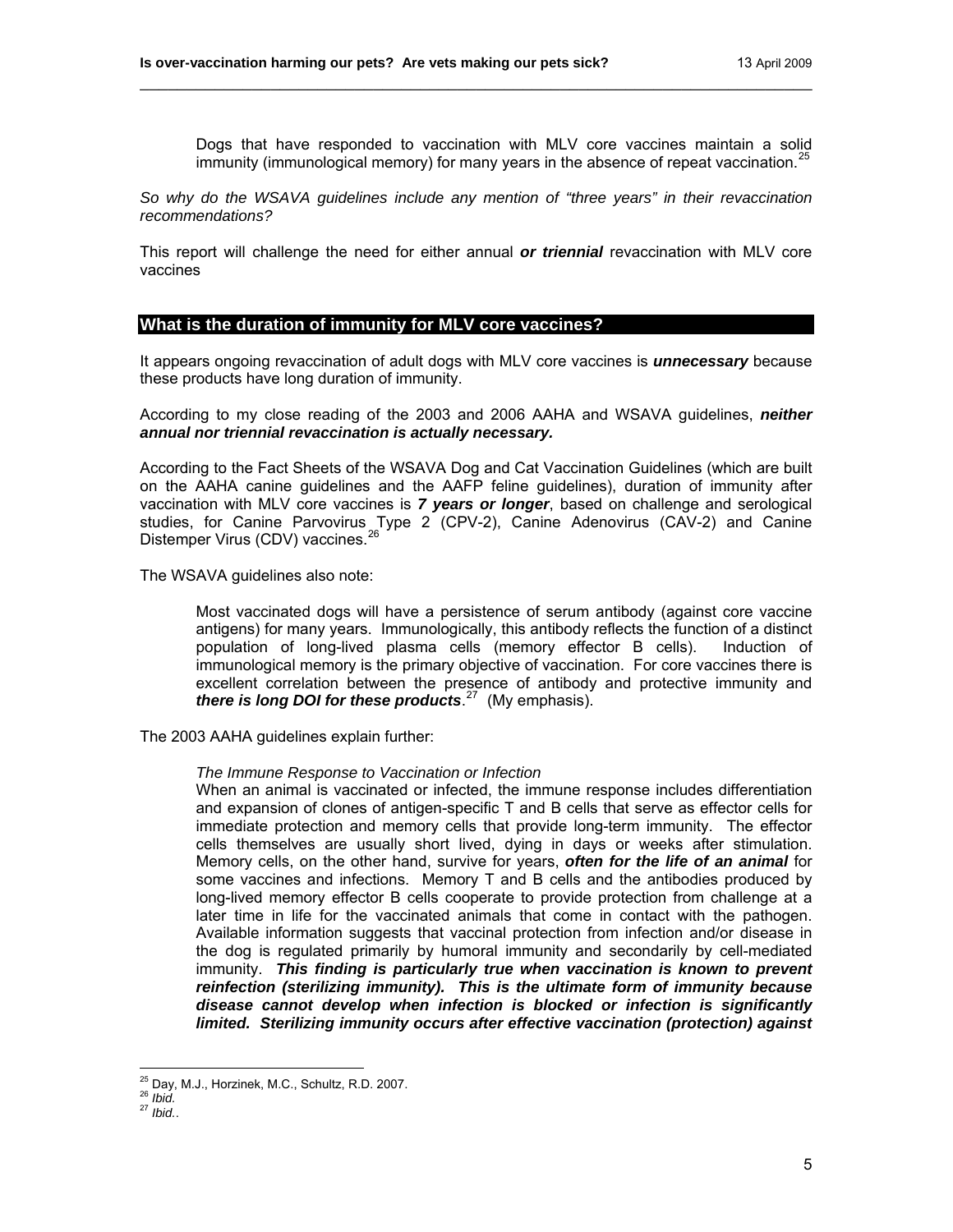Dogs that have responded to vaccination with MLV core vaccines maintain a solid immunity (immunological memory) for many years in the absence of repeat vaccination. $25$ 

*So why do the WSAVA guidelines include any mention of "three years" in their revaccination recommendations?* 

\_\_\_\_\_\_\_\_\_\_\_\_\_\_\_\_\_\_\_\_\_\_\_\_\_\_\_\_\_\_\_\_\_\_\_\_\_\_\_\_\_\_\_\_\_\_\_\_\_\_\_\_\_\_\_\_\_\_\_\_\_\_\_\_\_\_\_\_\_\_\_\_

This report will challenge the need for either annual *or triennial* revaccination with MLV core vaccines

#### **What is the duration of immunity for MLV core vaccines?**

It appears ongoing revaccination of adult dogs with MLV core vaccines is *unnecessary* because these products have long duration of immunity.

According to my close reading of the 2003 and 2006 AAHA and WSAVA guidelines, *neither annual nor triennial revaccination is actually necessary.* 

According to the Fact Sheets of the WSAVA Dog and Cat Vaccination Guidelines (which are built on the AAHA canine guidelines and the AAFP feline guidelines), duration of immunity after vaccination with MLV core vaccines is *7 years or longer*, based on challenge and serological studies, for Canine Parvovirus Type 2 (CPV-2), Canine Adenovirus (CAV-2) and Canine Distemper Virus (CDV) vaccines.<sup>[26](#page-4-1)</sup>

The WSAVA guidelines also note:

Most vaccinated dogs will have a persistence of serum antibody (against core vaccine antigens) for many years. Immunologically, this antibody reflects the function of a distinct population of long-lived plasma cells (memory effector B cells). Induction of immunological memory is the primary objective of vaccination. For core vaccines there is excellent correlation between the presence of antibody and protective immunity and *there is long DOI for these products*. [27](#page-4-2) (My emphasis).

The 2003 AAHA guidelines explain further:

#### *The Immune Response to Vaccination or Infection*

When an animal is vaccinated or infected, the immune response includes differentiation and expansion of clones of antigen-specific T and B cells that serve as effector cells for immediate protection and memory cells that provide long-term immunity. The effector cells themselves are usually short lived, dying in days or weeks after stimulation. Memory cells, on the other hand, survive for years, *often for the life of an animal* for some vaccines and infections. Memory T and B cells and the antibodies produced by long-lived memory effector B cells cooperate to provide protection from challenge at a later time in life for the vaccinated animals that come in contact with the pathogen. Available information suggests that vaccinal protection from infection and/or disease in the dog is regulated primarily by humoral immunity and secondarily by cell-mediated immunity. *This finding is particularly true when vaccination is known to prevent reinfection (sterilizing immunity). This is the ultimate form of immunity because disease cannot develop when infection is blocked or infection is significantly limited. Sterilizing immunity occurs after effective vaccination (protection) against* 

<span id="page-4-0"></span> $\overline{a}$ <sup>25</sup> Day, M.J., Horzinek, M.C., Schultz, R.D. 2007.<br><sup>26</sup> *Ibid.*<br><sup>27</sup> *Ibid.*.

<span id="page-4-2"></span><span id="page-4-1"></span>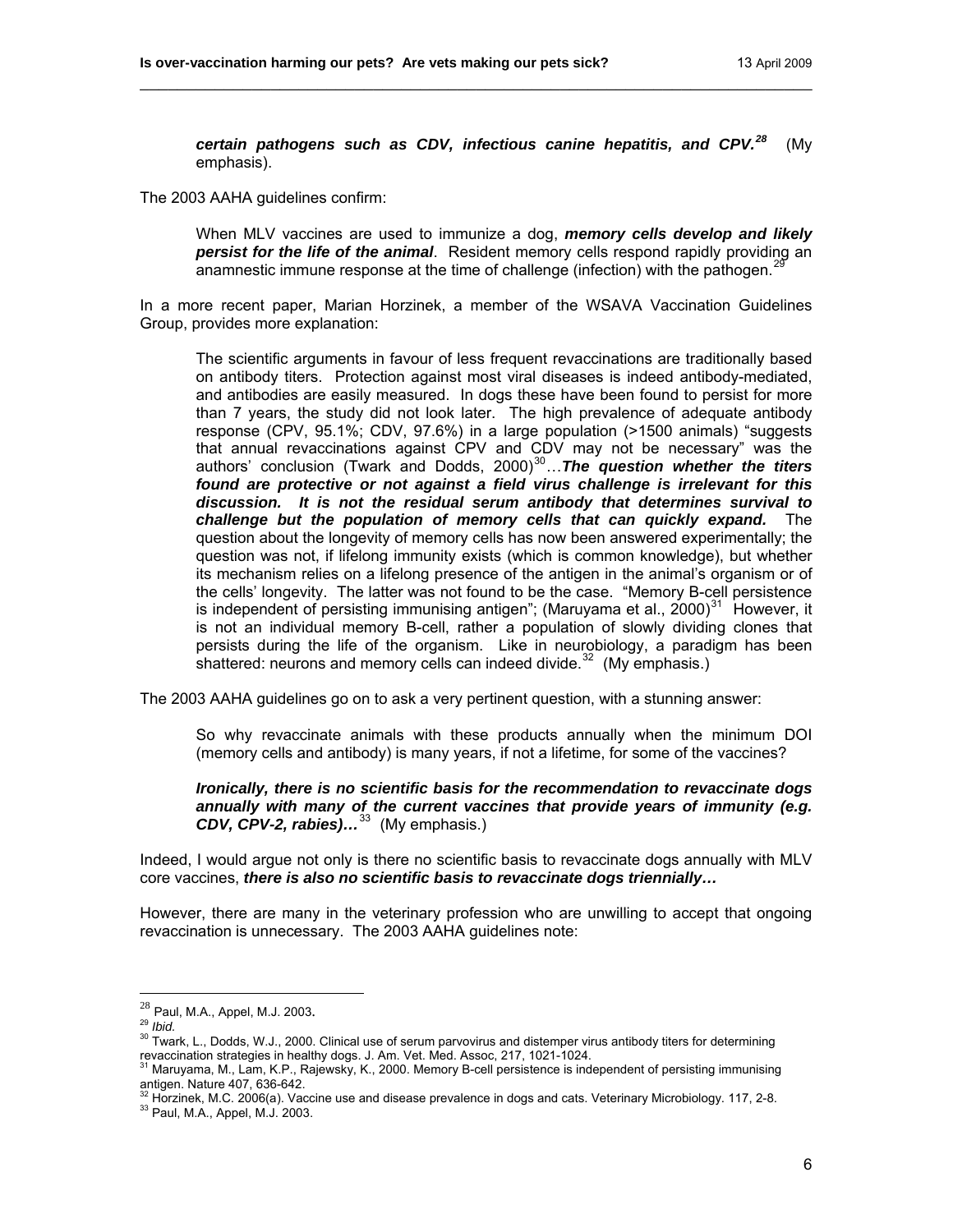*certain pathogens such as CDV, infectious canine hepatitis, and CPV.[28](#page-5-0)* (My emphasis).

\_\_\_\_\_\_\_\_\_\_\_\_\_\_\_\_\_\_\_\_\_\_\_\_\_\_\_\_\_\_\_\_\_\_\_\_\_\_\_\_\_\_\_\_\_\_\_\_\_\_\_\_\_\_\_\_\_\_\_\_\_\_\_\_\_\_\_\_\_\_\_\_

The 2003 AAHA guidelines confirm:

When MLV vaccines are used to immunize a dog, *memory cells develop and likely persist for the life of the animal*. Resident memory cells respond rapidly providing an anamnestic immune response at the time of challenge (infection) with the pathogen.<sup>[29](#page-5-1)</sup>

In a more recent paper, Marian Horzinek, a member of the WSAVA Vaccination Guidelines Group, provides more explanation:

The scientific arguments in favour of less frequent revaccinations are traditionally based on antibody titers. Protection against most viral diseases is indeed antibody-mediated, and antibodies are easily measured. In dogs these have been found to persist for more than 7 years, the study did not look later. The high prevalence of adequate antibody response (CPV, 95.1%; CDV, 97.6%) in a large population (>1500 animals) "suggests that annual revaccinations against CPV and CDV may not be necessary" was the authors' conclusion (Twark and Dodds, 2000)<sup>[30](#page-5-2)</sup>... The question whether the titers *found are protective or not against a field virus challenge is irrelevant for this discussion. It is not the residual serum antibody that determines survival to challenge but the population of memory cells that can quickly expand.* The question about the longevity of memory cells has now been answered experimentally; the question was not, if lifelong immunity exists (which is common knowledge), but whether its mechanism relies on a lifelong presence of the antigen in the animal's organism or of the cells' longevity. The latter was not found to be the case. "Memory B-cell persistence is independent of persisting immunising antigen"; (Maruyama et al.,  $2000$ <sup>[31](#page-5-3)</sup> However, it is not an individual memory B-cell, rather a population of slowly dividing clones that persists during the life of the organism. Like in neurobiology, a paradigm has been shattered: neurons and memory cells can indeed divide. $32$  (My emphasis.)

The 2003 AAHA guidelines go on to ask a very pertinent question, with a stunning answer:

So why revaccinate animals with these products annually when the minimum DOI (memory cells and antibody) is many years, if not a lifetime, for some of the vaccines?

*Ironically, there is no scientific basis for the recommendation to revaccinate dogs annually with many of the current vaccines that provide years of immunity (e.g. CDV, CPV-2, rabies)…*[33](#page-5-5)(My emphasis.)

Indeed, I would argue not only is there no scientific basis to revaccinate dogs annually with MLV core vaccines, *there is also no scientific basis to revaccinate dogs triennially…*

However, there are many in the veterinary profession who are unwilling to accept that ongoing revaccination is unnecessary. The 2003 AAHA guidelines note:

<span id="page-5-0"></span> $^{28}$  Paul, M.A., Appel, M.J. 2003.

<span id="page-5-2"></span><span id="page-5-1"></span><sup>29</sup> *Ibid.*<br><sup>29</sup> *Ibid.*<br><sup>30</sup> Twark, L., Dodds, W.J., 2000. Clinical use of serum parvovirus and distemper virus antibody titers for determining revaccination strategies in healthy dogs. J. Am. Vet. Med. Assoc, 217, 1021-1024.

<span id="page-5-3"></span><sup>&</sup>lt;sup>1</sup> Maruyama, M., Lam, K.P., Rajewsky, K., 2000. Memory B-cell persistence is independent of persisting immunising antigen. Nature 407, 636-642.<br><sup>32</sup> Horzinek, M.C. 2006(a). Vaccine use and disease prevalence in dogs and cats. Veterinary Microbiology. 117, 2-8.<br><sup>33</sup> Paul, M.A., Appel, M.J. 2003.

<span id="page-5-5"></span><span id="page-5-4"></span>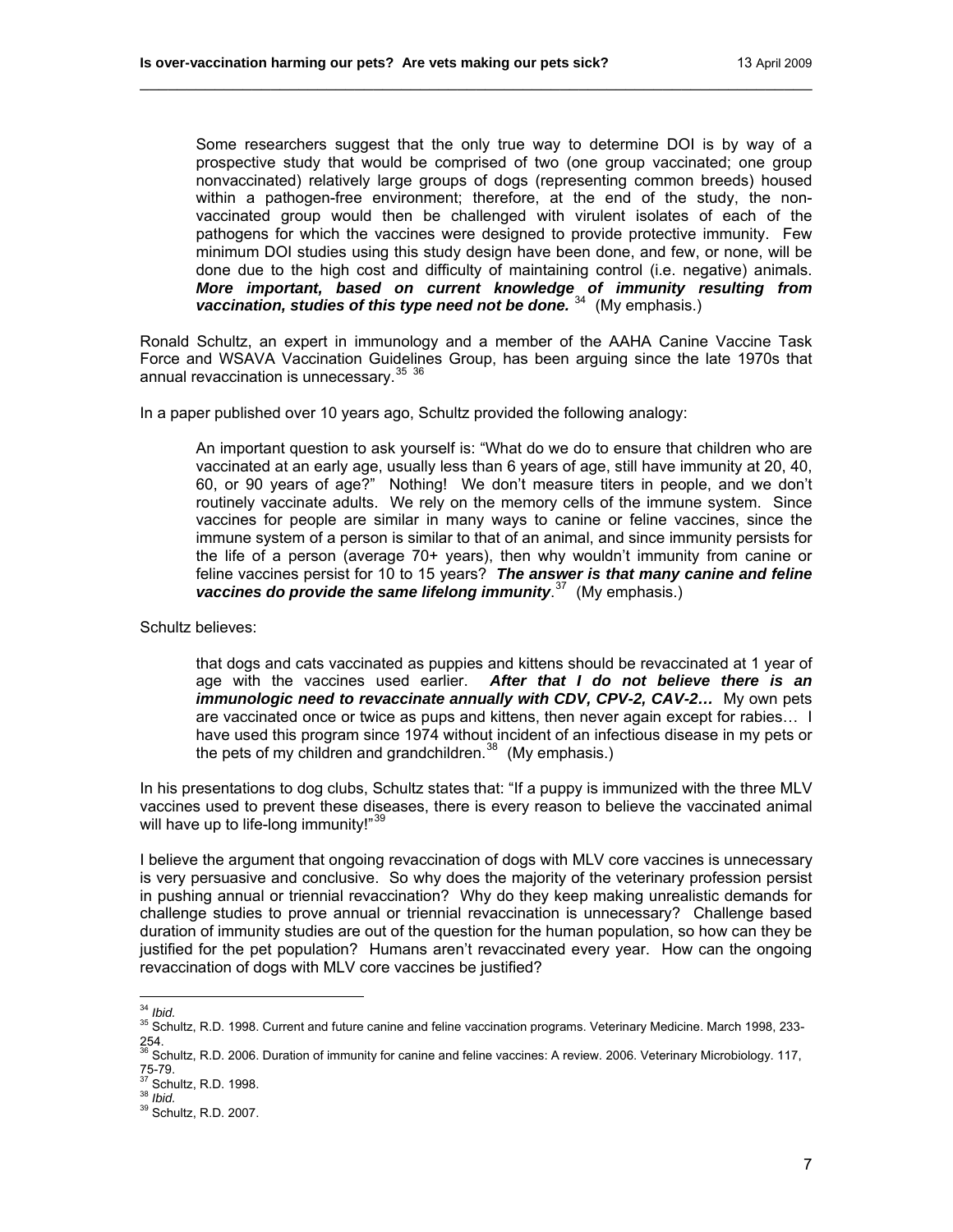Some researchers suggest that the only true way to determine DOI is by way of a prospective study that would be comprised of two (one group vaccinated; one group nonvaccinated) relatively large groups of dogs (representing common breeds) housed within a pathogen-free environment; therefore, at the end of the study, the nonvaccinated group would then be challenged with virulent isolates of each of the pathogens for which the vaccines were designed to provide protective immunity. Few minimum DOI studies using this study design have been done, and few, or none, will be done due to the high cost and difficulty of maintaining control (i.e. negative) animals. *More important, based on current knowledge of immunity resulting from*  vaccination, studies of this type need not be done.<sup>[34](#page-6-0)</sup> (My emphasis.)

Ronald Schultz, an expert in immunology and a member of the AAHA Canine Vaccine Task Force and WSAVA Vaccination Guidelines Group, has been arguing since the late 1970s that annual revaccination is unnecessary.<sup>[35](#page-6-1)</sup> [36](#page-6-2)

\_\_\_\_\_\_\_\_\_\_\_\_\_\_\_\_\_\_\_\_\_\_\_\_\_\_\_\_\_\_\_\_\_\_\_\_\_\_\_\_\_\_\_\_\_\_\_\_\_\_\_\_\_\_\_\_\_\_\_\_\_\_\_\_\_\_\_\_\_\_\_\_

In a paper published over 10 years ago, Schultz provided the following analogy:

An important question to ask yourself is: "What do we do to ensure that children who are vaccinated at an early age, usually less than 6 years of age, still have immunity at 20, 40, 60, or 90 years of age?" Nothing! We don't measure titers in people, and we don't routinely vaccinate adults. We rely on the memory cells of the immune system. Since vaccines for people are similar in many ways to canine or feline vaccines, since the immune system of a person is similar to that of an animal, and since immunity persists for the life of a person (average 70+ years), then why wouldn't immunity from canine or feline vaccines persist for 10 to 15 years? *The answer is that many canine and feline*  vaccines do provide the same lifelong immunity.<sup>[37](#page-6-3)</sup> (My emphasis.)

Schultz believes:

that dogs and cats vaccinated as puppies and kittens should be revaccinated at 1 year of age with the vaccines used earlier. *After that I do not believe there is an immunologic need to revaccinate annually with CDV, CPV-2, CAV-2... My own pets* are vaccinated once or twice as pups and kittens, then never again except for rabies… I have used this program since 1974 without incident of an infectious disease in my pets or the pets of my children and grandchildren. $38$  (My emphasis.)

In his presentations to dog clubs, Schultz states that: "If a puppy is immunized with the three MLV vaccines used to prevent these diseases, there is every reason to believe the vaccinated animal will have up to life-long immunity!"<sup>[39](#page-6-5)</sup>

I believe the argument that ongoing revaccination of dogs with MLV core vaccines is unnecessary is very persuasive and conclusive. So why does the majority of the veterinary profession persist in pushing annual or triennial revaccination? Why do they keep making unrealistic demands for challenge studies to prove annual or triennial revaccination is unnecessary? Challenge based duration of immunity studies are out of the question for the human population, so how can they be justified for the pet population? Humans aren't revaccinated every year. How can the ongoing revaccination of dogs with MLV core vaccines be justified?

 $34$  Ibid.

<span id="page-6-1"></span><span id="page-6-0"></span><sup>&</sup>lt;sup>35</sup> Schultz, R.D. 1998. Current and future canine and feline vaccination programs. Veterinary Medicine. March 1998, 233-254.<br><sup>36</sup> Schultz, R.D. 2006. Duration of immunity for canine and feline vaccines: A review. 2006. Veterinary Microbiology. 117,

<span id="page-6-2"></span><sup>75-79.&</sup>lt;br><sup>37</sup> Schultz, R.D. 1998.

<span id="page-6-5"></span><span id="page-6-4"></span><span id="page-6-3"></span><sup>37</sup> Schultz, R.D. 1998. 38 *Ibid.* 39 Schultz, R.D. 2007.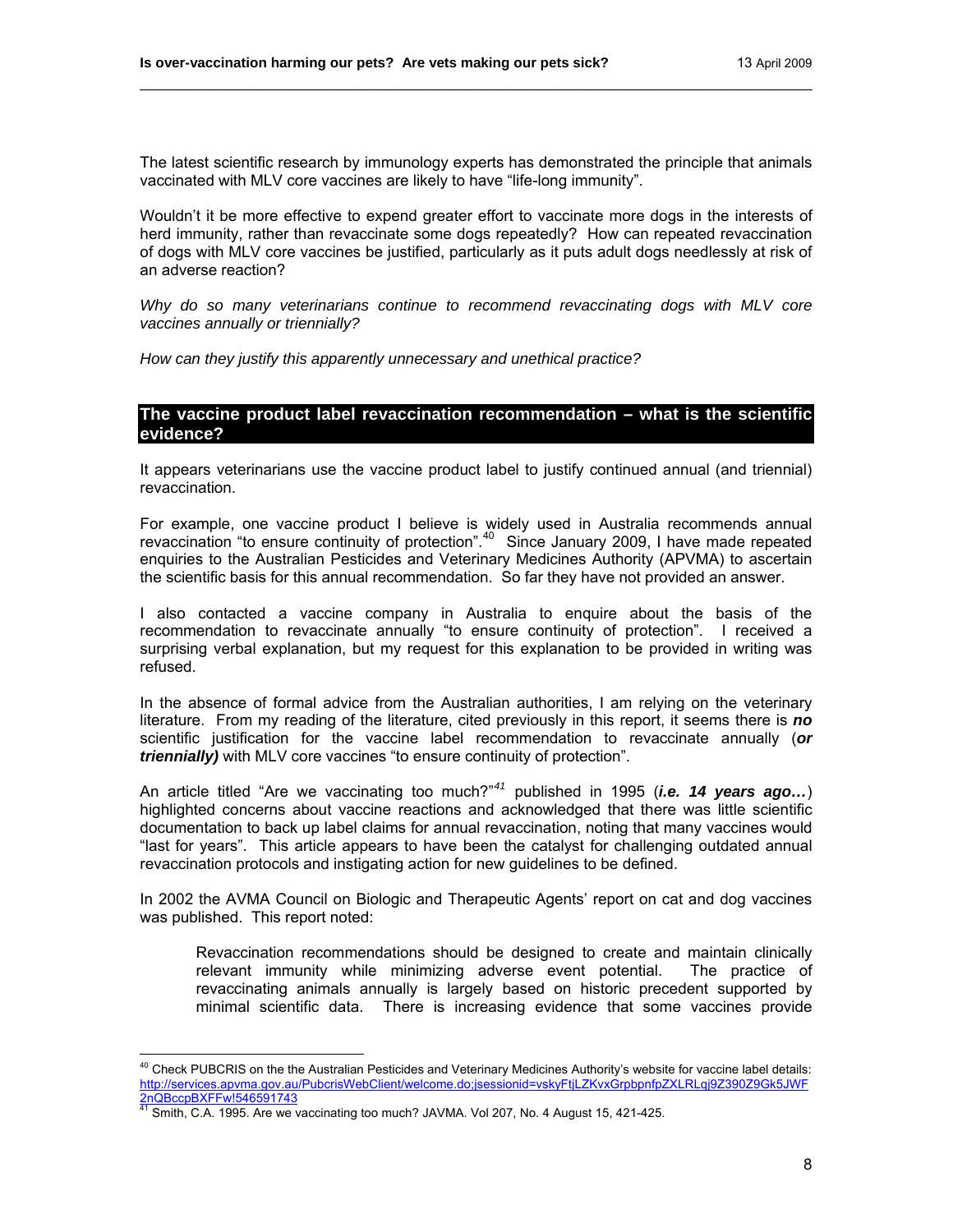The latest scientific research by immunology experts has demonstrated the principle that animals vaccinated with MLV core vaccines are likely to have "life-long immunity".

\_\_\_\_\_\_\_\_\_\_\_\_\_\_\_\_\_\_\_\_\_\_\_\_\_\_\_\_\_\_\_\_\_\_\_\_\_\_\_\_\_\_\_\_\_\_\_\_\_\_\_\_\_\_\_\_\_\_\_\_\_\_\_\_\_\_\_\_\_\_\_\_

Wouldn't it be more effective to expend greater effort to vaccinate more dogs in the interests of herd immunity, rather than revaccinate some dogs repeatedly? How can repeated revaccination of dogs with MLV core vaccines be justified, particularly as it puts adult dogs needlessly at risk of an adverse reaction?

*Why do so many veterinarians continue to recommend revaccinating dogs with MLV core vaccines annually or triennially?* 

*How can they justify this apparently unnecessary and unethical practice?*

## **The vaccine product label revaccination recommendation – what is the scientific evidence?**

It appears veterinarians use the vaccine product label to justify continued annual (and triennial) revaccination.

For example, one vaccine product I believe is widely used in Australia recommends annual revaccination "to ensure continuity of protection".[40](#page-7-0) Since January 2009, I have made repeated enquiries to the Australian Pesticides and Veterinary Medicines Authority (APVMA) to ascertain the scientific basis for this annual recommendation. So far they have not provided an answer.

I also contacted a vaccine company in Australia to enquire about the basis of the recommendation to revaccinate annually "to ensure continuity of protection". I received a surprising verbal explanation, but my request for this explanation to be provided in writing was refused.

In the absence of formal advice from the Australian authorities, I am relying on the veterinary literature. From my reading of the literature, cited previously in this report, it seems there is *no* scientific justification for the vaccine label recommendation to revaccinate annually (*or triennially)* with MLV core vaccines "to ensure continuity of protection".

An article titled "Are we vaccinating too much?"*[41](#page-7-1)* published in 1995 (*i.e. 14 years ago…*) highlighted concerns about vaccine reactions and acknowledged that there was little scientific documentation to back up label claims for annual revaccination, noting that many vaccines would "last for years". This article appears to have been the catalyst for challenging outdated annual revaccination protocols and instigating action for new guidelines to be defined.

In 2002 the AVMA Council on Biologic and Therapeutic Agents' report on cat and dog vaccines was published. This report noted:

Revaccination recommendations should be designed to create and maintain clinically relevant immunity while minimizing adverse event potential. The practice of revaccinating animals annually is largely based on historic precedent supported by minimal scientific data. There is increasing evidence that some vaccines provide

<span id="page-7-0"></span> $40$  Check PUBCRIS on the the Australian Pesticides and Veterinary Medicines Authority's website for vaccine label details: [http://services.apvma.gov.au/PubcrisWebClient/welcome.do;jsessionid=vskyFtjLZKvxGrpbpnfpZXLRLqj9Z390Z9Gk5JWF](http://services.apvma.gov.au/PubcrisWebClient/welcome.do;jsessionid=vskyFtjLZKvxGrpbpnfpZXLRLqj9Z390Z9Gk5JWF2nQBccpBXFFw!546591743) [2nQBccpBXFFw!546591743](http://services.apvma.gov.au/PubcrisWebClient/welcome.do;jsessionid=vskyFtjLZKvxGrpbpnfpZXLRLqj9Z390Z9Gk5JWF2nQBccpBXFFw!546591743)<br>
<sup>41</sup> Smith, C.A. 1995. Are we vaccinating too much? JAVMA. Vol 207, No. 4 August 15, 421-425.

<span id="page-7-1"></span>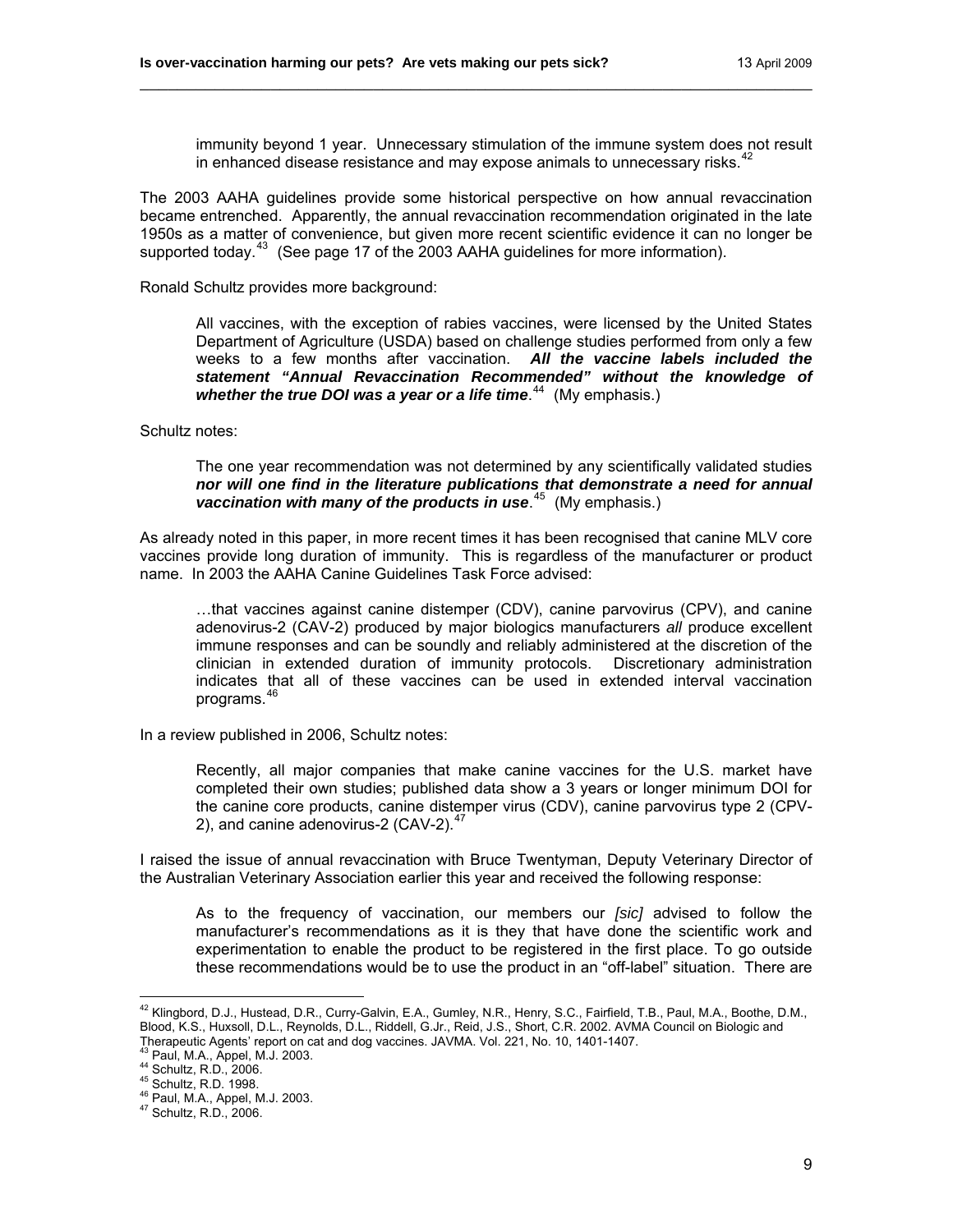immunity beyond 1 year. Unnecessary stimulation of the immune system does not result in enhanced disease resistance and may expose animals to unnecessary risks. $42$ 

The 2003 AAHA guidelines provide some historical perspective on how annual revaccination became entrenched. Apparently, the annual revaccination recommendation originated in the late 1950s as a matter of convenience, but given more recent scientific evidence it can no longer be supported today.<sup>[43](#page-8-1)</sup> (See page 17 of the 2003 AAHA guidelines for more information).

\_\_\_\_\_\_\_\_\_\_\_\_\_\_\_\_\_\_\_\_\_\_\_\_\_\_\_\_\_\_\_\_\_\_\_\_\_\_\_\_\_\_\_\_\_\_\_\_\_\_\_\_\_\_\_\_\_\_\_\_\_\_\_\_\_\_\_\_\_\_\_\_

Ronald Schultz provides more background:

All vaccines, with the exception of rabies vaccines, were licensed by the United States Department of Agriculture (USDA) based on challenge studies performed from only a few weeks to a few months after vaccination. *All the vaccine labels included the statement "Annual Revaccination Recommended" without the knowledge of*  whether the true DOI was a year or a life time.<sup>[44](#page-8-2)</sup> (My emphasis.)

Schultz notes:

The one year recommendation was not determined by any scientifically validated studies *nor will one find in the literature publications that demonstrate a need for annual*  vaccination with many of the products in use.<sup>[45](#page-8-3)</sup> (My emphasis.)

As already noted in this paper, in more recent times it has been recognised that canine MLV core vaccines provide long duration of immunity. This is regardless of the manufacturer or product name. In 2003 the AAHA Canine Guidelines Task Force advised:

…that vaccines against canine distemper (CDV), canine parvovirus (CPV), and canine adenovirus-2 (CAV-2) produced by major biologics manufacturers *all* produce excellent immune responses and can be soundly and reliably administered at the discretion of the clinician in extended duration of immunity protocols. Discretionary administration indicates that all of these vaccines can be used in extended interval vaccination programs.<sup>4</sup>

In a review published in 2006, Schultz notes:

Recently, all major companies that make canine vaccines for the U.S. market have completed their own studies; published data show a 3 years or longer minimum DOI for the canine core products, canine distemper virus (CDV), canine parvovirus type 2 (CPV-2), and canine adenovirus-2 (CAV-2).<sup>[47](#page-8-5)</sup>

I raised the issue of annual revaccination with Bruce Twentyman, Deputy Veterinary Director of the Australian Veterinary Association earlier this year and received the following response:

As to the frequency of vaccination, our members our *[sic]* advised to follow the manufacturer's recommendations as it is they that have done the scientific work and experimentation to enable the product to be registered in the first place. To go outside these recommendations would be to use the product in an "off-label" situation.There are

<span id="page-8-0"></span><sup>&</sup>lt;sup>42</sup> Klingbord, D.J., Hustead, D.R., Curry-Galvin, E.A., Gumley, N.R., Henry, S.C., Fairfield, T.B., Paul, M.A., Boothe, D.M., Blood, K.S., Huxsoll, D.L., Reynolds, D.L., Riddell, G.Jr., Reid, J.S., Short, C.R. 2002. AVMA Council on Biologic and Therapeutic Agents' report on cat and dog vaccines. JAVMA. Vol. 221, No. 10, 1401-1407.

<span id="page-8-3"></span>

<span id="page-8-2"></span><span id="page-8-1"></span><sup>43</sup> Paul, M.A., Appel, M.J. 2003.<br>
44 Schultz, R.D., 2006.<br>
<sup>45</sup> Schultz, R.D. 1998.<br>
<sup>46</sup> Paul, M.A., Appel, M.J. 2003.<br>
<sup>47</sup> Schultz, R.D., 2006.

<span id="page-8-5"></span><span id="page-8-4"></span>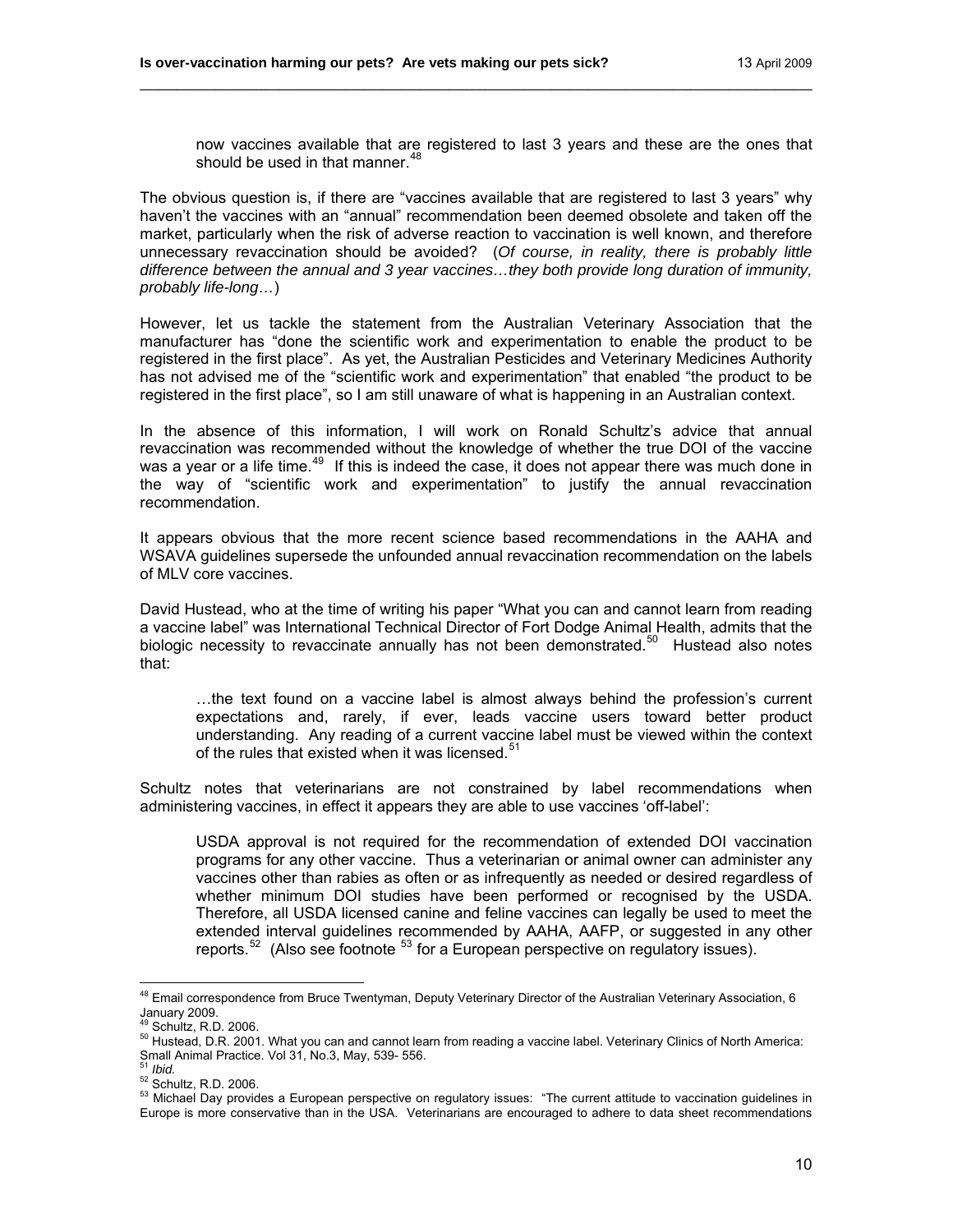now vaccines available that are registered to last 3 years and these are the ones that should be used in that manner.<sup>[48](#page-9-0)</sup>

The obvious question is, if there are "vaccines available that are registered to last 3 years" why haven't the vaccines with an "annual" recommendation been deemed obsolete and taken off the market, particularly when the risk of adverse reaction to vaccination is well known, and therefore unnecessary revaccination should be avoided? (*Of course, in reality, there is probably little difference between the annual and 3 year vaccines…they both provide long duration of immunity, probably life-long…*)

\_\_\_\_\_\_\_\_\_\_\_\_\_\_\_\_\_\_\_\_\_\_\_\_\_\_\_\_\_\_\_\_\_\_\_\_\_\_\_\_\_\_\_\_\_\_\_\_\_\_\_\_\_\_\_\_\_\_\_\_\_\_\_\_\_\_\_\_\_\_\_\_

However, let us tackle the statement from the Australian Veterinary Association that the manufacturer has "done the scientific work and experimentation to enable the product to be registered in the first place". As yet, the Australian Pesticides and Veterinary Medicines Authority has not advised me of the "scientific work and experimentation" that enabled "the product to be registered in the first place", so I am still unaware of what is happening in an Australian context.

In the absence of this information, I will work on Ronald Schultz's advice that annual revaccination was recommended without the knowledge of whether the true DOI of the vaccine was a year or a life time.<sup>[49](#page-9-1)</sup> If this is indeed the case, it does not appear there was much done in the way of "scientific work and experimentation" to justify the annual revaccination recommendation.

It appears obvious that the more recent science based recommendations in the AAHA and WSAVA guidelines supersede the unfounded annual revaccination recommendation on the labels of MLV core vaccines.

David Hustead, who at the time of writing his paper "What you can and cannot learn from reading a vaccine label" was International Technical Director of Fort Dodge Animal Health, admits that the biologic necessity to revaccinate annually has not been demonstrated.<sup>[50](#page-9-2)</sup> Hustead also notes that:

…the text found on a vaccine label is almost always behind the profession's current expectations and, rarely, if ever, leads vaccine users toward better product understanding. Any reading of a current vaccine label must be viewed within the context of the rules that existed when it was licensed.<sup>[51](#page-9-3)</sup>

Schultz notes that veterinarians are not constrained by label recommendations when administering vaccines, in effect it appears they are able to use vaccines 'off-label':

USDA approval is not required for the recommendation of extended DOI vaccination programs for any other vaccine. Thus a veterinarian or animal owner can administer any vaccines other than rabies as often or as infrequently as needed or desired regardless of whether minimum DOI studies have been performed or recognised by the USDA. Therefore, all USDA licensed canine and feline vaccines can legally be used to meet the extended interval guidelines recommended by AAHA, AAFP, or suggested in any other reports.<sup>[52](#page-9-4)</sup> (Also see footnote  $53$  for a European perspective on regulatory issues).

<span id="page-9-1"></span><span id="page-9-0"></span><sup>&</sup>lt;sup>48</sup> Email correspondence from Bruce Twentyman, Deputy Veterinary Director of the Australian Veterinary Association, 6 January 2009.<br><sup>49</sup> Schultz, R.D. 2006.

<span id="page-9-2"></span><sup>&</sup>lt;sup>50</sup> Hustead, D.R. 2001. What you can and cannot learn from reading a vaccine label. Veterinary Clinics of North America: Small Animal Practice. Vol 31, No.3, May, 539- 556.<br><sup>51</sup> Ibid

<span id="page-9-5"></span><span id="page-9-4"></span><span id="page-9-3"></span><sup>&</sup>lt;sub>52</sub> Schultz, R.D. 2006.<br><sup>52</sup> Schultz, R.D. 2006.<br><sup>53</sup> Michael Day provides a European perspective on regulatory issues: "The current attitude to vaccination guidelines in Europe is more conservative than in the USA. Veterinarians are encouraged to adhere to data sheet recommendations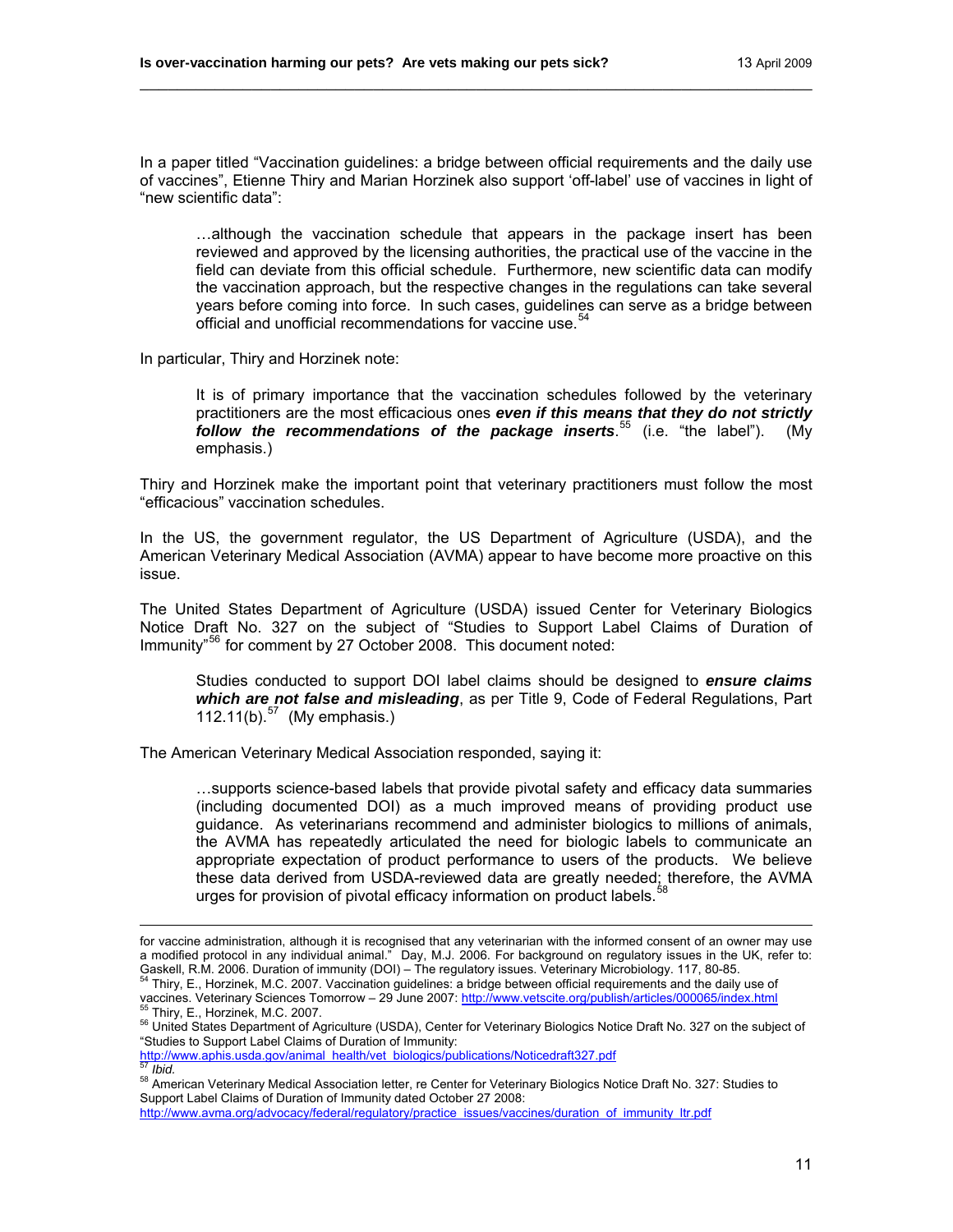In a paper titled "Vaccination guidelines: a bridge between official requirements and the daily use of vaccines", Etienne Thiry and Marian Horzinek also support 'off-label' use of vaccines in light of "new scientific data":

\_\_\_\_\_\_\_\_\_\_\_\_\_\_\_\_\_\_\_\_\_\_\_\_\_\_\_\_\_\_\_\_\_\_\_\_\_\_\_\_\_\_\_\_\_\_\_\_\_\_\_\_\_\_\_\_\_\_\_\_\_\_\_\_\_\_\_\_\_\_\_\_

…although the vaccination schedule that appears in the package insert has been reviewed and approved by the licensing authorities, the practical use of the vaccine in the field can deviate from this official schedule. Furthermore, new scientific data can modify the vaccination approach, but the respective changes in the regulations can take several years before coming into force. In such cases, guidelines can serve as a bridge between official and unofficial recommendations for vaccine use.<sup>[54](#page-10-0)</sup>

In particular, Thiry and Horzinek note:

 $\overline{a}$ 

It is of primary importance that the vaccination schedules followed by the veterinary practitioners are the most efficacious ones *even if this means that they do not strictly follow the recommendations of the package inserts*. [55](#page-10-1) (i.e. "the label"). (My emphasis.)

Thiry and Horzinek make the important point that veterinary practitioners must follow the most "efficacious" vaccination schedules.

In the US, the government regulator, the US Department of Agriculture (USDA), and the American Veterinary Medical Association (AVMA) appear to have become more proactive on this issue.

The United States Department of Agriculture (USDA) issued Center for Veterinary Biologics Notice Draft No. 327 on the subject of "Studies to Support Label Claims of Duration of Immunity<sup>"[56](#page-10-2)</sup> for comment by 27 October 2008. This document noted:

Studies conducted to support DOI label claims should be designed to *ensure claims which are not false and misleading*, as per Title 9, Code of Federal Regulations, Part 112.11(b). $57$  (My emphasis.)

The American Veterinary Medical Association responded, saying it:

…supports science-based labels that provide pivotal safety and efficacy data summaries (including documented DOI) as a much improved means of providing product use guidance. As veterinarians recommend and administer biologics to millions of animals, the AVMA has repeatedly articulated the need for biologic labels to communicate an appropriate expectation of product performance to users of the products. We believe these data derived from USDA-reviewed data are greatly needed; therefore, the AVMA urges for provision of pivotal efficacy information on product labels.<sup>[58](#page-10-4)</sup>

<span id="page-10-2"></span>"Studies to Support Label Claims of Duration of Immunity:<br>http://www.aphis.usda.gov/animal\_health/vet\_biologics/publications/Noticedraft327.pdf

<span id="page-10-4"></span><span id="page-10-3"></span>finds.<br><sup>58</sup> American Veterinary Medical Association letter, re Center for Veterinary Biologics Notice Draft No. 327: Studies to Support Label Claims of Duration of Immunity dated October 27 2008:

[http://www.avma.org/advocacy/federal/regulatory/practice\\_issues/vaccines/duration\\_of\\_immunity\\_ltr.pdf](http://www.avma.org/advocacy/federal/regulatory/practice_issues/vaccines/duration_of_immunity_ltr.pdf)

for vaccine administration, although it is recognised that any veterinarian with the informed consent of an owner may use a modified protocol in any individual animal." Day, M.J. 2006. For background on regulatory issues in the UK, refer to:

<span id="page-10-0"></span>Gaskell, R.M. 2006. Duration of immunity (DOI) – The regulatory issues. Veterinary Microbiology. 117, 80-85.<br><sup>54</sup> Thiry, E., Horzinek, M.C. 2007. Vaccination guidelines: a bridge between official requirements and the daily

<span id="page-10-1"></span><sup>&</sup>lt;sup>55</sup> Thiry, E., Horzinek, M.C. 2007.<br><sup>56</sup> United States Department of Agriculture (USDA), Center for Veterinary Biologics Notice Draft No. 327 on the subject of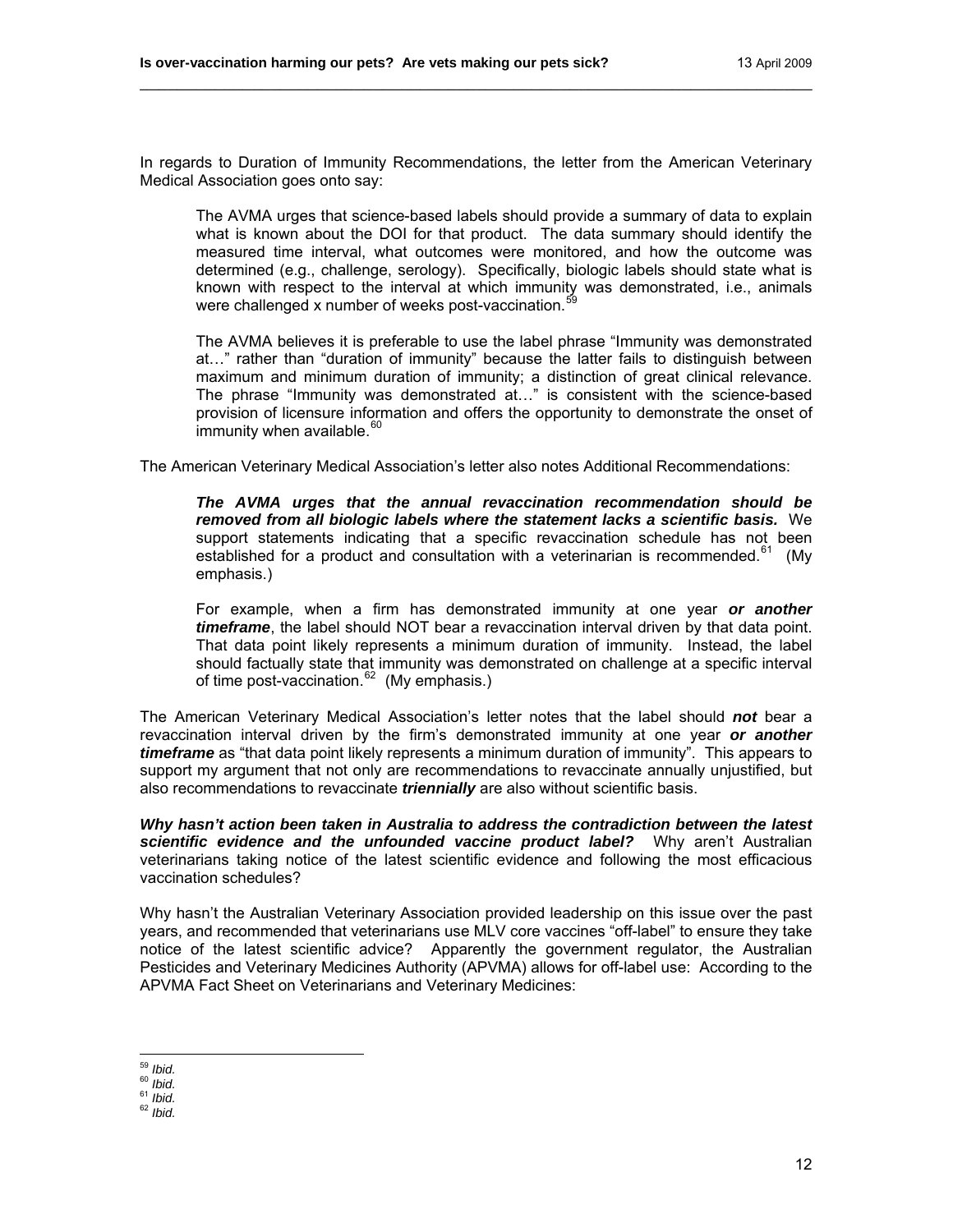In regards to Duration of Immunity Recommendations, the letter from the American Veterinary Medical Association goes onto say:

\_\_\_\_\_\_\_\_\_\_\_\_\_\_\_\_\_\_\_\_\_\_\_\_\_\_\_\_\_\_\_\_\_\_\_\_\_\_\_\_\_\_\_\_\_\_\_\_\_\_\_\_\_\_\_\_\_\_\_\_\_\_\_\_\_\_\_\_\_\_\_\_

The AVMA urges that science-based labels should provide a summary of data to explain what is known about the DOI for that product. The data summary should identify the measured time interval, what outcomes were monitored, and how the outcome was determined (e.g., challenge, serology). Specifically, biologic labels should state what is known with respect to the interval at which immunity was demonstrated, i.e., animals were challenged x number of weeks post-vaccination.<sup>5</sup>

The AVMA believes it is preferable to use the label phrase "Immunity was demonstrated at…" rather than "duration of immunity" because the latter fails to distinguish between maximum and minimum duration of immunity; a distinction of great clinical relevance. The phrase "Immunity was demonstrated at…" is consistent with the science-based provision of licensure information and offers the opportunity to demonstrate the onset of immunity when available.<sup>[60](#page-11-1)</sup>

The American Veterinary Medical Association's letter also notes Additional Recommendations:

*The AVMA urges that the annual revaccination recommendation should be removed from all biologic labels where the statement lacks a scientific basis.* We support statements indicating that a specific revaccination schedule has not been established for a product and consultation with a veterinarian is recommended.<sup>[61](#page-11-2)</sup> (My emphasis.)

For example, when a firm has demonstrated immunity at one year *or another timeframe*, the label should NOT bear a revaccination interval driven by that data point. That data point likely represents a minimum duration of immunity. Instead, the label should factually state that immunity was demonstrated on challenge at a specific interval of time post-vaccination.<sup>[62](#page-11-3)</sup> (My emphasis.)

The American Veterinary Medical Association's letter notes that the label should *not* bear a revaccination interval driven by the firm's demonstrated immunity at one year *or another timeframe* as "that data point likely represents a minimum duration of immunity". This appears to support my argument that not only are recommendations to revaccinate annually unjustified, but also recommendations to revaccinate *triennially* are also without scientific basis.

*Why hasn't action been taken in Australia to address the contradiction between the latest scientific evidence and the unfounded vaccine product label?* Why aren't Australian veterinarians taking notice of the latest scientific evidence and following the most efficacious vaccination schedules?

Why hasn't the Australian Veterinary Association provided leadership on this issue over the past years, and recommended that veterinarians use MLV core vaccines "off-label" to ensure they take notice of the latest scientific advice? Apparently the government regulator, the Australian Pesticides and Veterinary Medicines Authority (APVMA) allows for off-label use: According to the APVMA Fact Sheet on Veterinarians and Veterinary Medicines:

<span id="page-11-0"></span> $59$  Ibid.

<span id="page-11-3"></span><span id="page-11-2"></span>

<span id="page-11-1"></span><sup>59</sup> *Ibid.* 60 *Ibid.* 61 *Ibid.* 62 *Ibid.*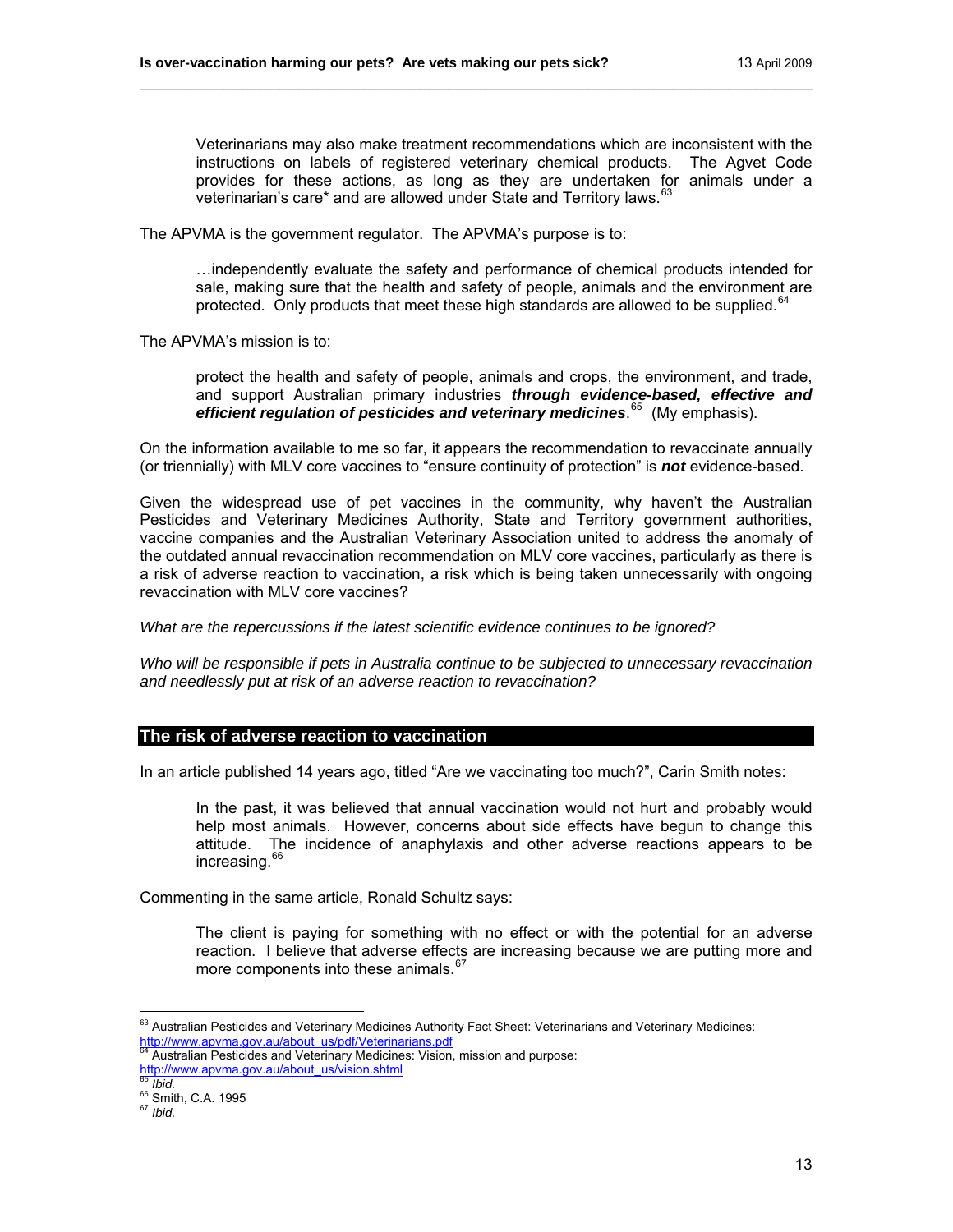Veterinarians may also make treatment recommendations which are inconsistent with the instructions on labels of registered veterinary chemical products. The Agvet Code provides for these actions, as long as they are undertaken for animals under a veterinarian's care\* and are allowed under State and Territory laws.<sup>[63](#page-12-0)</sup>

\_\_\_\_\_\_\_\_\_\_\_\_\_\_\_\_\_\_\_\_\_\_\_\_\_\_\_\_\_\_\_\_\_\_\_\_\_\_\_\_\_\_\_\_\_\_\_\_\_\_\_\_\_\_\_\_\_\_\_\_\_\_\_\_\_\_\_\_\_\_\_\_

The APVMA is the government regulator. The APVMA's purpose is to:

…independently evaluate the safety and performance of chemical products intended for sale, making sure that the health and safety of people, animals and the environment are protected. Only products that meet these high standards are allowed to be supplied.<sup>[64](#page-12-1)</sup>

The APVMA's mission is to:

protect the health and safety of people, animals and crops, the environment, and trade, and support Australian primary industries *through evidence-based, effective and efficient regulation of pesticides and veterinary medicines*. [65](#page-12-2) (My emphasis).

On the information available to me so far, it appears the recommendation to revaccinate annually (or triennially) with MLV core vaccines to "ensure continuity of protection" is *not* evidence-based.

Given the widespread use of pet vaccines in the community, why haven't the Australian Pesticides and Veterinary Medicines Authority, State and Territory government authorities, vaccine companies and the Australian Veterinary Association united to address the anomaly of the outdated annual revaccination recommendation on MLV core vaccines, particularly as there is a risk of adverse reaction to vaccination, a risk which is being taken unnecessarily with ongoing revaccination with MLV core vaccines?

*What are the repercussions if the latest scientific evidence continues to be ignored?* 

*Who will be responsible if pets in Australia continue to be subjected to unnecessary revaccination and needlessly put at risk of an adverse reaction to revaccination?* 

## **The risk of adverse reaction to vaccination**

In an article published 14 years ago, titled "Are we vaccinating too much?", Carin Smith notes:

In the past, it was believed that annual vaccination would not hurt and probably would help most animals. However, concerns about side effects have begun to change this attitude. The incidence of anaphylaxis and other adverse reactions appears to be increasing.<sup>[66](#page-12-3)</sup>

Commenting in the same article, Ronald Schultz says:

The client is paying for something with no effect or with the potential for an adverse reaction. I believe that adverse effects are increasing because we are putting more and more components into these animals.<sup>[67](#page-12-4)</sup>

<span id="page-12-0"></span> $\overline{a}$ <sup>63</sup> Australian Pesticides and Veterinary Medicines Authority Fact Sheet: Veterinarians and Veterinary Medicines: http://www.apvma.gov.au/about\_us/pdf/Veterinarians.pdf<br>http://www.apvma.gov.au/about\_us/pdf/Veterinarians.pdf<br><sup>84</sup> Australian Pesticides and Veterinary Medicines: Vision, mission and purpose:

<span id="page-12-1"></span>http://www.apvma.gov.au/about\_us/vision.shtml<br>
<sup>65</sup> *Ibid.*<br>
<sup>66</sup> Smith, C.A. 1995<br>
<sup>67</sup> *Ibid.* 

<span id="page-12-3"></span><span id="page-12-2"></span>

<span id="page-12-4"></span>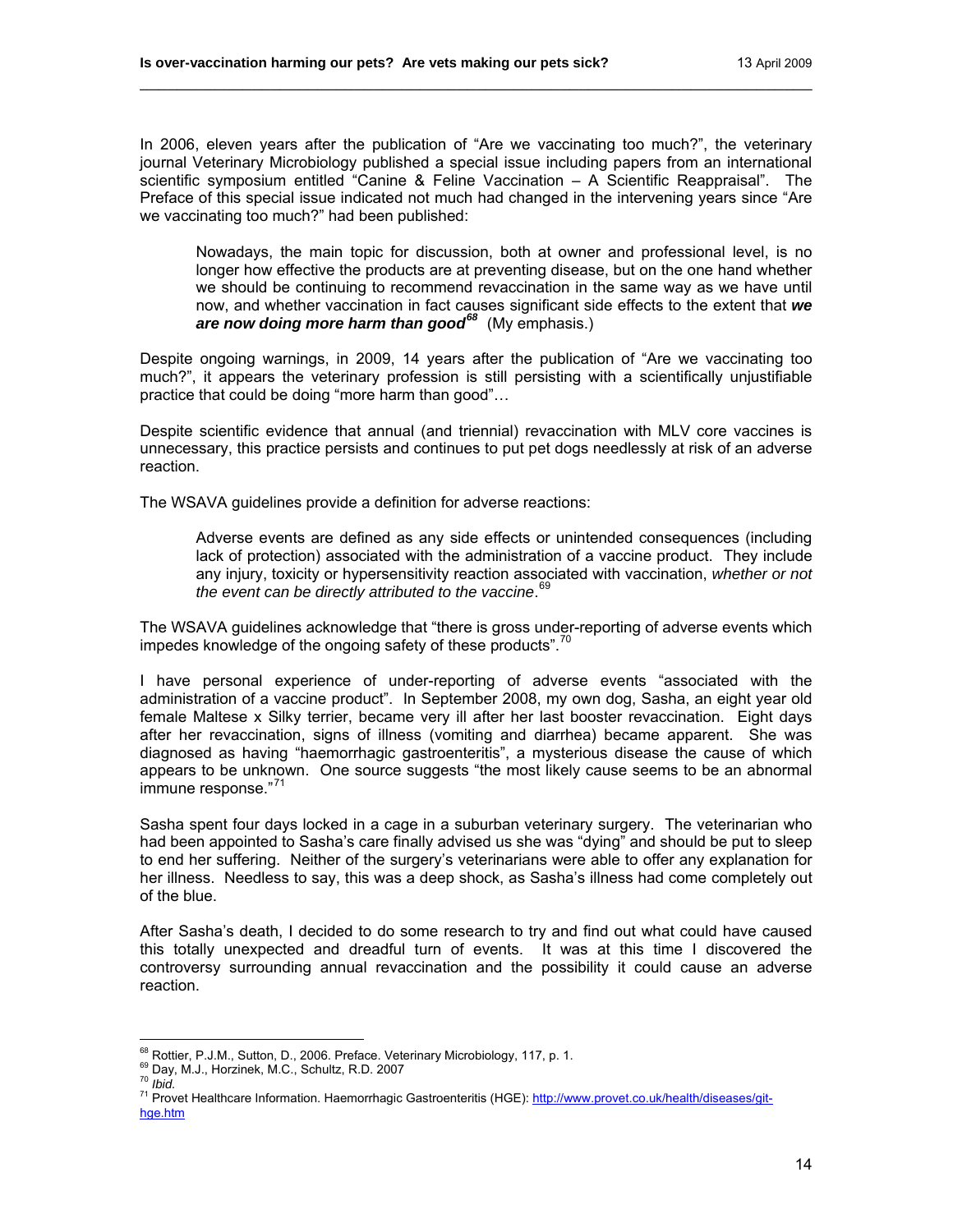In 2006, eleven years after the publication of "Are we vaccinating too much?", the veterinary journal Veterinary Microbiology published a special issue including papers from an international scientific symposium entitled "Canine & Feline Vaccination – A Scientific Reappraisal". The Preface of this special issue indicated not much had changed in the intervening years since "Are we vaccinating too much?" had been published:

\_\_\_\_\_\_\_\_\_\_\_\_\_\_\_\_\_\_\_\_\_\_\_\_\_\_\_\_\_\_\_\_\_\_\_\_\_\_\_\_\_\_\_\_\_\_\_\_\_\_\_\_\_\_\_\_\_\_\_\_\_\_\_\_\_\_\_\_\_\_\_\_

Nowadays, the main topic for discussion, both at owner and professional level, is no longer how effective the products are at preventing disease, but on the one hand whether we should be continuing to recommend revaccination in the same way as we have until now, and whether vaccination in fact causes significant side effects to the extent that *we are now doing more harm than good[68](#page-13-0)* (My emphasis.)

Despite ongoing warnings, in 2009, 14 years after the publication of "Are we vaccinating too much?", it appears the veterinary profession is still persisting with a scientifically unjustifiable practice that could be doing "more harm than good"…

Despite scientific evidence that annual (and triennial) revaccination with MLV core vaccines is unnecessary, this practice persists and continues to put pet dogs needlessly at risk of an adverse reaction.

The WSAVA guidelines provide a definition for adverse reactions:

Adverse events are defined as any side effects or unintended consequences (including lack of protection) associated with the administration of a vaccine product. They include any injury, toxicity or hypersensitivity reaction associated with vaccination, *whether or not the event can be directly attributed to the vaccine*. [69](#page-13-1)

The WSAVA guidelines acknowledge that "there is gross under-reporting of adverse events which impedes knowledge of the ongoing safety of these products".<sup>10</sup>

I have personal experience of under-reporting of adverse events "associated with the administration of a vaccine product". In September 2008, my own dog, Sasha, an eight year old female Maltese x Silky terrier, became very ill after her last booster revaccination. Eight days after her revaccination, signs of illness (vomiting and diarrhea) became apparent. She was diagnosed as having "haemorrhagic gastroenteritis", a mysterious disease the cause of which appears to be unknown. One source suggests "the most likely cause seems to be an abnormal immune response."<sup>[71](#page-13-3)</sup>

Sasha spent four days locked in a cage in a suburban veterinary surgery. The veterinarian who had been appointed to Sasha's care finally advised us she was "dying" and should be put to sleep to end her suffering. Neither of the surgery's veterinarians were able to offer any explanation for her illness. Needless to say, this was a deep shock, as Sasha's illness had come completely out of the blue.

After Sasha's death, I decided to do some research to try and find out what could have caused this totally unexpected and dreadful turn of events. It was at this time I discovered the controversy surrounding annual revaccination and the possibility it could cause an adverse reaction.

<sup>68</sup> Rottier. P.J.M., Sutton, D., 2006. Preface. Veterinary Microbiology, 117, p. 1.

<span id="page-13-3"></span>

<span id="page-13-2"></span><span id="page-13-1"></span><span id="page-13-0"></span>to the Unit, M.J., Horzinek, M.C., Schultz, R.D. 2007<br><sup>70</sup> Ibid.<br><sup>71</sup> Provet Healthcare Information. Haemorrhagic Gastroenteritis (HGE): [http://www.provet.co.uk/health/diseases/git](http://www.provet.co.uk/health/diseases/git-hge.htm)[hge.htm](http://www.provet.co.uk/health/diseases/git-hge.htm)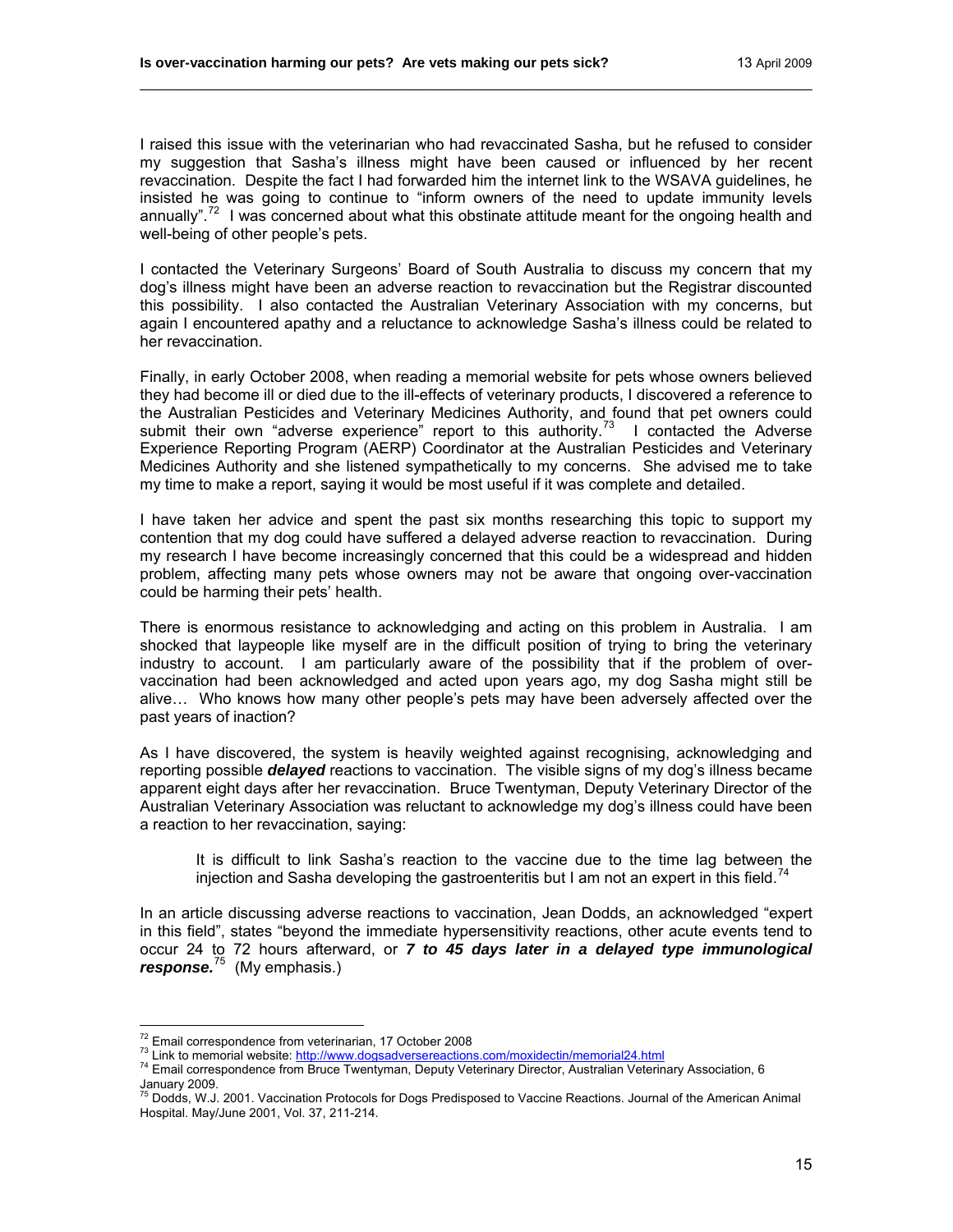I raised this issue with the veterinarian who had revaccinated Sasha, but he refused to consider my suggestion that Sasha's illness might have been caused or influenced by her recent revaccination. Despite the fact I had forwarded him the internet link to the WSAVA guidelines, he insisted he was going to continue to "inform owners of the need to update immunity levels annually".<sup>[72](#page-14-0)</sup> I was concerned about what this obstinate attitude meant for the ongoing health and well-being of other people's pets.

\_\_\_\_\_\_\_\_\_\_\_\_\_\_\_\_\_\_\_\_\_\_\_\_\_\_\_\_\_\_\_\_\_\_\_\_\_\_\_\_\_\_\_\_\_\_\_\_\_\_\_\_\_\_\_\_\_\_\_\_\_\_\_\_\_\_\_\_\_\_\_\_

I contacted the Veterinary Surgeons' Board of South Australia to discuss my concern that my dog's illness might have been an adverse reaction to revaccination but the Registrar discounted this possibility. I also contacted the Australian Veterinary Association with my concerns, but again I encountered apathy and a reluctance to acknowledge Sasha's illness could be related to her revaccination.

Finally, in early October 2008, when reading a memorial website for pets whose owners believed they had become ill or died due to the ill-effects of veterinary products, I discovered a reference to the Australian Pesticides and Veterinary Medicines Authority, and found that pet owners could submit their own "adverse experience" report to this authority.<sup>[73](#page-14-1)</sup> I contacted the Adverse Experience Reporting Program (AERP) Coordinator at the Australian Pesticides and Veterinary Medicines Authority and she listened sympathetically to my concerns. She advised me to take my time to make a report, saying it would be most useful if it was complete and detailed.

I have taken her advice and spent the past six months researching this topic to support my contention that my dog could have suffered a delayed adverse reaction to revaccination. During my research I have become increasingly concerned that this could be a widespread and hidden problem, affecting many pets whose owners may not be aware that ongoing over-vaccination could be harming their pets' health.

There is enormous resistance to acknowledging and acting on this problem in Australia. I am shocked that laypeople like myself are in the difficult position of trying to bring the veterinary industry to account. I am particularly aware of the possibility that if the problem of overvaccination had been acknowledged and acted upon years ago, my dog Sasha might still be alive… Who knows how many other people's pets may have been adversely affected over the past years of inaction?

As I have discovered, the system is heavily weighted against recognising, acknowledging and reporting possible *delayed* reactions to vaccination. The visible signs of my dog's illness became apparent eight days after her revaccination. Bruce Twentyman, Deputy Veterinary Director of the Australian Veterinary Association was reluctant to acknowledge my dog's illness could have been a reaction to her revaccination, saying:

It is difficult to link Sasha's reaction to the vaccine due to the time lag between the injection and Sasha developing the gastroenteritis but I am not an expert in this field.<sup>[74](#page-14-2)</sup>

In an article discussing adverse reactions to vaccination, Jean Dodds, an acknowledged "expert in this field", states "beyond the immediate hypersensitivity reactions, other acute events tend to occur 24 to 72 hours afterward, or *7 to 45 days later in a delayed type immunological response.*[75](#page-14-3) (My emphasis.)

<sup>&</sup>lt;sup>72</sup> Email correspondence from veterinarian, 17 October 2008

<span id="page-14-2"></span><span id="page-14-1"></span><span id="page-14-0"></span><sup>73</sup> Link to memorial website:<http://www.dogsadversereactions.com/moxidectin/memorial24.html><br><sup>74</sup> Email correspondence from Bruce Twentyman, Deputy Veterinary Director, Australian Veterinary Association, 6 January 2009.<br><sup>75</sup> Dodds, W.J. 2001. Vaccination Protocols for Dogs Predisposed to Vaccine Reactions. Journal of the American Animal

<span id="page-14-3"></span>Hospital. May/June 2001, Vol. 37, 211-214.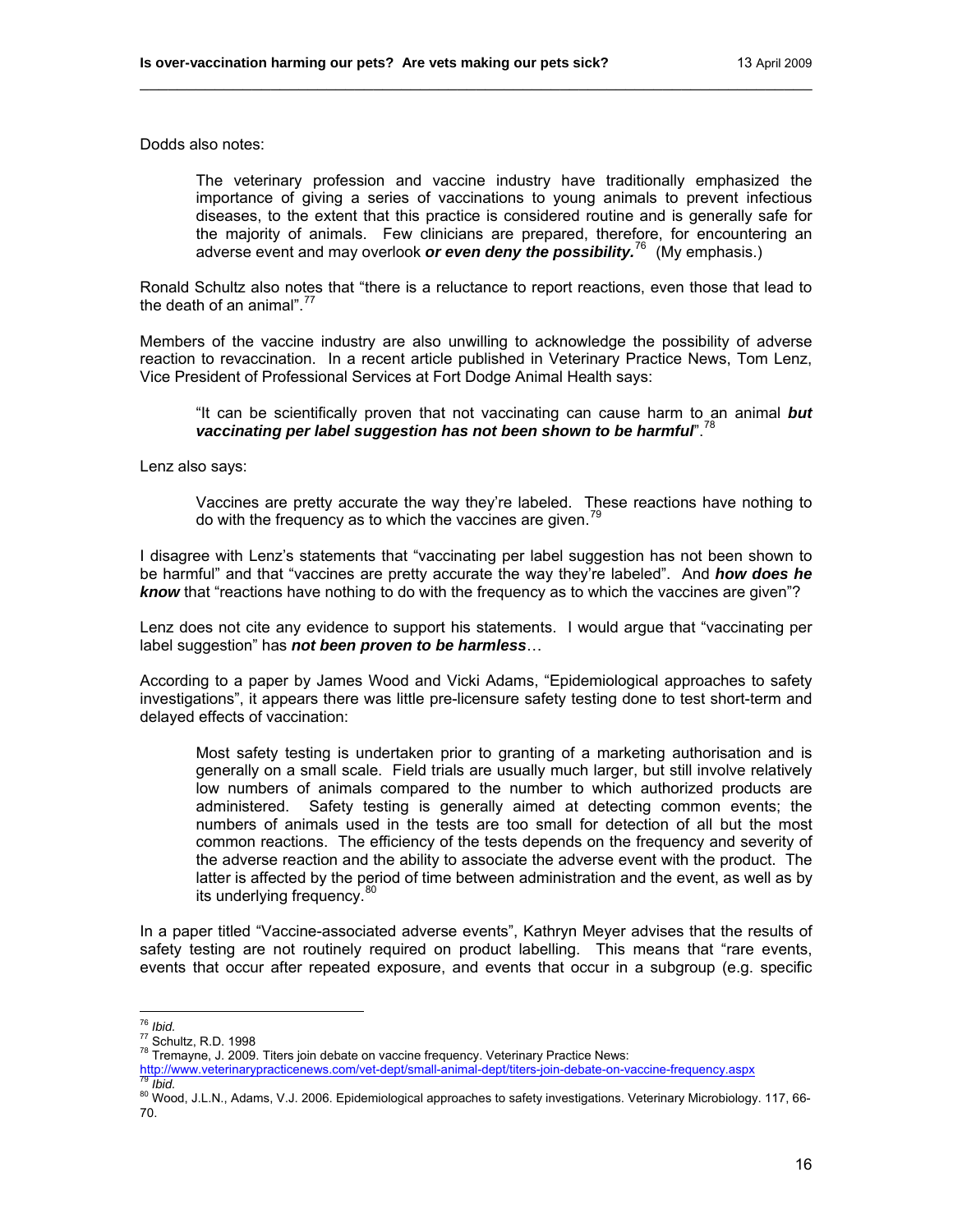Dodds also notes:

The veterinary profession and vaccine industry have traditionally emphasized the importance of giving a series of vaccinations to young animals to prevent infectious diseases, to the extent that this practice is considered routine and is generally safe for the majority of animals. Few clinicians are prepared, therefore, for encountering an adverse event and may overlook *or even deny the possibility.*[76](#page-15-0)(My emphasis.)

Ronald Schultz also notes that "there is a reluctance to report reactions, even those that lead to the death of an animal". $^{77}$  $^{77}$  $^{77}$ 

\_\_\_\_\_\_\_\_\_\_\_\_\_\_\_\_\_\_\_\_\_\_\_\_\_\_\_\_\_\_\_\_\_\_\_\_\_\_\_\_\_\_\_\_\_\_\_\_\_\_\_\_\_\_\_\_\_\_\_\_\_\_\_\_\_\_\_\_\_\_\_\_

Members of the vaccine industry are also unwilling to acknowledge the possibility of adverse reaction to revaccination. In a recent article published in Veterinary Practice News, Tom Lenz, Vice President of Professional Services at Fort Dodge Animal Health says:

"It can be scientifically proven that not vaccinating can cause harm to an animal *but vaccinating per label suggestion has not been shown to be harmful*".[78](#page-15-2)

Lenz also says:

Vaccines are pretty accurate the way they're labeled. These reactions have nothing to do with the frequency as to which the vaccines are given.<sup>[79](#page-15-3)</sup>

I disagree with Lenz's statements that "vaccinating per label suggestion has not been shown to be harmful" and that "vaccines are pretty accurate the way they're labeled". And *how does he know* that "reactions have nothing to do with the frequency as to which the vaccines are given"?

Lenz does not cite any evidence to support his statements. I would argue that "vaccinating per label suggestion" has *not been proven to be harmless*…

According to a paper by James Wood and Vicki Adams, "Epidemiological approaches to safety investigations", it appears there was little pre-licensure safety testing done to test short-term and delayed effects of vaccination:

Most safety testing is undertaken prior to granting of a marketing authorisation and is generally on a small scale. Field trials are usually much larger, but still involve relatively low numbers of animals compared to the number to which authorized products are administered. Safety testing is generally aimed at detecting common events; the numbers of animals used in the tests are too small for detection of all but the most common reactions. The efficiency of the tests depends on the frequency and severity of the adverse reaction and the ability to associate the adverse event with the product. The latter is affected by the period of time between administration and the event, as well as by its underlying frequency. [80](#page-15-4)

In a paper titled "Vaccine-associated adverse events", Kathryn Meyer advises that the results of safety testing are not routinely required on product labelling. This means that "rare events, events that occur after repeated exposure, and events that occur in a subgroup (e.g. specific

 $76$  Ibid.

<span id="page-15-1"></span><span id="page-15-0"></span><sup>&</sup>lt;sup>77</sup> Schultz, R.D. 1998<br><sup>78</sup> Tremayne, J. 2009. Titers join debate on vaccine frequency. Veterinary Practice News:

<span id="page-15-4"></span><span id="page-15-3"></span>

<span id="page-15-2"></span>Mather Contraction of the University Presention Practice News:<br>Althoritan American Computer Computer deptition of the University Practice News:<br>Altid.<br>Altion U.L.N., Adams, V.J. 2006. Epidemiological approaches to safety i 70.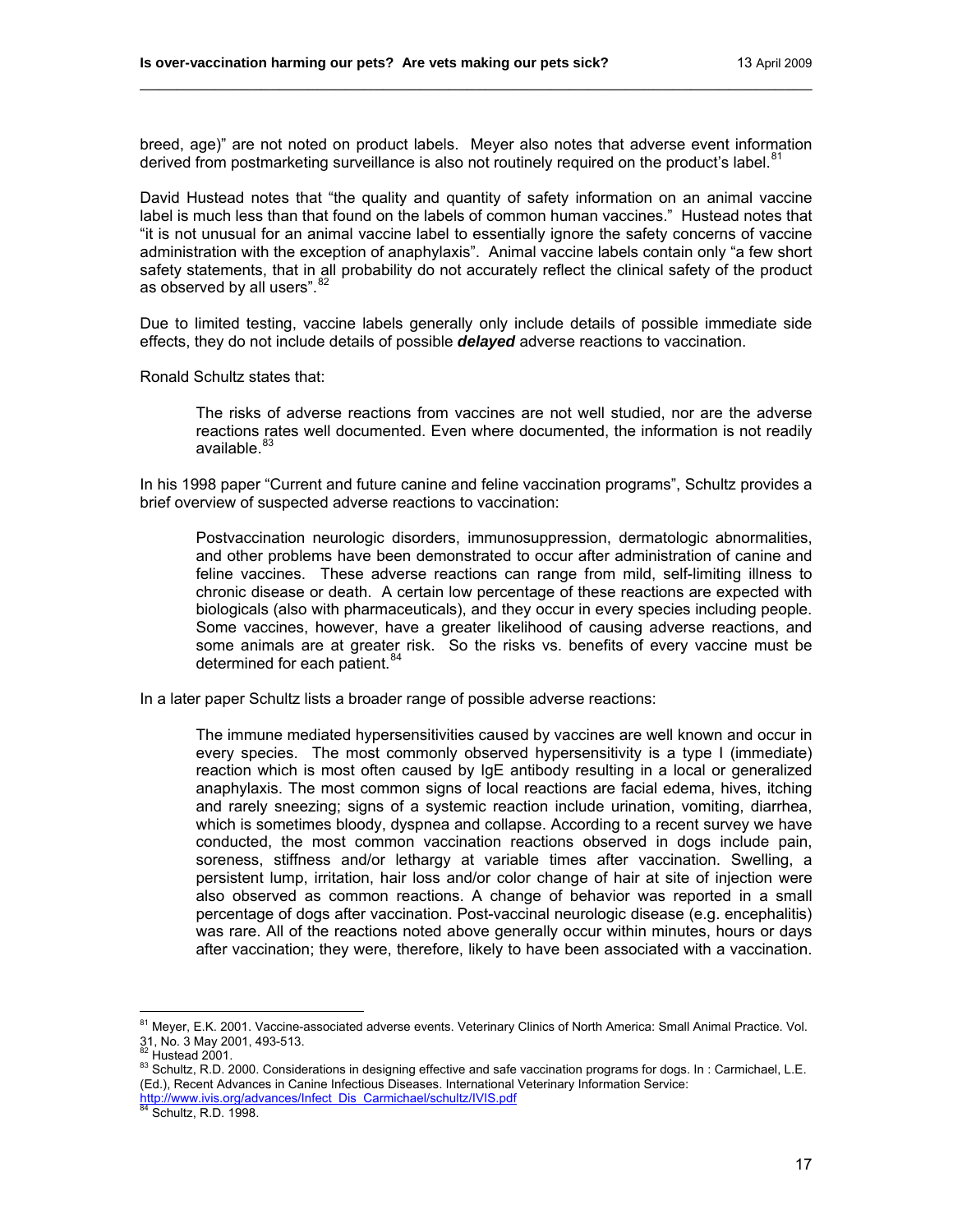breed, age)" are not noted on product labels. Meyer also notes that adverse event information derived from postmarketing surveillance is also not routinely required on the product's label.<sup>[81](#page-16-0)</sup>

\_\_\_\_\_\_\_\_\_\_\_\_\_\_\_\_\_\_\_\_\_\_\_\_\_\_\_\_\_\_\_\_\_\_\_\_\_\_\_\_\_\_\_\_\_\_\_\_\_\_\_\_\_\_\_\_\_\_\_\_\_\_\_\_\_\_\_\_\_\_\_\_

David Hustead notes that "the quality and quantity of safety information on an animal vaccine label is much less than that found on the labels of common human vaccines." Hustead notes that "it is not unusual for an animal vaccine label to essentially ignore the safety concerns of vaccine administration with the exception of anaphylaxis". Animal vaccine labels contain only "a few short safety statements, that in all probability do not accurately reflect the clinical safety of the product as observed by all users". <sup>[82](#page-16-1)</sup>

Due to limited testing, vaccine labels generally only include details of possible immediate side effects, they do not include details of possible *delayed* adverse reactions to vaccination.

Ronald Schultz states that:

The risks of adverse reactions from vaccines are not well studied, nor are the adverse reactions rates well documented. Even where documented, the information is not readily available.<sup>8</sup>

In his 1998 paper "Current and future canine and feline vaccination programs", Schultz provides a brief overview of suspected adverse reactions to vaccination:

Postvaccination neurologic disorders, immunosuppression, dermatologic abnormalities, and other problems have been demonstrated to occur after administration of canine and feline vaccines. These adverse reactions can range from mild, self-limiting illness to chronic disease or death. A certain low percentage of these reactions are expected with biologicals (also with pharmaceuticals), and they occur in every species including people. Some vaccines, however, have a greater likelihood of causing adverse reactions, and some animals are at greater risk. So the risks vs. benefits of every vaccine must be determined for each patient.<sup>[84](#page-16-3)</sup>

In a later paper Schultz lists a broader range of possible adverse reactions:

The immune mediated hypersensitivities caused by vaccines are well known and occur in every species. The most commonly observed hypersensitivity is a type I (immediate) reaction which is most often caused by IgE antibody resulting in a local or generalized anaphylaxis. The most common signs of local reactions are facial edema, hives, itching and rarely sneezing; signs of a systemic reaction include urination, vomiting, diarrhea, which is sometimes bloody, dyspnea and collapse. According to a recent survey we have conducted, the most common vaccination reactions observed in dogs include pain, soreness, stiffness and/or lethargy at variable times after vaccination. Swelling, a persistent lump, irritation, hair loss and/or color change of hair at site of injection were also observed as common reactions. A change of behavior was reported in a small percentage of dogs after vaccination. Post-vaccinal neurologic disease (e.g. encephalitis) was rare. All of the reactions noted above generally occur within minutes, hours or days after vaccination; they were, therefore, likely to have been associated with a vaccination.

<span id="page-16-0"></span><sup>&</sup>lt;sup>81</sup> Meyer, E.K. 2001. Vaccine-associated adverse events. Veterinary Clinics of North America: Small Animal Practice. Vol. 31, No. 3 May 2001, 493-513.<br><sup>82</sup> Hustead 2001.

<span id="page-16-2"></span><span id="page-16-1"></span><sup>83</sup> Schultz, R.D. 2000. Considerations in designing effective and safe vaccination programs for dogs. In: Carmichael, L.E. (Ed.), Recent Advances in Canine Infectious Diseases. International Veterinary Information Service: http://www.ivis.org/advances/Infect\_Dis\_Carmichael/schultz/IVIS.pdf 84 Schultz, R.D. 1998.

<span id="page-16-3"></span>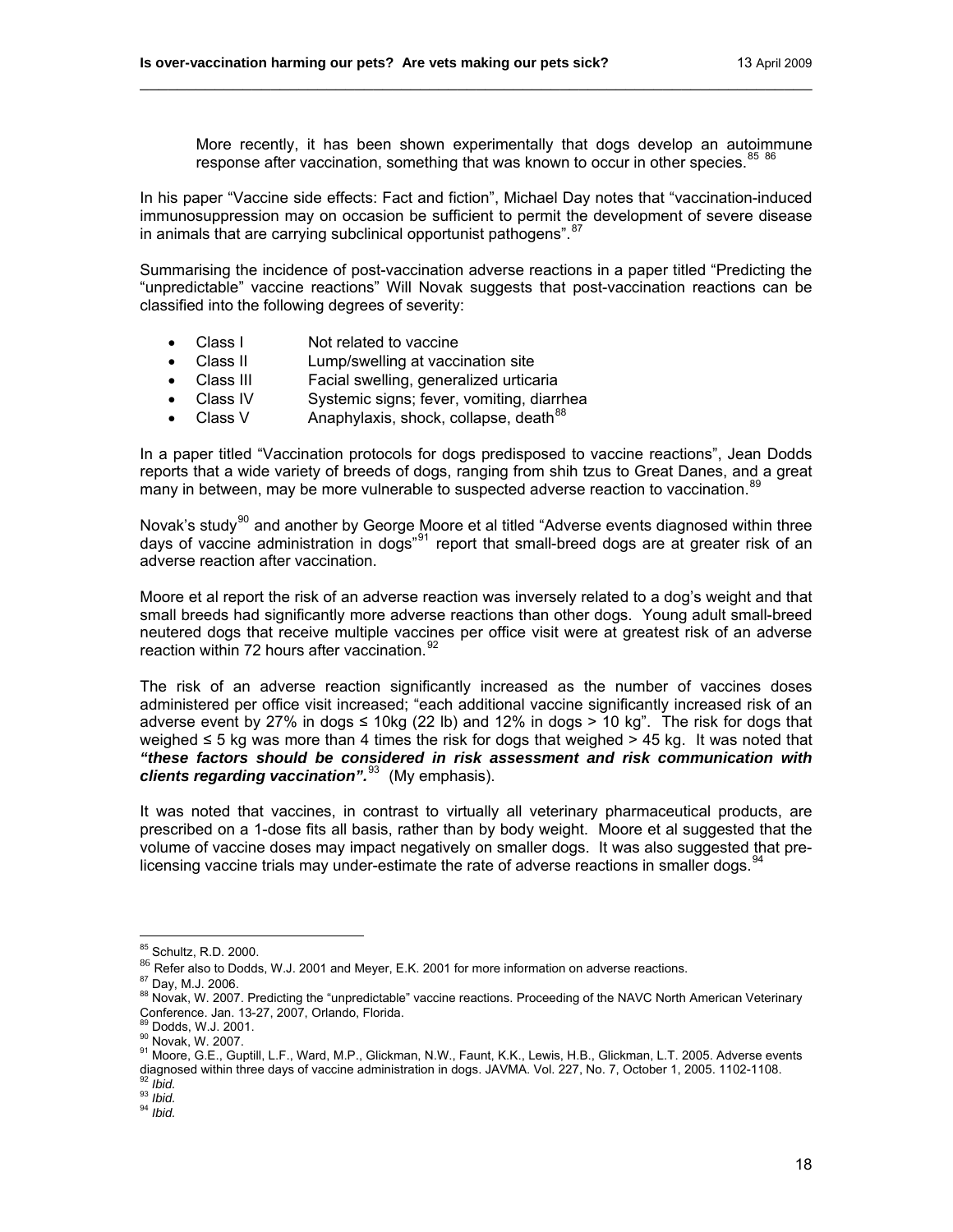More recently, it has been shown experimentally that dogs develop an autoimmune response after vaccination, something that was known to occur in other species.<sup>[85](#page-17-0) [86](#page-17-1)</sup>

In his paper "Vaccine side effects: Fact and fiction", Michael Day notes that "vaccination-induced immunosuppression may on occasion be sufficient to permit the development of severe disease in animals that are carrying subclinical opportunist pathogens". <sup>[87](#page-17-2)</sup>

\_\_\_\_\_\_\_\_\_\_\_\_\_\_\_\_\_\_\_\_\_\_\_\_\_\_\_\_\_\_\_\_\_\_\_\_\_\_\_\_\_\_\_\_\_\_\_\_\_\_\_\_\_\_\_\_\_\_\_\_\_\_\_\_\_\_\_\_\_\_\_\_

Summarising the incidence of post-vaccination adverse reactions in a paper titled "Predicting the "unpredictable" vaccine reactions" Will Novak suggests that post-vaccination reactions can be classified into the following degrees of severity:

- Class I Not related to vaccine
- Class II Lump/swelling at vaccination site
- Class III Facial swelling, generalized urticaria
- Class IV Systemic signs; fever, vomiting, diarrhea
- Class V  $\sim$  Anaphylaxis, shock, collapse, death  $88$

In a paper titled "Vaccination protocols for dogs predisposed to vaccine reactions", Jean Dodds reports that a wide variety of breeds of dogs, ranging from shih tzus to Great Danes, and a great many in between, may be more vulnerable to suspected adverse reaction to vaccination.<sup>[89](#page-17-4)</sup>

Novak's study<sup>[90](#page-17-5)</sup> and another by George Moore et al titled "Adverse events diagnosed within three days of vaccine administration in dogs<sup>"[91](#page-17-6)</sup> report that small-breed dogs are at greater risk of an adverse reaction after vaccination.

Moore et al report the risk of an adverse reaction was inversely related to a dog's weight and that small breeds had significantly more adverse reactions than other dogs. Young adult small-breed neutered dogs that receive multiple vaccines per office visit were at greatest risk of an adverse reaction within 72 hours after vaccination.<sup>[92](#page-17-7)</sup>

The risk of an adverse reaction significantly increased as the number of vaccines doses administered per office visit increased; "each additional vaccine significantly increased risk of an adverse event by 27% in dogs ≤ 10kg (22 lb) and 12% in dogs > 10 kg". The risk for dogs that weighed ≤ 5 kg was more than 4 times the risk for dogs that weighed > 45 kg. It was noted that *"these factors should be considered in risk assessment and risk communication with clients regarding vaccination".*[93](#page-17-8)(My emphasis).

It was noted that vaccines, in contrast to virtually all veterinary pharmaceutical products, are prescribed on a 1-dose fits all basis, rather than by body weight. Moore et al suggested that the volume of vaccine doses may impact negatively on smaller dogs. It was also suggested that prelicensing vaccine trials may under-estimate the rate of adverse reactions in smaller dogs.  $94$ 

<span id="page-17-7"></span>

<sup>&</sup>lt;sup>85</sup> Schultz, R.D. 2000.

<span id="page-17-1"></span><span id="page-17-0"></span><sup>86</sup> Refer also to Dodds, W.J. 2001 and Meyer, E.K. 2001 for more information on adverse reactions.<br><sup>87</sup> Day, M.J. 2006.

<span id="page-17-3"></span><span id="page-17-2"></span><sup>88</sup> Novak, W. 2007. Predicting the "unpredictable" vaccine reactions. Proceeding of the NAVC North American Veterinary Conference. Jan. 13-27, 2007, Orlando, Florida.<br><sup>89</sup> Dodds, W.J. 2001.

<span id="page-17-6"></span><span id="page-17-5"></span><span id="page-17-4"></span><sup>90</sup> Dodds, W.C. 2007.<br>90 Novak, W. 2007.<br>91 Moore, G.E., Guptill, L.F., Ward, M.P., Glickman, N.W., Faunt, K.K., Lewis, H.B., Glickman, L.T. 2005. Adverse events diagnosed within three days of vaccine administration in dogs. JAVMA. Vol. 227, No. 7, October 1, 2005. Adverse eve<br><sup>92</sup> *Ibid.* 93 *Ibid.* 93 *Ibid.* 94 *Ibid.* 94 *Ibid.* 94 *Ibid.* 94 *Ibid.* 94 *Ibid.* 94 *Ibid.* 94 *I* 

<span id="page-17-9"></span><span id="page-17-8"></span>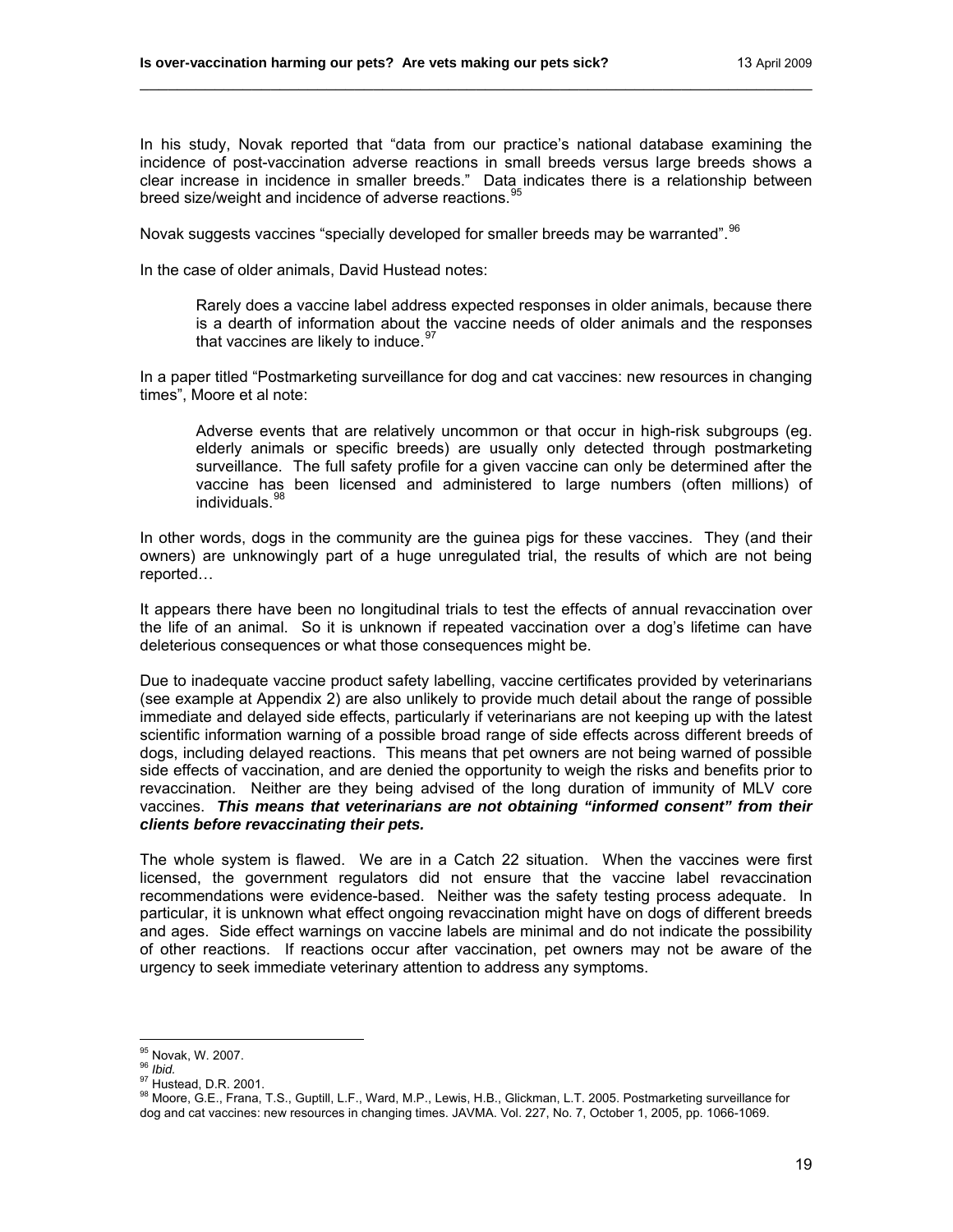In his study, Novak reported that "data from our practice's national database examining the incidence of post-vaccination adverse reactions in small breeds versus large breeds shows a clear increase in incidence in smaller breeds." Data indicates there is a relationship between breed size/weight and incidence of adverse reactions.<sup>[95](#page-18-0)</sup>

\_\_\_\_\_\_\_\_\_\_\_\_\_\_\_\_\_\_\_\_\_\_\_\_\_\_\_\_\_\_\_\_\_\_\_\_\_\_\_\_\_\_\_\_\_\_\_\_\_\_\_\_\_\_\_\_\_\_\_\_\_\_\_\_\_\_\_\_\_\_\_\_

Novak suggests vaccines "specially developed for smaller breeds may be warranted". <sup>[96](#page-18-1)</sup>

In the case of older animals, David Hustead notes:

Rarely does a vaccine label address expected responses in older animals, because there is a dearth of information about the vaccine needs of older animals and the responses that vaccines are likely to induce. $97$ 

In a paper titled "Postmarketing surveillance for dog and cat vaccines: new resources in changing times", Moore et al note:

Adverse events that are relatively uncommon or that occur in high-risk subgroups (eg. elderly animals or specific breeds) are usually only detected through postmarketing surveillance. The full safety profile for a given vaccine can only be determined after the vaccine has been licensed and administered to large numbers (often millions) of individuals.

In other words, dogs in the community are the guinea pigs for these vaccines. They (and their owners) are unknowingly part of a huge unregulated trial, the results of which are not being reported…

It appears there have been no longitudinal trials to test the effects of annual revaccination over the life of an animal. So it is unknown if repeated vaccination over a dog's lifetime can have deleterious consequences or what those consequences might be.

Due to inadequate vaccine product safety labelling, vaccine certificates provided by veterinarians (see example at Appendix 2) are also unlikely to provide much detail about the range of possible immediate and delayed side effects, particularly if veterinarians are not keeping up with the latest scientific information warning of a possible broad range of side effects across different breeds of dogs, including delayed reactions. This means that pet owners are not being warned of possible side effects of vaccination, and are denied the opportunity to weigh the risks and benefits prior to revaccination. Neither are they being advised of the long duration of immunity of MLV core vaccines. *This means that veterinarians are not obtaining "informed consent" from their clients before revaccinating their pets.*

The whole system is flawed. We are in a Catch 22 situation. When the vaccines were first licensed, the government regulators did not ensure that the vaccine label revaccination recommendations were evidence-based. Neither was the safety testing process adequate. In particular, it is unknown what effect ongoing revaccination might have on dogs of different breeds and ages. Side effect warnings on vaccine labels are minimal and do not indicate the possibility of other reactions. If reactions occur after vaccination, pet owners may not be aware of the urgency to seek immediate veterinary attention to address any symptoms.

<span id="page-18-0"></span><sup>95</sup> Novak, W. 2007.

<span id="page-18-3"></span>

<span id="page-18-2"></span><span id="page-18-1"></span><sup>96</sup> *Ibid.*<br><sup>96</sup> *Ibid.*<br><sup>97</sup> Hustead, D.R. 2001.<br><sup>98</sup> Moore, G.E., Frana, T.S., Guptill, L.F., Ward, M.P., Lewis, H.B., Glickman, L.T. 2005. Postmarketing surveillance for dog and cat vaccines: new resources in changing times. JAVMA. Vol. 227, No. 7, October 1, 2005, pp. 1066-1069.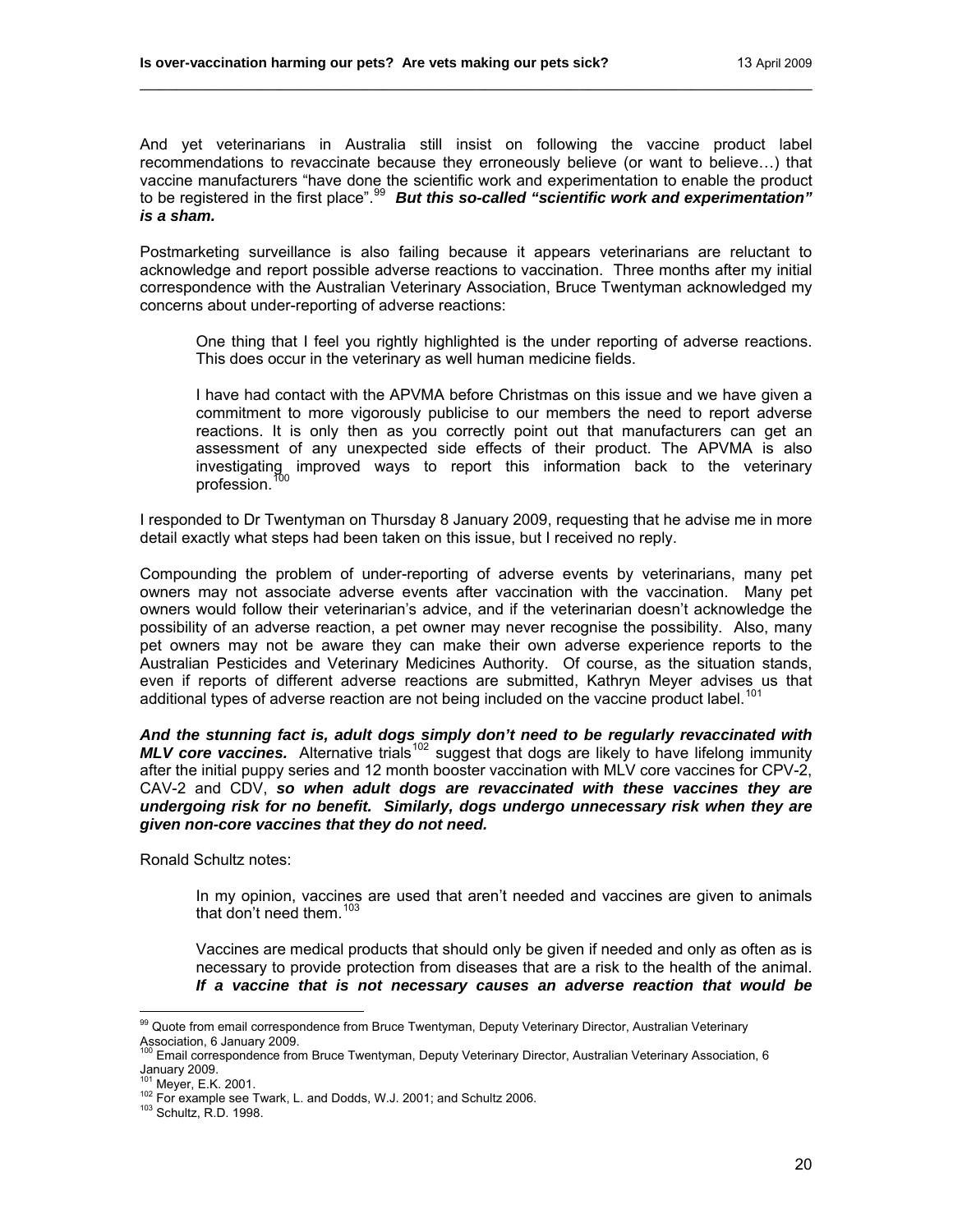And yet veterinarians in Australia still insist on following the vaccine product label recommendations to revaccinate because they erroneously believe (or want to believe…) that vaccine manufacturers "have done the scientific work and experimentation to enable the product to be registered in the first place".<sup>[99](#page-19-0)</sup> *But this so-called "scientific work and experimentation" is a sham.*

\_\_\_\_\_\_\_\_\_\_\_\_\_\_\_\_\_\_\_\_\_\_\_\_\_\_\_\_\_\_\_\_\_\_\_\_\_\_\_\_\_\_\_\_\_\_\_\_\_\_\_\_\_\_\_\_\_\_\_\_\_\_\_\_\_\_\_\_\_\_\_\_

Postmarketing surveillance is also failing because it appears veterinarians are reluctant to acknowledge and report possible adverse reactions to vaccination. Three months after my initial correspondence with the Australian Veterinary Association, Bruce Twentyman acknowledged my concerns about under-reporting of adverse reactions:

One thing that I feel you rightly highlighted is the under reporting of adverse reactions. This does occur in the veterinary as well human medicine fields.

I have had contact with the APVMA before Christmas on this issue and we have given a commitment to more vigorously publicise to our members the need to report adverse reactions. It is only then as you correctly point out that manufacturers can get an assessment of any unexpected side effects of their product. The APVMA is also investigating improved ways to report this information back to the veterinary profession.<sup>1</sup>

I responded to Dr Twentyman on Thursday 8 January 2009, requesting that he advise me in more detail exactly what steps had been taken on this issue, but I received no reply.

Compounding the problem of under-reporting of adverse events by veterinarians, many pet owners may not associate adverse events after vaccination with the vaccination. Many pet owners would follow their veterinarian's advice, and if the veterinarian doesn't acknowledge the possibility of an adverse reaction, a pet owner may never recognise the possibility. Also, many pet owners may not be aware they can make their own adverse experience reports to the Australian Pesticides and Veterinary Medicines Authority. Of course, as the situation stands, even if reports of different adverse reactions are submitted, Kathryn Meyer advises us that additional types of adverse reaction are not being included on the vaccine product label.<sup>10</sup>

*And the stunning fact is, adult dogs simply don't need to be regularly revaccinated with MLV core vaccines.* Alternative trials<sup>[102](#page-19-3)</sup> suggest that dogs are likely to have lifelong immunity *MLV core vaccines.* Alternative trials<sup>102</sup> suggest that dogs are likely to have lifelong immunity after the initial puppy series and 12 month booster vaccination with MLV core vaccines for CPV-2, CAV-2 and CDV, *so when adult dogs are revaccinated with these vaccines they are undergoing risk for no benefit. Similarly, dogs undergo unnecessary risk when they are given non-core vaccines that they do not need.* 

Ronald Schultz notes:

In my opinion, vaccines are used that aren't needed and vaccines are given to animals that don't need them. $103$ 

Vaccines are medical products that should only be given if needed and only as often as is necessary to provide protection from diseases that are a risk to the health of the animal. *If a vaccine that is not necessary causes an adverse reaction that would be* 

<span id="page-19-0"></span><sup>&</sup>lt;sup>99</sup> Quote from email correspondence from Bruce Twentyman, Deputy Veterinary Director, Australian Veterinary Association, 6 January 2009.<br><sup>100</sup> Email correspondence from Bruce Twentyman, Deputy Veterinary Director, Australian Veterinary Association, 6

<span id="page-19-1"></span>المسيسية<br>January 2009.<br><sup>101</sup> Mever. E.K. 2001.

<span id="page-19-4"></span><span id="page-19-3"></span><span id="page-19-2"></span> $102$  For example see Twark, L. and Dodds, W.J. 2001; and Schultz 2006.<br> $103$  Schultz, R.D. 1998.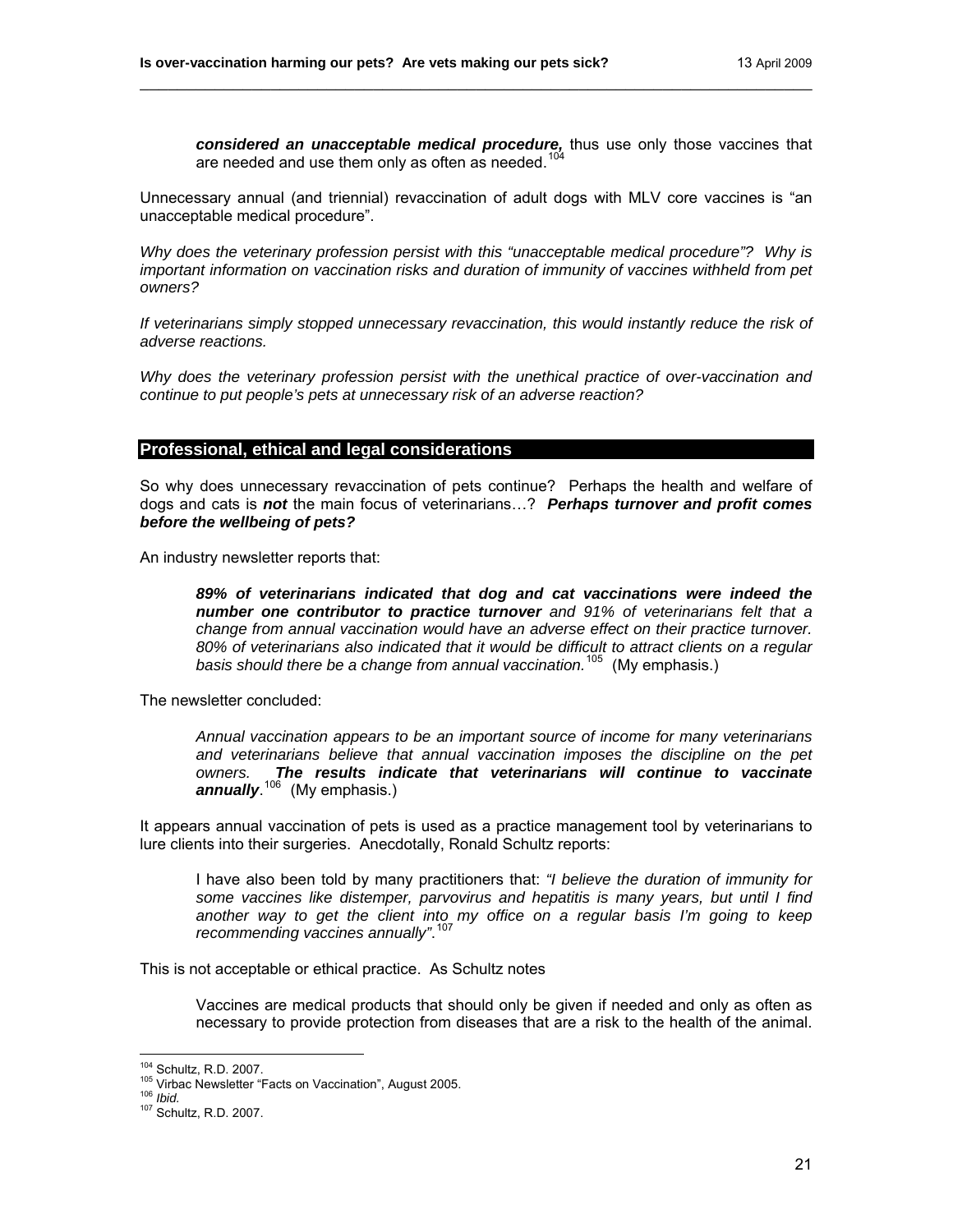*considered an unacceptable medical procedure,* thus use only those vaccines that are needed and use them only as often as needed.<sup>[104](#page-20-0)</sup>

Unnecessary annual (and triennial) revaccination of adult dogs with MLV core vaccines is "an unacceptable medical procedure".

\_\_\_\_\_\_\_\_\_\_\_\_\_\_\_\_\_\_\_\_\_\_\_\_\_\_\_\_\_\_\_\_\_\_\_\_\_\_\_\_\_\_\_\_\_\_\_\_\_\_\_\_\_\_\_\_\_\_\_\_\_\_\_\_\_\_\_\_\_\_\_\_

*Why does the veterinary profession persist with this "unacceptable medical procedure"? Why is important information on vaccination risks and duration of immunity of vaccines withheld from pet owners?* 

*If veterinarians simply stopped unnecessary revaccination, this would instantly reduce the risk of adverse reactions.* 

*Why does the veterinary profession persist with the unethical practice of over-vaccination and continue to put people's pets at unnecessary risk of an adverse reaction?* 

#### **Professional, ethical and legal considerations**

So why does unnecessary revaccination of pets continue? Perhaps the health and welfare of dogs and cats is *not* the main focus of veterinarians…? *Perhaps turnover and profit comes before the wellbeing of pets?*

An industry newsletter reports that:

*89% of veterinarians indicated that dog and cat vaccinations were indeed the number one contributor to practice turnover and 91% of veterinarians felt that a change from annual vaccination would have an adverse effect on their practice turnover. 80% of veterinarians also indicated that it would be difficult to attract clients on a regular basis should there be a change from annual vaccination.*[105](#page-20-1) (My emphasis.)

The newsletter concluded:

*Annual vaccination appears to be an important source of income for many veterinarians and veterinarians believe that annual vaccination imposes the discipline on the pet owners. The results indicate that veterinarians will continue to vaccinate annually*. [106](#page-20-2) (My emphasis.)

It appears annual vaccination of pets is used as a practice management tool by veterinarians to lure clients into their surgeries. Anecdotally, Ronald Schultz reports:

I have also been told by many practitioners that: *"I believe the duration of immunity for some vaccines like distemper, parvovirus and hepatitis is many years, but until I find another way to get the client into my office on a regular basis I'm going to keep recommending vaccines annually"*. [107](#page-20-3)

This is not acceptable or ethical practice. As Schultz notes

Vaccines are medical products that should only be given if needed and only as often as necessary to provide protection from diseases that are a risk to the health of the animal.

<sup>&</sup>lt;sup>104</sup> Schultz, R.D. 2007.

<span id="page-20-2"></span><span id="page-20-1"></span><span id="page-20-0"></span><sup>105</sup> Virbac Newsletter "Facts on Vaccination", August 2005.<br><sup>106</sup> *Ibid.* 107 Schultz, R.D. 2007.

<span id="page-20-3"></span>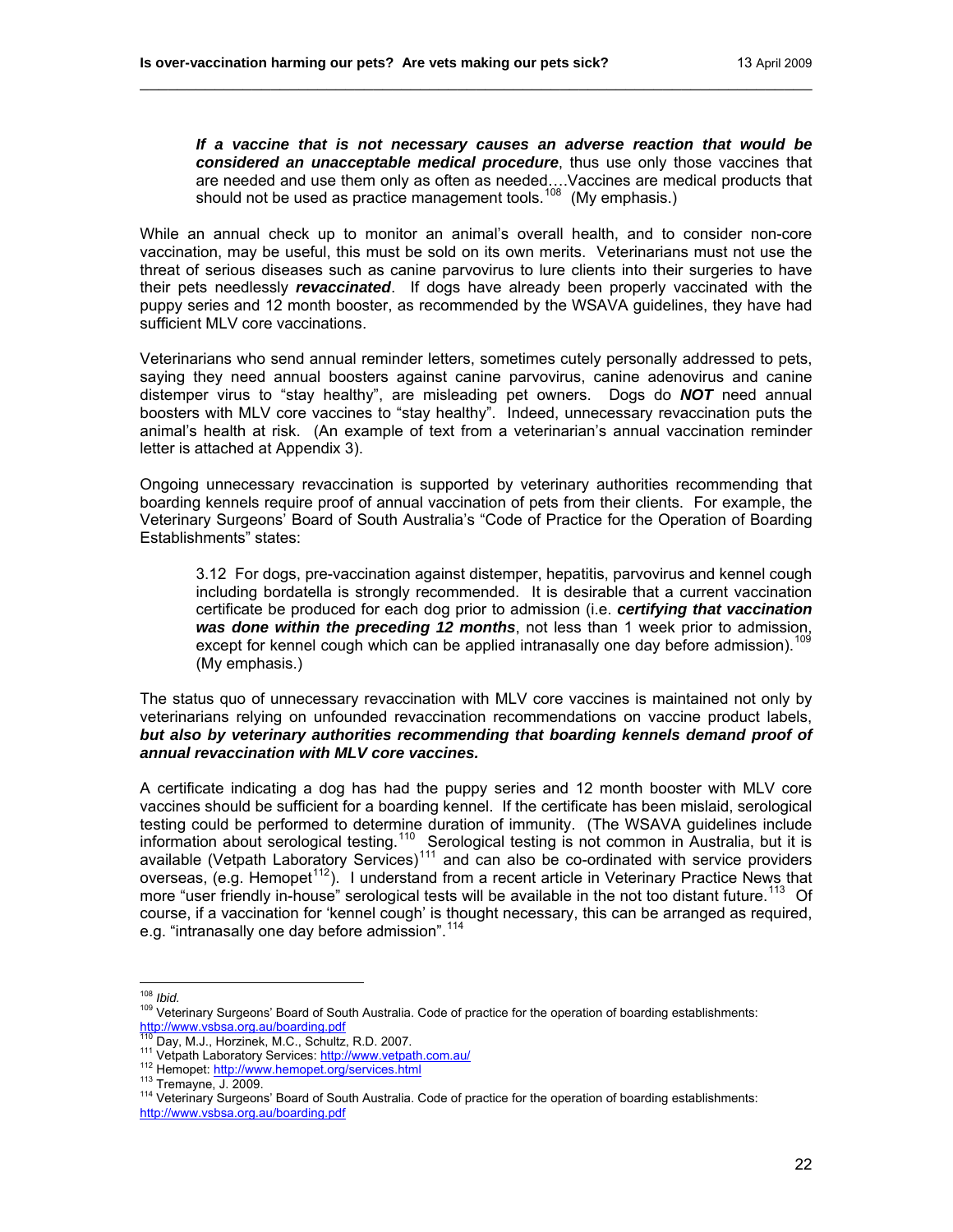*If a vaccine that is not necessary causes an adverse reaction that would be considered an unacceptable medical procedure*, thus use only those vaccines that are needed and use them only as often as needed….Vaccines are medical products that should not be used as practice management tools.<sup>[108](#page-21-0)</sup> (My emphasis.)

While an annual check up to monitor an animal's overall health, and to consider non-core vaccination, may be useful, this must be sold on its own merits. Veterinarians must not use the threat of serious diseases such as canine parvovirus to lure clients into their surgeries to have their pets needlessly *revaccinated*. If dogs have already been properly vaccinated with the puppy series and 12 month booster, as recommended by the WSAVA guidelines, they have had sufficient MLV core vaccinations.

\_\_\_\_\_\_\_\_\_\_\_\_\_\_\_\_\_\_\_\_\_\_\_\_\_\_\_\_\_\_\_\_\_\_\_\_\_\_\_\_\_\_\_\_\_\_\_\_\_\_\_\_\_\_\_\_\_\_\_\_\_\_\_\_\_\_\_\_\_\_\_\_

Veterinarians who send annual reminder letters, sometimes cutely personally addressed to pets, saying they need annual boosters against canine parvovirus, canine adenovirus and canine distemper virus to "stay healthy", are misleading pet owners. Dogs do *NOT* need annual boosters with MLV core vaccines to "stay healthy". Indeed, unnecessary revaccination puts the animal's health at risk. (An example of text from a veterinarian's annual vaccination reminder letter is attached at Appendix 3).

Ongoing unnecessary revaccination is supported by veterinary authorities recommending that boarding kennels require proof of annual vaccination of pets from their clients. For example, the Veterinary Surgeons' Board of South Australia's "Code of Practice for the Operation of Boarding Establishments" states:

3.12 For dogs, pre-vaccination against distemper, hepatitis, parvovirus and kennel cough including bordatella is strongly recommended. It is desirable that a current vaccination certificate be produced for each dog prior to admission (i.e. *certifying that vaccination was done within the preceding 12 months*, not less than 1 week prior to admission, except for kennel cough which can be applied intranasally one day before admission).<sup>[109](#page-21-1)</sup> (My emphasis.)

The status quo of unnecessary revaccination with MLV core vaccines is maintained not only by veterinarians relying on unfounded revaccination recommendations on vaccine product labels, *but also by veterinary authorities recommending that boarding kennels demand proof of annual revaccination with MLV core vaccines.*

A certificate indicating a dog has had the puppy series and 12 month booster with MLV core vaccines should be sufficient for a boarding kennel. If the certificate has been mislaid, serological testing could be performed to determine duration of immunity. (The WSAVA guidelines include information about serological testing.<sup>[110](#page-21-2)</sup> Serological testing is not common in Australia, but it is available (Vetpath Laboratory Services)<sup>[111](#page-21-3)</sup> and can also be co-ordinated with service providers overseas, (e.g. Hemopet<sup>[112](#page-21-4)</sup>). I understand from a recent article in Veterinary Practice News that more "user friendly in-house" serological tests will be available in the not too distant future.<sup>[113](#page-21-5)</sup> Of course, if a vaccination for 'kennel cough' is thought necessary, this can be arranged as required, e.g. "intranasally one day before admission".<sup>11</sup>

<span id="page-21-0"></span> $108$  Ibid.

<span id="page-21-1"></span><sup>109</sup> Veterinary Surgeons' Board of South Australia. Code of practice for the operation of boarding establishments:<br>http://www.vsbsa.org.au/boarding.pdf<br><sup>110</sup> Day, M.J., Horzinek, M.C., Schultz, R.D. 2007.

<span id="page-21-6"></span>

<span id="page-21-5"></span><span id="page-21-4"></span><span id="page-21-3"></span><span id="page-21-2"></span><sup>111</sup> Vetpath Laboratory Services: <http://www.vetpath.com.au/><br>112 Hemopet: http://www.hemopet.org/services.html<br>113 Tremayne, J. 2009.<br><sup>114</sup> Veterinary Surgeons' Board of South Australia. Code of practice for the operation o <http://www.vsbsa.org.au/boarding.pdf>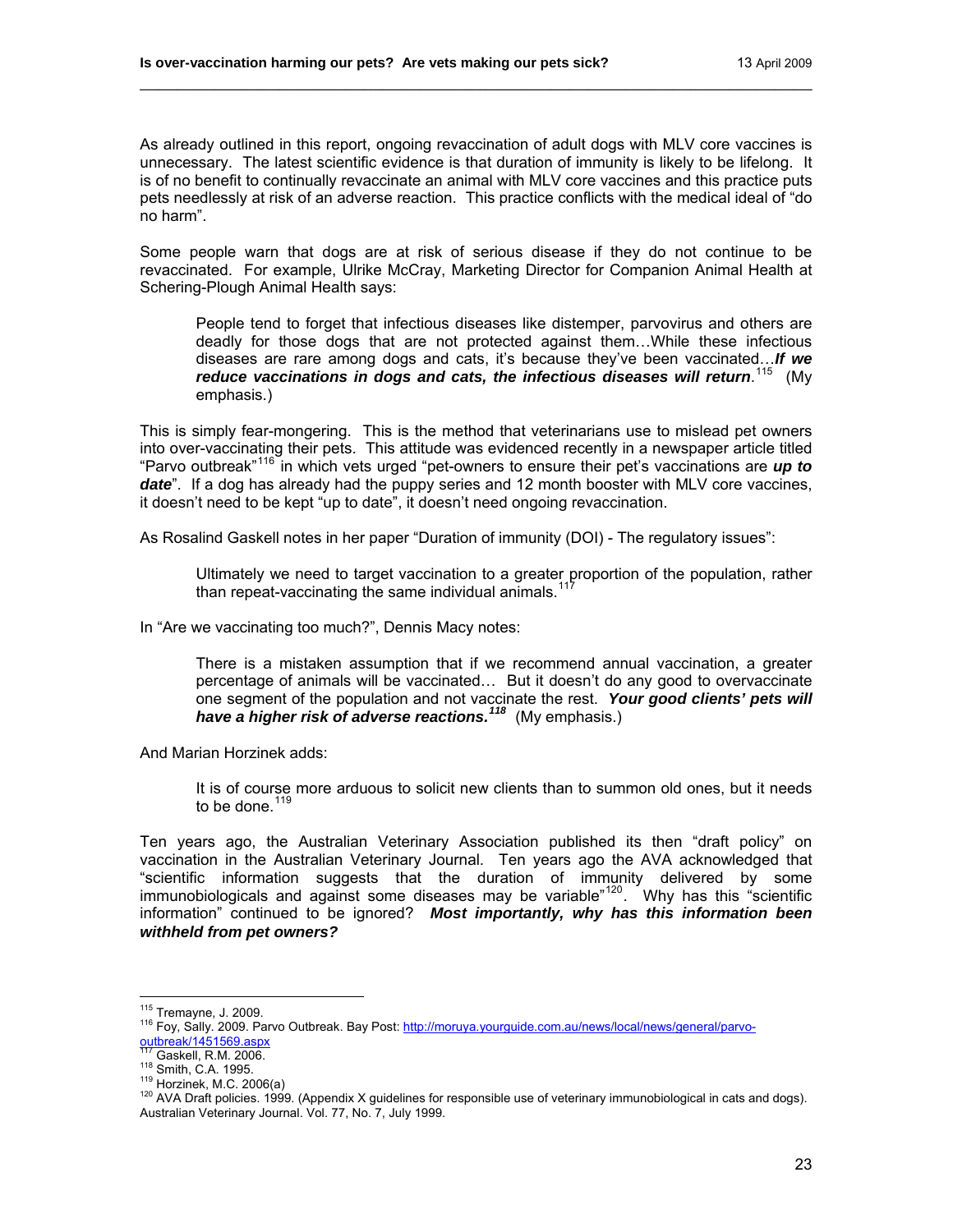As already outlined in this report, ongoing revaccination of adult dogs with MLV core vaccines is unnecessary. The latest scientific evidence is that duration of immunity is likely to be lifelong. It is of no benefit to continually revaccinate an animal with MLV core vaccines and this practice puts pets needlessly at risk of an adverse reaction. This practice conflicts with the medical ideal of "do no harm".

\_\_\_\_\_\_\_\_\_\_\_\_\_\_\_\_\_\_\_\_\_\_\_\_\_\_\_\_\_\_\_\_\_\_\_\_\_\_\_\_\_\_\_\_\_\_\_\_\_\_\_\_\_\_\_\_\_\_\_\_\_\_\_\_\_\_\_\_\_\_\_\_

Some people warn that dogs are at risk of serious disease if they do not continue to be revaccinated. For example, Ulrike McCray, Marketing Director for Companion Animal Health at Schering-Plough Animal Health says:

People tend to forget that infectious diseases like distemper, parvovirus and others are deadly for those dogs that are not protected against them…While these infectious diseases are rare among dogs and cats, it's because they've been vaccinated…*If we*  reduce vaccinations in dogs and cats, the infectious diseases will return.<sup>[115](#page-22-0)</sup> (My emphasis.)

This is simply fear-mongering. This is the method that veterinarians use to mislead pet owners into over-vaccinating their pets. This attitude was evidenced recently in a newspaper article titled "Parvo outbreak"[116](#page-22-1) in which vets urged "pet-owners to ensure their pet's vaccinations are *up to*  date<sup>"</sup>. If a dog has already had the puppy series and 12 month booster with MLV core vaccines, it doesn't need to be kept "up to date", it doesn't need ongoing revaccination.

As Rosalind Gaskell notes in her paper "Duration of immunity (DOI) - The regulatory issues":

Ultimately we need to target vaccination to a greater proportion of the population, rather than repeat-vaccinating the same individual animals.<sup>[117](#page-22-2)</sup>

In "Are we vaccinating too much?", Dennis Macy notes:

There is a mistaken assumption that if we recommend annual vaccination, a greater percentage of animals will be vaccinated… But it doesn't do any good to overvaccinate one segment of the population and not vaccinate the rest. *Your good clients' pets will have a higher risk of adverse reactions.[118](#page-22-3)* (My emphasis.)

And Marian Horzinek adds:

It is of course more arduous to solicit new clients than to summon old ones, but it needs to be done. $119$ 

Ten years ago, the Australian Veterinary Association published its then "draft policy" on vaccination in the Australian Veterinary Journal. Ten years ago the AVA acknowledged that "scientific information suggests that the duration of immunity delivered by some immunobiologicals and against some diseases may be variable<sup>"[120](#page-22-5)</sup>. Why has this "scientific information" continued to be ignored? *Most importantly, why has this information been withheld from pet owners?*

<span id="page-22-0"></span><sup>&</sup>lt;sup>115</sup> Tremayne, J. 2009.

<span id="page-22-1"></span><sup>&</sup>lt;sup>116</sup> Foy, Sally. 2009. Parvo Outbreak. Bay Post: http://moruya.yourguide.com.au/news/local/news/general/parvo-<br>outbreak/1451569.aspx<br><sup>117</sup> Cockell R.M. 2006

<span id="page-22-4"></span>

<span id="page-22-5"></span>

<span id="page-22-3"></span><span id="page-22-2"></span><sup>&</sup>lt;sup>117</sup> Gaskell, R.M. 2006.<br><sup>118</sup> Smith, C.A. 1995.<br><sup>119</sup> Horzinek, M.C. 2006(a)<br><sup>120</sup> AVA Draft policies. 1999. (Appendix X guidelines for responsible use of veterinary immunobiological in cats and dogs). Australian Veterinary Journal. Vol. 77, No. 7, July 1999.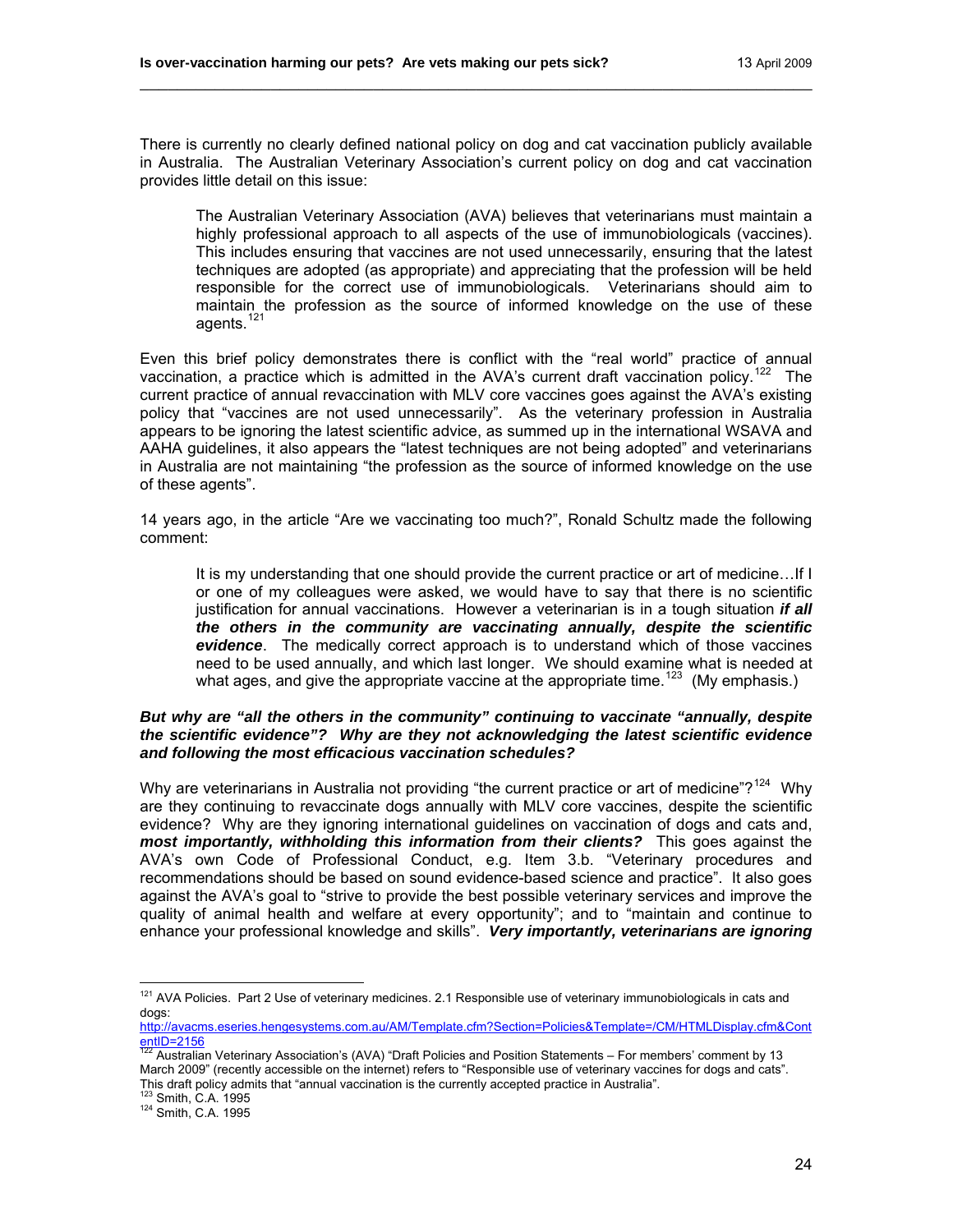There is currently no clearly defined national policy on dog and cat vaccination publicly available in Australia. The Australian Veterinary Association's current policy on dog and cat vaccination provides little detail on this issue:

\_\_\_\_\_\_\_\_\_\_\_\_\_\_\_\_\_\_\_\_\_\_\_\_\_\_\_\_\_\_\_\_\_\_\_\_\_\_\_\_\_\_\_\_\_\_\_\_\_\_\_\_\_\_\_\_\_\_\_\_\_\_\_\_\_\_\_\_\_\_\_\_

The Australian Veterinary Association (AVA) believes that veterinarians must maintain a highly professional approach to all aspects of the use of immunobiologicals (vaccines). This includes ensuring that vaccines are not used unnecessarily, ensuring that the latest techniques are adopted (as appropriate) and appreciating that the profession will be held responsible for the correct use of immunobiologicals. Veterinarians should aim to maintain the profession as the source of informed knowledge on the use of these agents.<sup>[121](#page-23-0)</sup>

Even this brief policy demonstrates there is conflict with the "real world" practice of annual vaccination, a practice which is admitted in the AVA's current draft vaccination policy.<sup>[122](#page-23-1)</sup> The current practice of annual revaccination with MLV core vaccines goes against the AVA's existing policy that "vaccines are not used unnecessarily". As the veterinary profession in Australia appears to be ignoring the latest scientific advice, as summed up in the international WSAVA and AAHA guidelines, it also appears the "latest techniques are not being adopted" and veterinarians in Australia are not maintaining "the profession as the source of informed knowledge on the use of these agents".

14 years ago, in the article "Are we vaccinating too much?", Ronald Schultz made the following comment:

It is my understanding that one should provide the current practice or art of medicine…If I or one of my colleagues were asked, we would have to say that there is no scientific justification for annual vaccinations. However a veterinarian is in a tough situation *if all the others in the community are vaccinating annually, despite the scientific evidence*. The medically correct approach is to understand which of those vaccines need to be used annually, and which last longer. We should examine what is needed at what ages, and give the appropriate vaccine at the appropriate time.<sup>[123](#page-23-2)</sup> (My emphasis.)

## *But why are "all the others in the community" continuing to vaccinate "annually, despite the scientific evidence"? Why are they not acknowledging the latest scientific evidence and following the most efficacious vaccination schedules?*

Why are veterinarians in Australia not providing "the current practice or art of medicine"?<sup>[124](#page-23-3)</sup> Whv are they continuing to revaccinate dogs annually with MLV core vaccines, despite the scientific evidence? Why are they ignoring international guidelines on vaccination of dogs and cats and, *most importantly, withholding this information from their clients?* This goes against the AVA's own Code of Professional Conduct, e.g. Item 3.b. "Veterinary procedures and recommendations should be based on sound evidence-based science and practice". It also goes against the AVA's goal to "strive to provide the best possible veterinary services and improve the quality of animal health and welfare at every opportunity"; and to "maintain and continue to enhance your professional knowledge and skills". *Very importantly, veterinarians are ignoring* 

<span id="page-23-3"></span><span id="page-23-2"></span>

<span id="page-23-0"></span> $121$  AVA Policies. Part 2 Use of veterinary medicines. 2.1 Responsible use of veterinary immunobiologicals in cats and dogs:

[http://avacms.eseries.hengesystems.com.au/AM/Template.cfm?Section=Policies&Template=/CM/HTMLDisplay.cfm&Cont](http://avacms.eseries.hengesystems.com.au/AM/Template.cfm?Section=Policies&Template=/CM/HTMLDisplay.cfm&ContentID=2156) entID=2156<br><sup>122</sup> Australian Veterinary Association's (AVA) "Draft Policies and Position Statements – For members' comment by 13

<span id="page-23-1"></span>March 2009" (recently accessible on the internet) refers to "Responsible use of veterinary vaccines for dogs and cats". This draft policy admits that "annual vaccination is the currently accepted practice in Australia".<br><sup>123</sup> Smith, C.A. 1995<br><sup>124</sup> Smith, C.A. 1995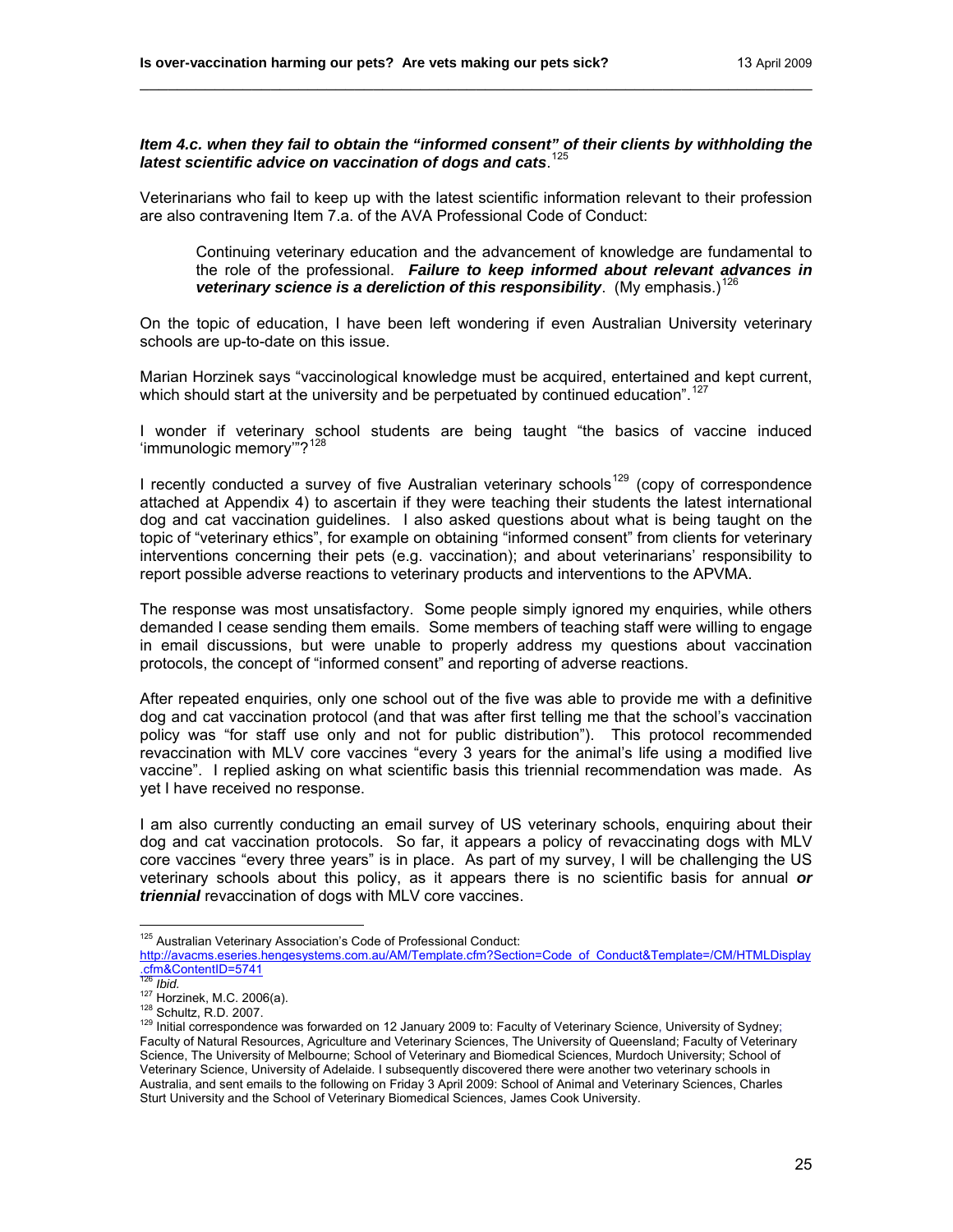## *Item 4.c. when they fail to obtain the "informed consent" of their clients by withholding the*  latest scientific advice on vaccination of dogs and cats.<sup>[125](#page-24-0)</sup>

\_\_\_\_\_\_\_\_\_\_\_\_\_\_\_\_\_\_\_\_\_\_\_\_\_\_\_\_\_\_\_\_\_\_\_\_\_\_\_\_\_\_\_\_\_\_\_\_\_\_\_\_\_\_\_\_\_\_\_\_\_\_\_\_\_\_\_\_\_\_\_\_

Veterinarians who fail to keep up with the latest scientific information relevant to their profession are also contravening Item 7.a. of the AVA Professional Code of Conduct:

Continuing veterinary education and the advancement of knowledge are fundamental to the role of the professional. *Failure to keep informed about relevant advances in veterinary science is a dereliction of this responsibility.* (My emphasis.)<sup>[126](#page-24-1)</sup>

On the topic of education, I have been left wondering if even Australian University veterinary schools are up-to-date on this issue.

Marian Horzinek says "vaccinological knowledge must be acquired, entertained and kept current, which should start at the university and be perpetuated by continued education".<sup>[127](#page-24-2)</sup>

I wonder if veterinary school students are being taught "the basics of vaccine induced 'immunologic memory"?<sup>[128](#page-24-3)</sup>

I recently conducted a survey of five Australian veterinary schools<sup>[129](#page-24-4)</sup> (copy of correspondence attached at Appendix 4) to ascertain if they were teaching their students the latest international dog and cat vaccination guidelines. I also asked questions about what is being taught on the topic of "veterinary ethics", for example on obtaining "informed consent" from clients for veterinary interventions concerning their pets (e.g. vaccination); and about veterinarians' responsibility to report possible adverse reactions to veterinary products and interventions to the APVMA.

The response was most unsatisfactory. Some people simply ignored my enquiries, while others demanded I cease sending them emails. Some members of teaching staff were willing to engage in email discussions, but were unable to properly address my questions about vaccination protocols, the concept of "informed consent" and reporting of adverse reactions.

After repeated enquiries, only one school out of the five was able to provide me with a definitive dog and cat vaccination protocol (and that was after first telling me that the school's vaccination policy was "for staff use only and not for public distribution"). This protocol recommended revaccination with MLV core vaccines "every 3 years for the animal's life using a modified live vaccine". I replied asking on what scientific basis this triennial recommendation was made. As yet I have received no response.

I am also currently conducting an email survey of US veterinary schools, enquiring about their dog and cat vaccination protocols. So far, it appears a policy of revaccinating dogs with MLV core vaccines "every three years" is in place. As part of my survey, I will be challenging the US veterinary schools about this policy, as it appears there is no scientific basis for annual *or triennial* revaccination of dogs with MLV core vaccines.

<span id="page-24-0"></span> $\overline{a}$ <sup>125</sup> Australian Veterinary Association's Code of Professional Conduct: [http://avacms.eseries.hengesystems.com.au/AM/Template.cfm?Section=Code\\_of\\_Conduct&Template=/CM/HTMLDisplay](http://avacms.eseries.hengesystems.com.au/AM/Template.cfm?Section=Code_of_Conduct&Template=/CM/HTMLDisplay.cfm&ContentID=5741)<br>.cfm&ContentID=5741<br><sup>126</sup> Ibid.

<span id="page-24-4"></span>

<span id="page-24-3"></span><span id="page-24-2"></span><span id="page-24-1"></span><sup>127</sup> Horzinek, M.C. 2006(a).<br><sup>128</sup> Schultz, R.D. 2007. 129<br><sup>129</sup> Initial correspondence was forwarded on 12 January 2009 to: Faculty of Veterinary Science, University of Sydney; Faculty of Natural Resources, Agriculture and Veterinary Sciences, The University of Queensland; Faculty of Veterinary Science, The University of Melbourne; School of Veterinary and Biomedical Sciences, Murdoch University; School of Veterinary Science, University of Adelaide. I subsequently discovered there were another two veterinary schools in Australia, and sent emails to the following on Friday 3 April 2009: School of Animal and Veterinary Sciences, Charles Sturt University and the School of Veterinary Biomedical Sciences, James Cook University.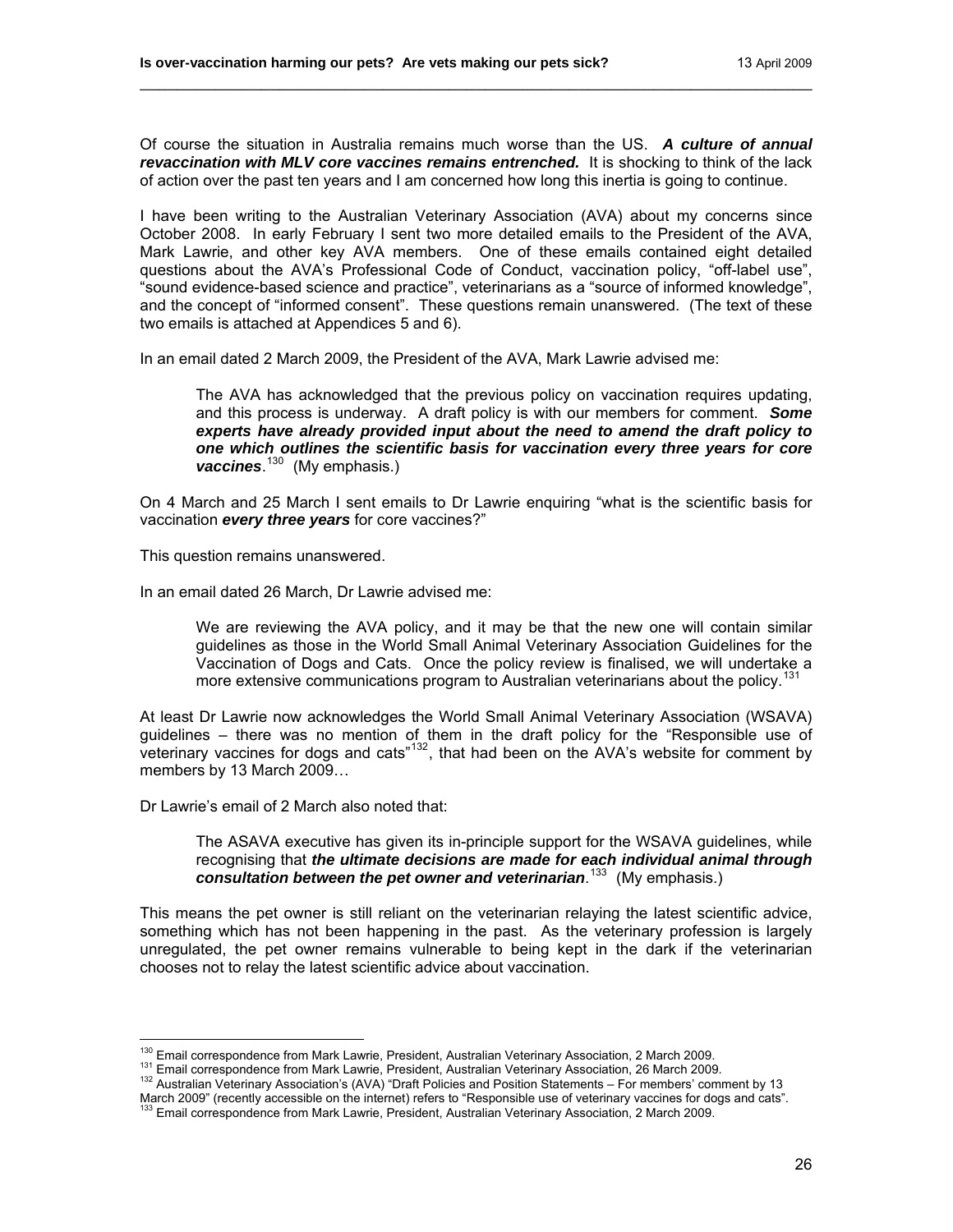Of course the situation in Australia remains much worse than the US. *A culture of annual revaccination with MLV core vaccines remains entrenched.* It is shocking to think of the lack of action over the past ten years and I am concerned how long this inertia is going to continue.

\_\_\_\_\_\_\_\_\_\_\_\_\_\_\_\_\_\_\_\_\_\_\_\_\_\_\_\_\_\_\_\_\_\_\_\_\_\_\_\_\_\_\_\_\_\_\_\_\_\_\_\_\_\_\_\_\_\_\_\_\_\_\_\_\_\_\_\_\_\_\_\_

I have been writing to the Australian Veterinary Association (AVA) about my concerns since October 2008. In early February I sent two more detailed emails to the President of the AVA, Mark Lawrie, and other key AVA members. One of these emails contained eight detailed questions about the AVA's Professional Code of Conduct, vaccination policy, "off-label use", "sound evidence-based science and practice", veterinarians as a "source of informed knowledge", and the concept of "informed consent". These questions remain unanswered. (The text of these two emails is attached at Appendices 5 and 6).

In an email dated 2 March 2009, the President of the AVA, Mark Lawrie advised me:

The AVA has acknowledged that the previous policy on vaccination requires updating, and this process is underway. A draft policy is with our members for comment. *Some experts have already provided input about the need to amend the draft policy to one which outlines the scientific basis for vaccination every three years for core vaccines*. [130](#page-25-0) (My emphasis.)

On 4 March and 25 March I sent emails to Dr Lawrie enquiring "what is the scientific basis for vaccination *every three years* for core vaccines?"

This question remains unanswered.

In an email dated 26 March, Dr Lawrie advised me:

We are reviewing the AVA policy, and it may be that the new one will contain similar guidelines as those in the World Small Animal Veterinary Association Guidelines for the Vaccination of Dogs and Cats. Once the policy review is finalised, we will undertake a more extensive communications program to Australian veterinarians about the policy.<sup>[131](#page-25-1)</sup>

At least Dr Lawrie now acknowledges the World Small Animal Veterinary Association (WSAVA) guidelines – there was no mention of them in the draft policy for the "Responsible use of veterinary vaccines for dogs and cats"[132](#page-25-2), that had been on the AVA's website for comment by members by 13 March 2009…

Dr Lawrie's email of 2 March also noted that:

The ASAVA executive has given its in-principle support for the WSAVA guidelines, while recognising that *the ultimate decisions are made for each individual animal through consultation between the pet owner and veterinarian*. [133](#page-25-3) (My emphasis.)

This means the pet owner is still reliant on the veterinarian relaying the latest scientific advice, something which has not been happening in the past. As the veterinary profession is largely unregulated, the pet owner remains vulnerable to being kept in the dark if the veterinarian chooses not to relay the latest scientific advice about vaccination.

<span id="page-25-0"></span><sup>&</sup>lt;sup>130</sup> Email correspondence from Mark Lawrie, President, Australian Veterinary Association, 2 March 2009.

<span id="page-25-2"></span><span id="page-25-1"></span><sup>131</sup> Email correspondence from Mark Lawrie, President, Australian Veterinary Association, 26 March 2009.<br><sup>132</sup> Australian Veterinary Association's (AVA) "Draft Policies and Position Statements – For members' comment by 13 March 2009" (recently accessible on the internet) refers to "Responsible use of veterinary vaccines for dogs and cats".<br><sup>133</sup> Email correspondence from Mark Lawrie, President, Australian Veterinary Association, 2 March 200

<span id="page-25-3"></span>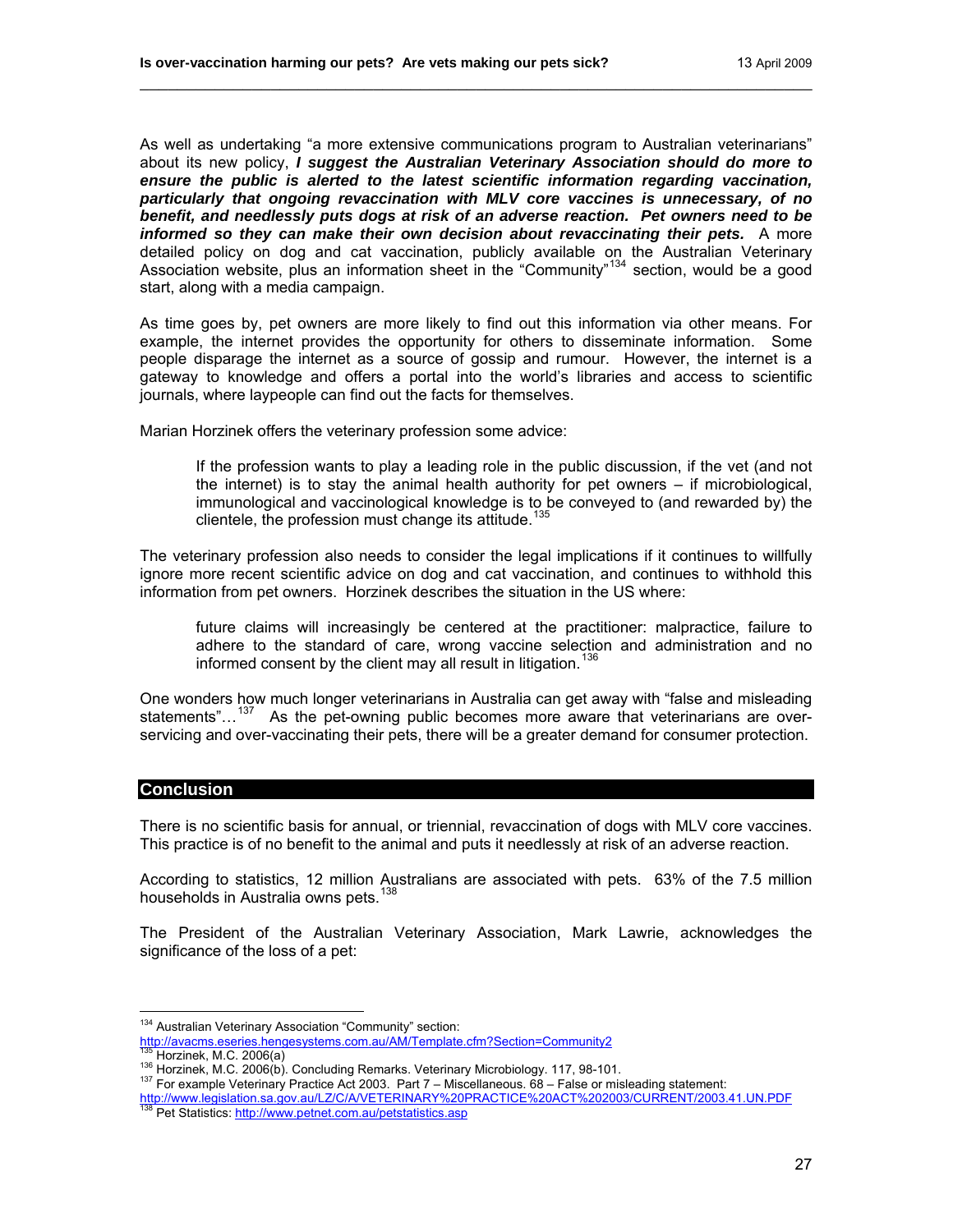As well as undertaking "a more extensive communications program to Australian veterinarians" about its new policy, *I suggest the Australian Veterinary Association should do more to ensure the public is alerted to the latest scientific information regarding vaccination, particularly that ongoing revaccination with MLV core vaccines is unnecessary, of no benefit, and needlessly puts dogs at risk of an adverse reaction. Pet owners need to be informed so they can make their own decision about revaccinating their pets.* A more detailed policy on dog and cat vaccination, publicly available on the Australian Veterinary Association website, plus an information sheet in the "Community"<sup>[134](#page-26-0)</sup> section, would be a good start, along with a media campaign.

\_\_\_\_\_\_\_\_\_\_\_\_\_\_\_\_\_\_\_\_\_\_\_\_\_\_\_\_\_\_\_\_\_\_\_\_\_\_\_\_\_\_\_\_\_\_\_\_\_\_\_\_\_\_\_\_\_\_\_\_\_\_\_\_\_\_\_\_\_\_\_\_

As time goes by, pet owners are more likely to find out this information via other means. For example, the internet provides the opportunity for others to disseminate information. Some people disparage the internet as a source of gossip and rumour. However, the internet is a gateway to knowledge and offers a portal into the world's libraries and access to scientific journals, where laypeople can find out the facts for themselves.

Marian Horzinek offers the veterinary profession some advice:

If the profession wants to play a leading role in the public discussion, if the vet (and not the internet) is to stay the animal health authority for pet owners – if microbiological, immunological and vaccinological knowledge is to be conveyed to (and rewarded by) the clientele, the profession must change its attitude.<sup>[135](#page-26-1)</sup>

The veterinary profession also needs to consider the legal implications if it continues to willfully ignore more recent scientific advice on dog and cat vaccination, and continues to withhold this information from pet owners. Horzinek describes the situation in the US where:

future claims will increasingly be centered at the practitioner: malpractice, failure to adhere to the standard of care, wrong vaccine selection and administration and no informed consent by the client may all result in litigation.<sup>[136](#page-26-2)</sup>

One wonders how much longer veterinarians in Australia can get away with "false and misleading statements"...<sup>[137](#page-26-3)</sup> As the pet-owning public becomes more aware that veterinarians are overservicing and over-vaccinating their pets, there will be a greater demand for consumer protection.

## **Conclusion**

There is no scientific basis for annual, or triennial, revaccination of dogs with MLV core vaccines. This practice is of no benefit to the animal and puts it needlessly at risk of an adverse reaction.

According to statistics, 12 million Australians are associated with pets. 63% of the 7.5 million households in Australia owns pets.<sup>1</sup>

The President of the Australian Veterinary Association, Mark Lawrie, acknowledges the significance of the loss of a pet:

 $\overline{a}$ <sup>134</sup> Australian Veterinary Association "Community" section:

<span id="page-26-0"></span><http://avacms.eseries.hengesystems.com.au/AM/Template.cfm?Section=Community2><br>135 Horzinek, M.C. 2006(a)<br><sup>136</sup> Horzinek, M.C. 2006(b). Concluding Remarks. Veterinary Microbiology. 117, 98-101.<br><sup>137</sup> For example Veterinary P

<span id="page-26-2"></span><span id="page-26-1"></span>

<span id="page-26-4"></span><span id="page-26-3"></span><http://www.legislation.sa.gov.au/LZ/C/A/VETERINARY%20PRACTICE%20ACT%202003/CURRENT/2003.41.UN.PDF> [138 Pet Statistics:](http://www.legislation.sa.gov.au/LZ/C/A/VETERINARY%20PRACTICE%20ACT%202003/CURRENT/2003.41.UN.PDF) http://www.petnet.com.au/petstatistics.asp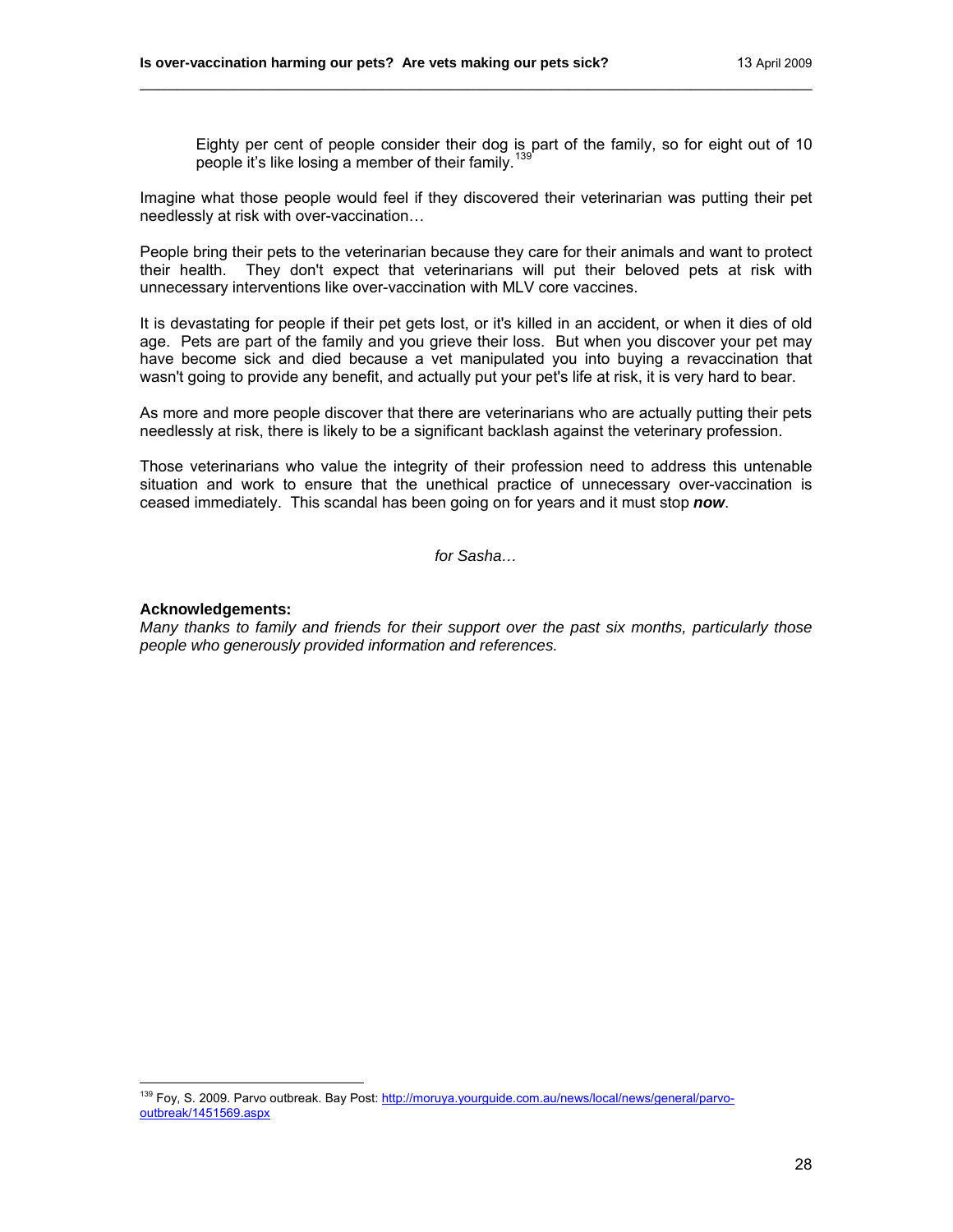Eighty per cent of people consider their dog is part of the family, so for eight out of 10 people it's like losing a member of their family.[139](#page-27-0)

Imagine what those people would feel if they discovered their veterinarian was putting their pet needlessly at risk with over-vaccination…

\_\_\_\_\_\_\_\_\_\_\_\_\_\_\_\_\_\_\_\_\_\_\_\_\_\_\_\_\_\_\_\_\_\_\_\_\_\_\_\_\_\_\_\_\_\_\_\_\_\_\_\_\_\_\_\_\_\_\_\_\_\_\_\_\_\_\_\_\_\_\_\_

People bring their pets to the veterinarian because they care for their animals and want to protect their health. They don't expect that veterinarians will put their beloved pets at risk with unnecessary interventions like over-vaccination with MLV core vaccines.

It is devastating for people if their pet gets lost, or it's killed in an accident, or when it dies of old age. Pets are part of the family and you grieve their loss. But when you discover your pet may have become sick and died because a vet manipulated you into buying a revaccination that wasn't going to provide any benefit, and actually put your pet's life at risk, it is very hard to bear.

As more and more people discover that there are veterinarians who are actually putting their pets needlessly at risk, there is likely to be a significant backlash against the veterinary profession.

Those veterinarians who value the integrity of their profession need to address this untenable situation and work to ensure that the unethical practice of unnecessary over-vaccination is ceased immediately. This scandal has been going on for years and it must stop *now*.

*for Sasha…* 

#### **Acknowledgements:**

 $\overline{a}$ 

*Many thanks to family and friends for their support over the past six months, particularly those people who generously provided information and references.* 

<span id="page-27-0"></span><sup>&</sup>lt;sup>139</sup> Foy, S. 2009. Parvo outbreak. Bay Post: [http://moruya.yourguide.com.au/news/local/news/general/parvo](http://moruya.yourguide.com.au/news/local/news/general/parvo-outbreak/1451569.aspx)[outbreak/1451569.aspx](http://moruya.yourguide.com.au/news/local/news/general/parvo-outbreak/1451569.aspx)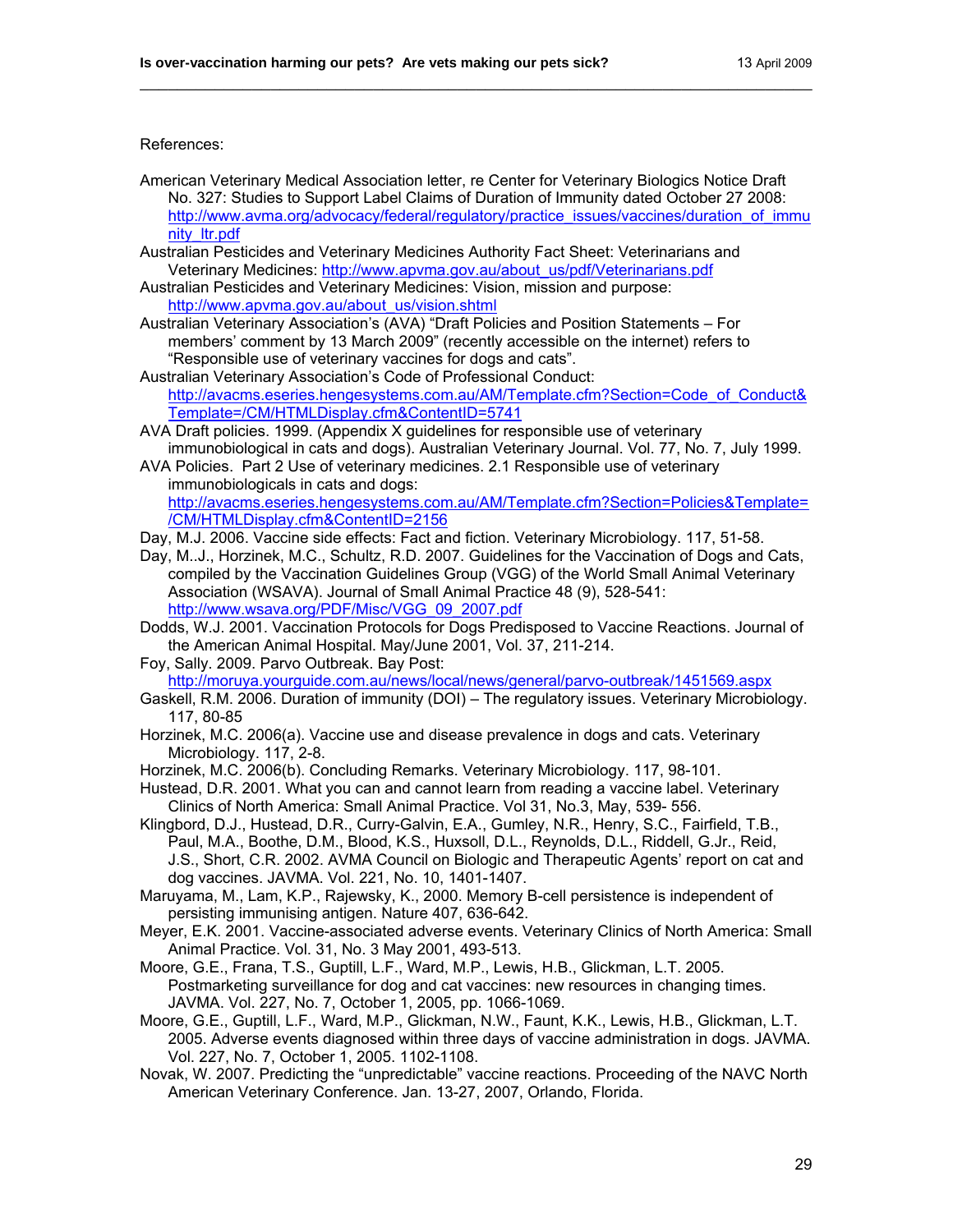#### References:

American Veterinary Medical Association letter, re Center for Veterinary Biologics Notice Draft No. 327: Studies to Support Label Claims of Duration of Immunity dated October 27 2008: [http://www.avma.org/advocacy/federal/regulatory/practice\\_issues/vaccines/duration\\_of\\_immu](http://www.avma.org/advocacy/federal/regulatory/practice_issues/vaccines/duration_of_immunity_ltr.pdf) [nity\\_ltr.pdf](http://www.avma.org/advocacy/federal/regulatory/practice_issues/vaccines/duration_of_immunity_ltr.pdf)

\_\_\_\_\_\_\_\_\_\_\_\_\_\_\_\_\_\_\_\_\_\_\_\_\_\_\_\_\_\_\_\_\_\_\_\_\_\_\_\_\_\_\_\_\_\_\_\_\_\_\_\_\_\_\_\_\_\_\_\_\_\_\_\_\_\_\_\_\_\_\_\_

- Australian Pesticides and Veterinary Medicines Authority Fact Sheet: Veterinarians and Veterinary Medicines: [http://www.apvma.gov.au/about\\_us/pdf/Veterinarians.pdf](http://www.apvma.gov.au/about_us/pdf/Veterinarians.pdf)
- Australian Pesticides and Veterinary Medicines: Vision, mission and purpose: [http://www.apvma.gov.au/about\\_us/vision.shtml](http://www.apvma.gov.au/about_us/vision.shtml)
- Australian Veterinary Association's (AVA) "Draft Policies and Position Statements For members' comment by 13 March 2009" (recently accessible on the internet) refers to "Responsible use of veterinary vaccines for dogs and cats".
- Australian Veterinary Association's Code of Professional Conduct: [http://avacms.eseries.hengesystems.com.au/AM/Template.cfm?Section=Code\\_of\\_Conduct&](http://avacms.eseries.hengesystems.com.au/AM/Template.cfm?Section=Code_of_Conduct&Template=/CM/HTMLDisplay.cfm&ContentID=5741) [Template=/CM/HTMLDisplay.cfm&ContentID=5741](http://avacms.eseries.hengesystems.com.au/AM/Template.cfm?Section=Code_of_Conduct&Template=/CM/HTMLDisplay.cfm&ContentID=5741)
- AVA Draft policies. 1999. (Appendix X guidelines for responsible use of veterinary immunobiological in cats and dogs). Australian Veterinary Journal. Vol. 77, No. 7, July 1999.
- AVA Policies. Part 2 Use of veterinary medicines. 2.1 Responsible use of veterinary immunobiologicals in cats and dogs: [http://avacms.eseries.hengesystems.com.au/AM/Template.cfm?Section=Policies&Template=](http://avacms.eseries.hengesystems.com.au/AM/Template.cfm?Section=Policies&Template=/CM/HTMLDisplay.cfm&ContentID=2156)
	- [/CM/HTMLDisplay.cfm&ContentID=2156](http://avacms.eseries.hengesystems.com.au/AM/Template.cfm?Section=Policies&Template=/CM/HTMLDisplay.cfm&ContentID=2156)
- Day, M.J. 2006. Vaccine side effects: Fact and fiction. Veterinary Microbiology. 117, 51-58.
- Day, M..J., Horzinek, M.C., Schultz, R.D. 2007. Guidelines for the Vaccination of Dogs and Cats, compiled by the Vaccination Guidelines Group (VGG) of the World Small Animal Veterinary Association (WSAVA). Journal of Small Animal Practice 48 (9), 528-541: [http://www.wsava.org/PDF/Misc/VGG\\_09\\_2007.pdf](http://www.wsava.org/PDF/Misc/VGG_09_2007.pdf)
- Dodds, W.J. 2001. Vaccination Protocols for Dogs Predisposed to Vaccine Reactions. Journal of the American Animal Hospital. May/June 2001, Vol. 37, 211-214.
- Foy, Sally. 2009. Parvo Outbreak. Bay Post: <http://moruya.yourguide.com.au/news/local/news/general/parvo-outbreak/1451569.aspx>
- Gaskell, R.M. 2006. Duration of immunity (DOI) The regulatory issues. Veterinary Microbiology. 117, 80-85
- Horzinek, M.C. 2006(a). Vaccine use and disease prevalence in dogs and cats. Veterinary Microbiology. 117, 2-8.
- Horzinek, M.C. 2006(b). Concluding Remarks. Veterinary Microbiology. 117, 98-101.
- Hustead, D.R. 2001. What you can and cannot learn from reading a vaccine label. Veterinary Clinics of North America: Small Animal Practice. Vol 31, No.3, May, 539- 556.
- Klingbord, D.J., Hustead, D.R., Curry-Galvin, E.A., Gumley, N.R., Henry, S.C., Fairfield, T.B., Paul, M.A., Boothe, D.M., Blood, K.S., Huxsoll, D.L., Reynolds, D.L., Riddell, G.Jr., Reid, J.S., Short, C.R. 2002. AVMA Council on Biologic and Therapeutic Agents' report on cat and dog vaccines. JAVMA. Vol. 221, No. 10, 1401-1407.
- Maruyama, M., Lam, K.P., Rajewsky, K., 2000. Memory B-cell persistence is independent of persisting immunising antigen. Nature 407, 636-642.
- Meyer, E.K. 2001. Vaccine-associated adverse events. Veterinary Clinics of North America: Small Animal Practice. Vol. 31, No. 3 May 2001, 493-513.
- Moore, G.E., Frana, T.S., Guptill, L.F., Ward, M.P., Lewis, H.B., Glickman, L.T. 2005. Postmarketing surveillance for dog and cat vaccines: new resources in changing times. JAVMA. Vol. 227, No. 7, October 1, 2005, pp. 1066-1069.
- Moore, G.E., Guptill, L.F., Ward, M.P., Glickman, N.W., Faunt, K.K., Lewis, H.B., Glickman, L.T. 2005. Adverse events diagnosed within three days of vaccine administration in dogs. JAVMA. Vol. 227, No. 7, October 1, 2005. 1102-1108.
- Novak, W. 2007. Predicting the "unpredictable" vaccine reactions. Proceeding of the NAVC North American Veterinary Conference. Jan. 13-27, 2007, Orlando, Florida.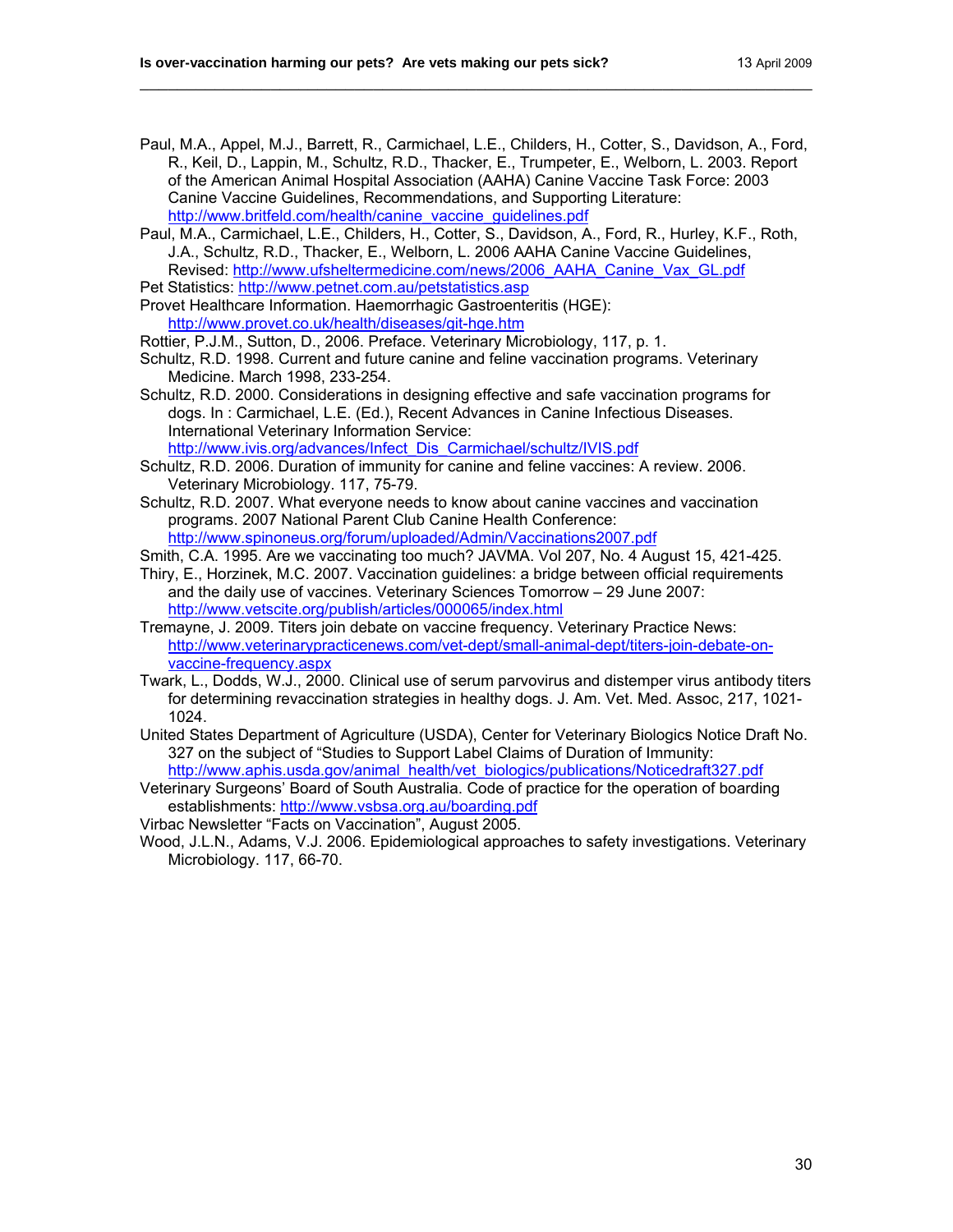Paul, M.A., Appel, M.J., Barrett, R., Carmichael, L.E., Childers, H., Cotter, S., Davidson, A., Ford, R., Keil, D., Lappin, M., Schultz, R.D., Thacker, E., Trumpeter, E., Welborn, L. 2003. Report of the American Animal Hospital Association (AAHA) Canine Vaccine Task Force: 2003 Canine Vaccine Guidelines, Recommendations, and Supporting Literature: [http://www.britfeld.com/health/canine\\_vaccine\\_guidelines.pdf](http://www.britfeld.com/health/canine_vaccine_guidelines.pdf)

\_\_\_\_\_\_\_\_\_\_\_\_\_\_\_\_\_\_\_\_\_\_\_\_\_\_\_\_\_\_\_\_\_\_\_\_\_\_\_\_\_\_\_\_\_\_\_\_\_\_\_\_\_\_\_\_\_\_\_\_\_\_\_\_\_\_\_\_\_\_\_\_

- Paul, M.A., Carmichael, L.E., Childers, H., Cotter, S., Davidson, A., Ford, R., Hurley, K.F., Roth, J.A., Schultz, R.D., Thacker, E., Welborn, L. 2006 AAHA Canine Vaccine Guidelines, Revised: [http://www.ufsheltermedicine.com/news/2006\\_AAHA\\_Canine\\_Vax\\_GL.pdf](http://www.ufsheltermedicine.com/news/2006_AAHA_Canine_Vax_GL.pdf)
- Pet Statistics:<http://www.petnet.com.au/petstatistics.asp>
- Provet Healthcare Information. Haemorrhagic Gastroenteritis (HGE): <http://www.provet.co.uk/health/diseases/git-hge.htm>
- Rottier, P.J.M., Sutton, D., 2006. Preface. Veterinary Microbiology, 117, p. 1.
- Schultz, R.D. 1998. Current and future canine and feline vaccination programs. Veterinary Medicine. March 1998, 233-254.
- Schultz, R.D. 2000. Considerations in designing effective and safe vaccination programs for dogs. In : Carmichael, L.E. (Ed.), Recent Advances in Canine Infectious Diseases. International Veterinary Information Service: [http://www.ivis.org/advances/Infect\\_Dis\\_Carmichael/schultz/IVIS.pdf](http://www.ivis.org/advances/Infect_Dis_Carmichael/schultz/IVIS.pdf)
- Schultz, R.D. 2006. Duration of immunity for canine and feline vaccines: A review. 2006. Veterinary Microbiology. 117, 75-79.
- Schultz, R.D. 2007. What everyone needs to know about canine vaccines and vaccination programs. 2007 National Parent Club Canine Health Conference: <http://www.spinoneus.org/forum/uploaded/Admin/Vaccinations2007.pdf>
- Smith, C.A. 1995. Are we vaccinating too much? JAVMA. Vol 207, No. 4 August 15, 421-425.
- Thiry, E., Horzinek, M.C. 2007. Vaccination guidelines: a bridge between official requirements and the daily use of vaccines. Veterinary Sciences Tomorrow – 29 June 2007: <http://www.vetscite.org/publish/articles/000065/index.html>
- Tremayne, J. 2009. Titers join debate on vaccine frequency. Veterinary Practice News: [http://www.veterinarypracticenews.com/vet-dept/small-animal-dept/titers-join-debate-on](http://www.veterinarypracticenews.com/vet-dept/small-animal-dept/titers-join-debate-on-vaccine-frequency.aspx)[vaccine-frequency.aspx](http://www.veterinarypracticenews.com/vet-dept/small-animal-dept/titers-join-debate-on-vaccine-frequency.aspx)
- Twark, L., Dodds, W.J., 2000. Clinical use of serum parvovirus and distemper virus antibody titers for determining revaccination strategies in healthy dogs. J. Am. Vet. Med. Assoc, 217, 1021- 1024.
- United States Department of Agriculture (USDA), Center for Veterinary Biologics Notice Draft No. 327 on the subject of "Studies to Support Label Claims of Duration of Immunity: [http://www.aphis.usda.gov/animal\\_health/vet\\_biologics/publications/Noticedraft327.pdf](http://www.aphis.usda.gov/animal_health/vet_biologics/publications/Noticedraft327.pdf)
- Veterinary Surgeons' Board of South Australia. Code of practice for the operation of boarding establishments:<http://www.vsbsa.org.au/boarding.pdf>
- Virbac Newsletter "Facts on Vaccination", August 2005.
- Wood, J.L.N., Adams, V.J. 2006. Epidemiological approaches to safety investigations. Veterinary Microbiology. 117, 66-70.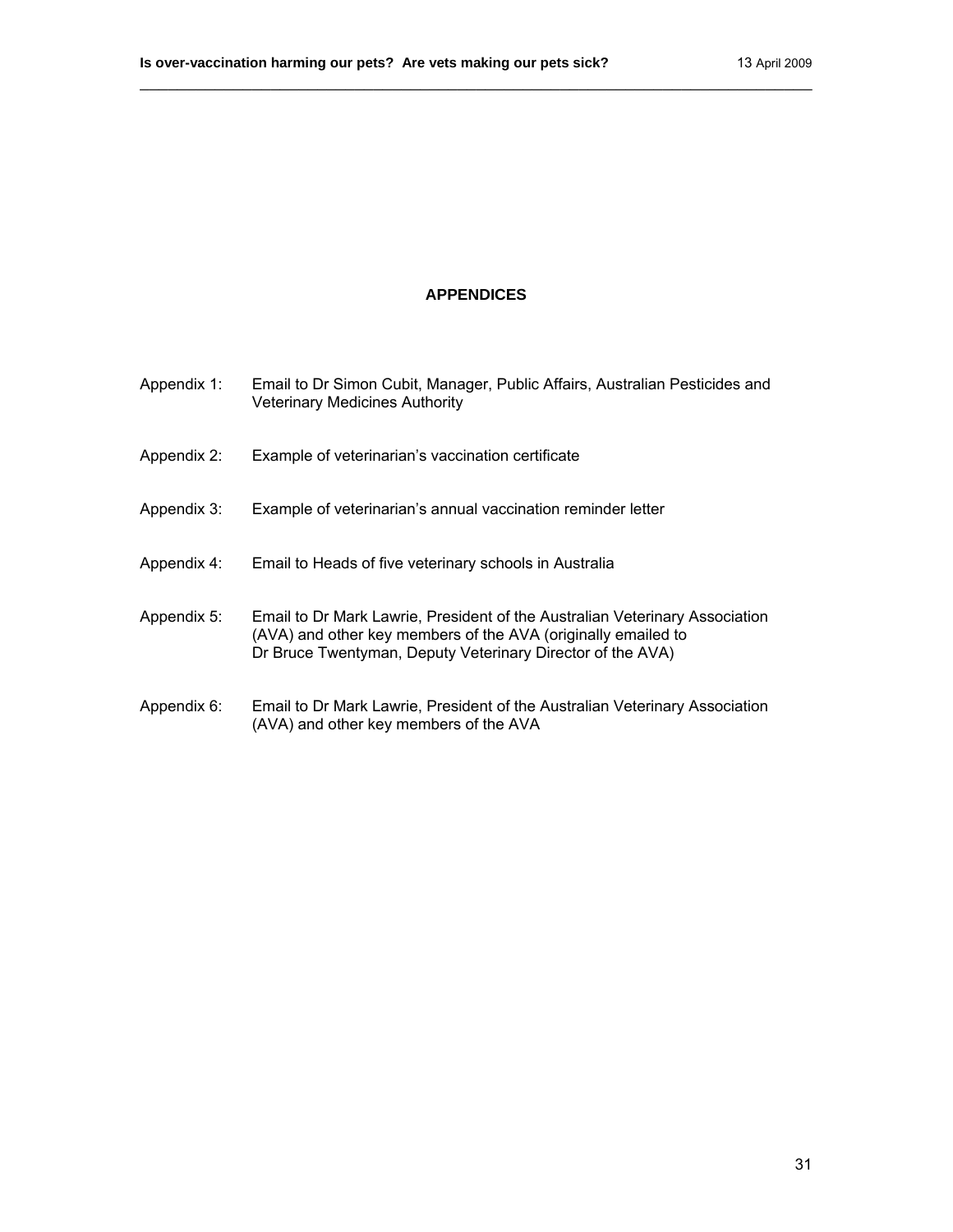# **APPENDICES**

\_\_\_\_\_\_\_\_\_\_\_\_\_\_\_\_\_\_\_\_\_\_\_\_\_\_\_\_\_\_\_\_\_\_\_\_\_\_\_\_\_\_\_\_\_\_\_\_\_\_\_\_\_\_\_\_\_\_\_\_\_\_\_\_\_\_\_\_\_\_\_\_

| Appendix 1: | Email to Dr Simon Cubit, Manager, Public Affairs, Australian Pesticides and<br><b>Veterinary Medicines Authority</b>                                                                                       |
|-------------|------------------------------------------------------------------------------------------------------------------------------------------------------------------------------------------------------------|
| Appendix 2: | Example of veterinarian's vaccination certificate                                                                                                                                                          |
| Appendix 3: | Example of veterinarian's annual vaccination reminder letter                                                                                                                                               |
| Appendix 4: | Email to Heads of five veterinary schools in Australia                                                                                                                                                     |
| Appendix 5: | Email to Dr Mark Lawrie, President of the Australian Veterinary Association<br>(AVA) and other key members of the AVA (originally emailed to<br>Dr Bruce Twentyman, Deputy Veterinary Director of the AVA) |
| Appendix 6: | Email to Dr Mark Lawrie, President of the Australian Veterinary Association<br>(AVA) and other key members of the AVA                                                                                      |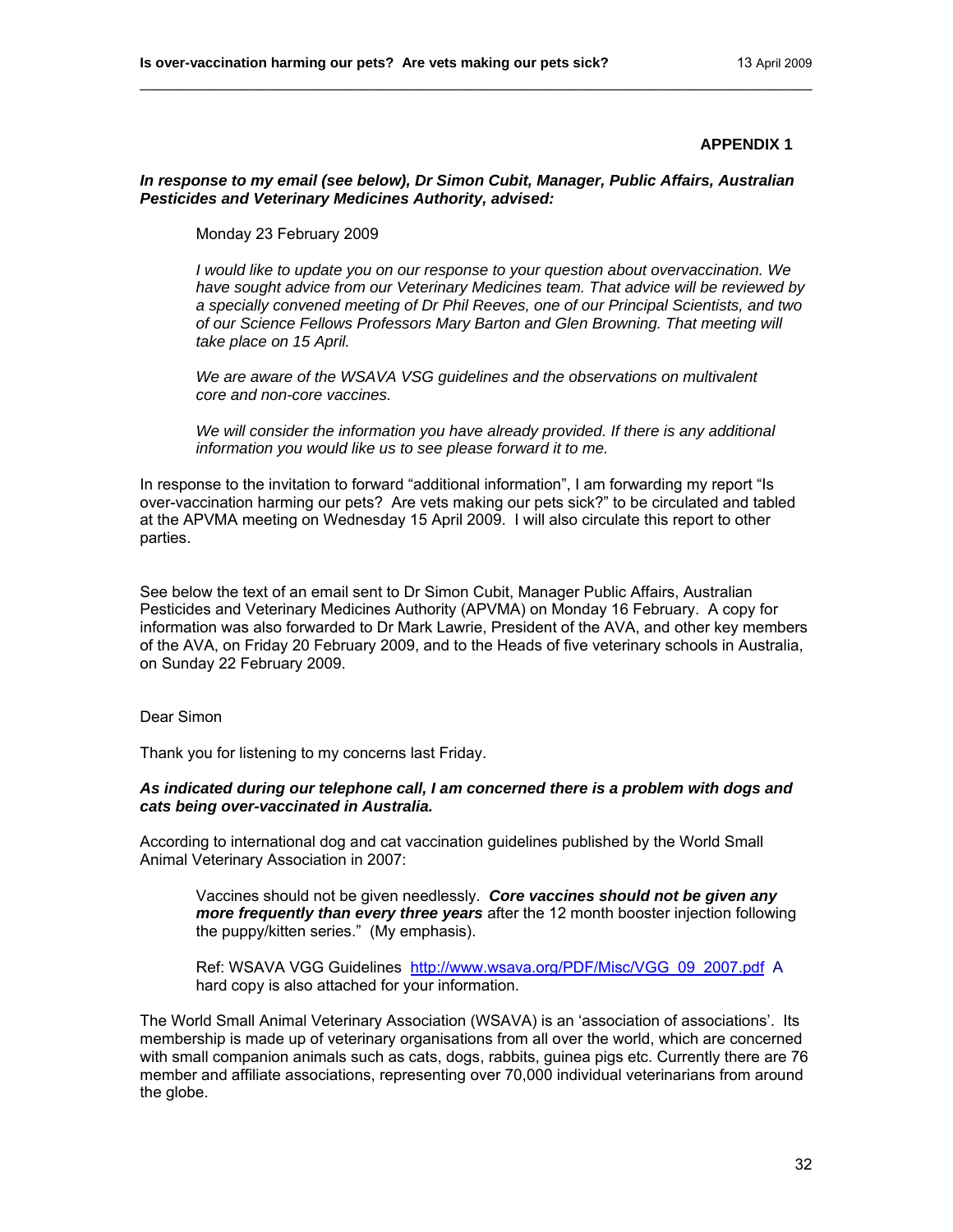#### *In response to my email (see below), Dr Simon Cubit, Manager, Public Affairs, Australian Pesticides and Veterinary Medicines Authority, advised:*

\_\_\_\_\_\_\_\_\_\_\_\_\_\_\_\_\_\_\_\_\_\_\_\_\_\_\_\_\_\_\_\_\_\_\_\_\_\_\_\_\_\_\_\_\_\_\_\_\_\_\_\_\_\_\_\_\_\_\_\_\_\_\_\_\_\_\_\_\_\_\_\_

Monday 23 February 2009

*I would like to update you on our response to your question about overvaccination. We have sought advice from our Veterinary Medicines team. That advice will be reviewed by a specially convened meeting of Dr Phil Reeves, one of our Principal Scientists, and two of our Science Fellows Professors Mary Barton and Glen Browning. That meeting will take place on 15 April.* 

*We are aware of the WSAVA VSG guidelines and the observations on multivalent core and non-core vaccines.* 

*We will consider the information you have already provided. If there is any additional information you would like us to see please forward it to me.* 

In response to the invitation to forward "additional information", I am forwarding my report "Is over-vaccination harming our pets? Are vets making our pets sick?" to be circulated and tabled at the APVMA meeting on Wednesday 15 April 2009. I will also circulate this report to other parties.

See below the text of an email sent to Dr Simon Cubit, Manager Public Affairs, Australian Pesticides and Veterinary Medicines Authority (APVMA) on Monday 16 February. A copy for information was also forwarded to Dr Mark Lawrie, President of the AVA, and other key members of the AVA, on Friday 20 February 2009, and to the Heads of five veterinary schools in Australia, on Sunday 22 February 2009.

Dear Simon

Thank you for listening to my concerns last Friday.

#### *As indicated during our telephone call, I am concerned there is a problem with dogs and cats being over-vaccinated in Australia.*

According to international dog and cat vaccination guidelines published by the World Small Animal Veterinary Association in 2007:

Vaccines should not be given needlessly. *Core vaccines should not be given any more frequently than every three years* after the 12 month booster injection following the puppy/kitten series." (My emphasis).

Ref: WSAVA VGG Guidelines [http://www.wsava.org/PDF/Misc/VGG\\_09\\_2007.pdf](http://www.wsava.org/PDF/Misc/VGG_09_2007.pdf) A hard copy is also attached for your information.

The World Small Animal Veterinary Association (WSAVA) is an 'association of associations'. Its membership is made up of veterinary organisations from all over the world, which are concerned with small companion animals such as cats, dogs, rabbits, guinea pigs etc. Currently there are 76 member and affiliate associations, representing over 70,000 individual veterinarians from around the globe.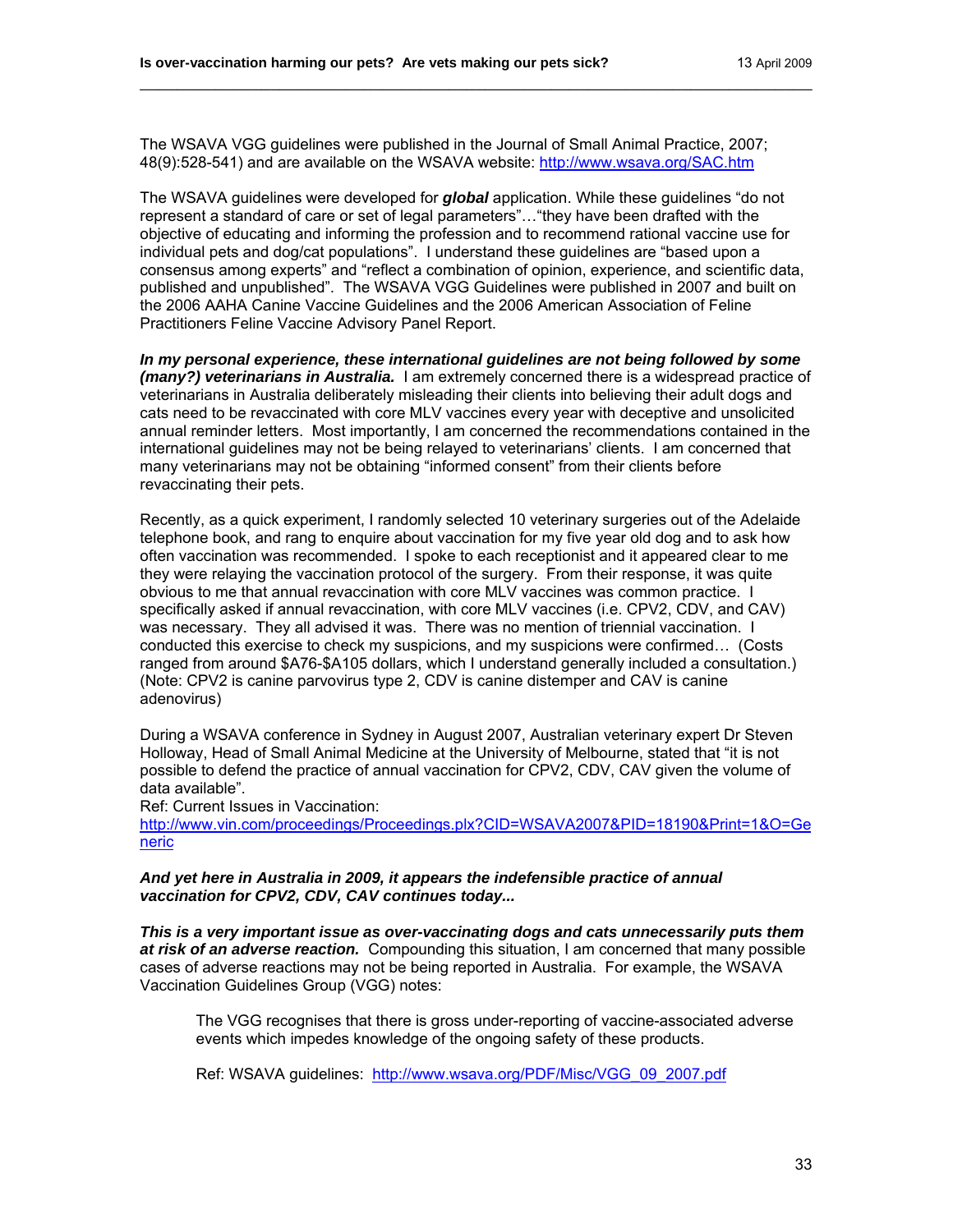The WSAVA VGG guidelines were published in the Journal of Small Animal Practice, 2007; 48(9):528-541) and are available on the WSAVA website: <http://www.wsava.org/SAC.htm>

\_\_\_\_\_\_\_\_\_\_\_\_\_\_\_\_\_\_\_\_\_\_\_\_\_\_\_\_\_\_\_\_\_\_\_\_\_\_\_\_\_\_\_\_\_\_\_\_\_\_\_\_\_\_\_\_\_\_\_\_\_\_\_\_\_\_\_\_\_\_\_\_

The WSAVA guidelines were developed for *global* application. While these guidelines "do not represent a standard of care or set of legal parameters"…"they have been drafted with the objective of educating and informing the profession and to recommend rational vaccine use for individual pets and dog/cat populations". I understand these guidelines are "based upon a consensus among experts" and "reflect a combination of opinion, experience, and scientific data, published and unpublished". The WSAVA VGG Guidelines were published in 2007 and built on the 2006 AAHA Canine Vaccine Guidelines and the 2006 American Association of Feline Practitioners Feline Vaccine Advisory Panel Report.

*In my personal experience, these international guidelines are not being followed by some (many?) veterinarians in Australia.* I am extremely concerned there is a widespread practice of veterinarians in Australia deliberately misleading their clients into believing their adult dogs and cats need to be revaccinated with core MLV vaccines every year with deceptive and unsolicited annual reminder letters. Most importantly, I am concerned the recommendations contained in the international guidelines may not be being relayed to veterinarians' clients. I am concerned that many veterinarians may not be obtaining "informed consent" from their clients before revaccinating their pets.

Recently, as a quick experiment, I randomly selected 10 veterinary surgeries out of the Adelaide telephone book, and rang to enquire about vaccination for my five year old dog and to ask how often vaccination was recommended. I spoke to each receptionist and it appeared clear to me they were relaying the vaccination protocol of the surgery. From their response, it was quite obvious to me that annual revaccination with core MLV vaccines was common practice. I specifically asked if annual revaccination, with core MLV vaccines (i.e. CPV2, CDV, and CAV) was necessary. They all advised it was. There was no mention of triennial vaccination. I conducted this exercise to check my suspicions, and my suspicions were confirmed… (Costs ranged from around \$A76-\$A105 dollars, which I understand generally included a consultation.) (Note: CPV2 is canine parvovirus type 2, CDV is canine distemper and CAV is canine adenovirus)

During a WSAVA conference in Sydney in August 2007, Australian veterinary expert Dr Steven Holloway, Head of Small Animal Medicine at the University of Melbourne, stated that "it is not possible to defend the practice of annual vaccination for CPV2, CDV, CAV given the volume of data available".

Ref: Current Issues in Vaccination:

[http://www.vin.com/proceedings/Proceedings.plx?CID=WSAVA2007&PID=18190&Print=1&O=Ge](http://www.vin.com/proceedings/Proceedings.plx?CID=WSAVA2007&PID=18190&Print=1&O=Generic) [neric](http://www.vin.com/proceedings/Proceedings.plx?CID=WSAVA2007&PID=18190&Print=1&O=Generic)

*And yet here in Australia in 2009, it appears the indefensible practice of annual vaccination for CPV2, CDV, CAV continues today...* 

*This is a very important issue as over-vaccinating dogs and cats unnecessarily puts them at risk of an adverse reaction.* Compounding this situation, I am concerned that many possible cases of adverse reactions may not be being reported in Australia. For example, the WSAVA Vaccination Guidelines Group (VGG) notes:

The VGG recognises that there is gross under-reporting of vaccine-associated adverse events which impedes knowledge of the ongoing safety of these products.

Ref: WSAVA guidelines: http://www.wsava.org/PDF/Misc/VGG\_09\_2007.pdf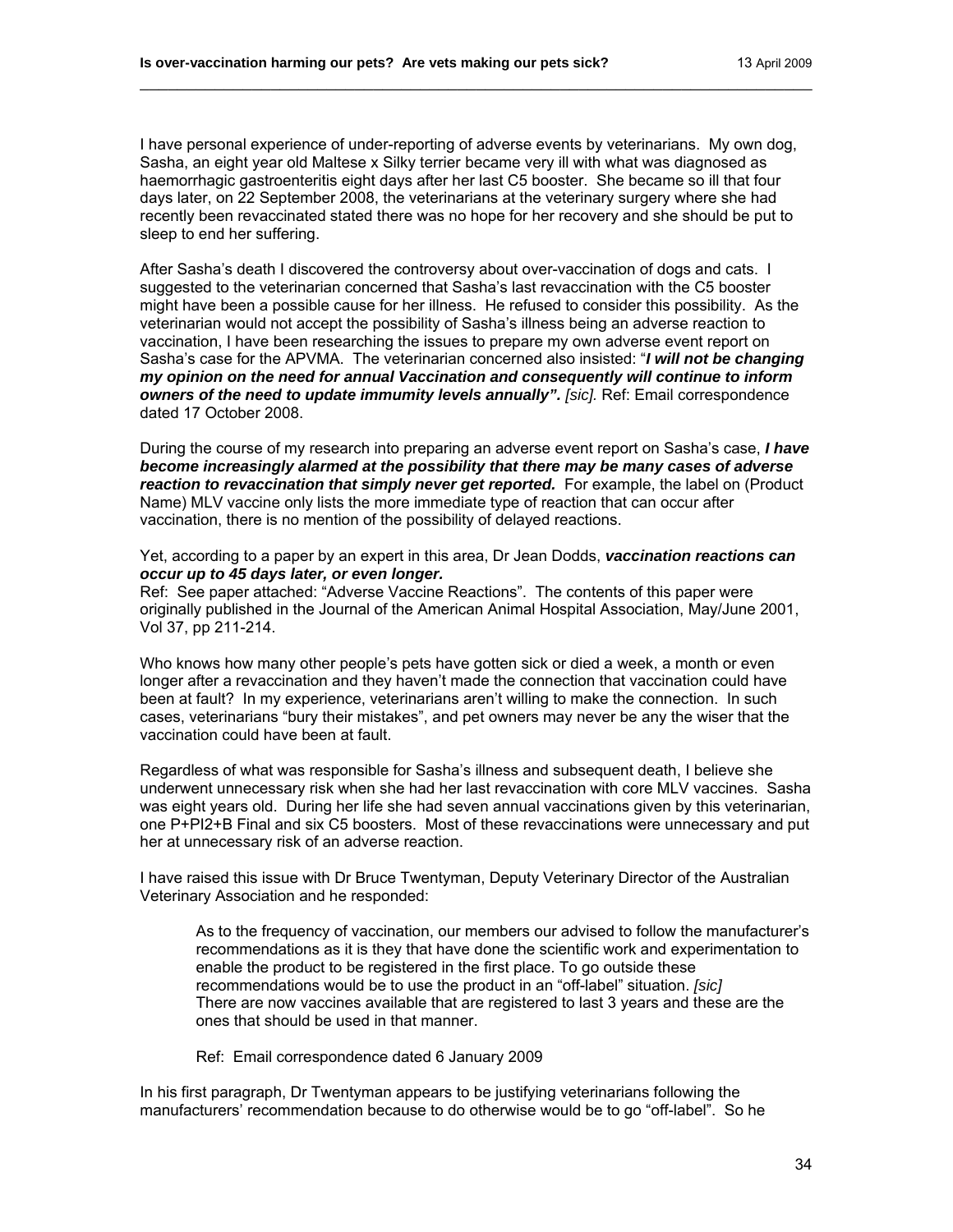I have personal experience of under-reporting of adverse events by veterinarians. My own dog, Sasha, an eight year old Maltese x Silky terrier became very ill with what was diagnosed as haemorrhagic gastroenteritis eight days after her last C5 booster. She became so ill that four days later, on 22 September 2008, the veterinarians at the veterinary surgery where she had recently been revaccinated stated there was no hope for her recovery and she should be put to sleep to end her suffering.

\_\_\_\_\_\_\_\_\_\_\_\_\_\_\_\_\_\_\_\_\_\_\_\_\_\_\_\_\_\_\_\_\_\_\_\_\_\_\_\_\_\_\_\_\_\_\_\_\_\_\_\_\_\_\_\_\_\_\_\_\_\_\_\_\_\_\_\_\_\_\_\_

After Sasha's death I discovered the controversy about over-vaccination of dogs and cats. I suggested to the veterinarian concerned that Sasha's last revaccination with the C5 booster might have been a possible cause for her illness. He refused to consider this possibility. As the veterinarian would not accept the possibility of Sasha's illness being an adverse reaction to vaccination, I have been researching the issues to prepare my own adverse event report on Sasha's case for the APVMA. The veterinarian concerned also insisted: "*I will not be changing my opinion on the need for annual Vaccination and consequently will continue to inform owners of the need to update immumity levels annually". [sic].* **Ref: Email correspondence** dated 17 October 2008.

During the course of my research into preparing an adverse event report on Sasha's case, *I have become increasingly alarmed at the possibility that there may be many cases of adverse reaction to revaccination that simply never get reported.* For example, the label on (Product Name) MLV vaccine only lists the more immediate type of reaction that can occur after vaccination, there is no mention of the possibility of delayed reactions.

Yet, according to a paper by an expert in this area, Dr Jean Dodds, *vaccination reactions can occur up to 45 days later, or even longer.* 

Ref: See paper attached: "Adverse Vaccine Reactions". The contents of this paper were originally published in the Journal of the American Animal Hospital Association, May/June 2001, Vol 37, pp 211-214.

Who knows how many other people's pets have gotten sick or died a week, a month or even longer after a revaccination and they haven't made the connection that vaccination could have been at fault? In my experience, veterinarians aren't willing to make the connection. In such cases, veterinarians "bury their mistakes", and pet owners may never be any the wiser that the vaccination could have been at fault.

Regardless of what was responsible for Sasha's illness and subsequent death, I believe she underwent unnecessary risk when she had her last revaccination with core MLV vaccines. Sasha was eight years old. During her life she had seven annual vaccinations given by this veterinarian, one P+PI2+B Final and six C5 boosters. Most of these revaccinations were unnecessary and put her at unnecessary risk of an adverse reaction.

I have raised this issue with Dr Bruce Twentyman, Deputy Veterinary Director of the Australian Veterinary Association and he responded:

As to the frequency of vaccination, our members our advised to follow the manufacturer's recommendations as it is they that have done the scientific work and experimentation to enable the product to be registered in the first place. To go outside these recommendations would be to use the product in an "off-label" situation. *[sic]* There are now vaccines available that are registered to last 3 years and these are the ones that should be used in that manner.

Ref: Email correspondence dated 6 January 2009

In his first paragraph, Dr Twentyman appears to be justifying veterinarians following the manufacturers' recommendation because to do otherwise would be to go "off-label". So he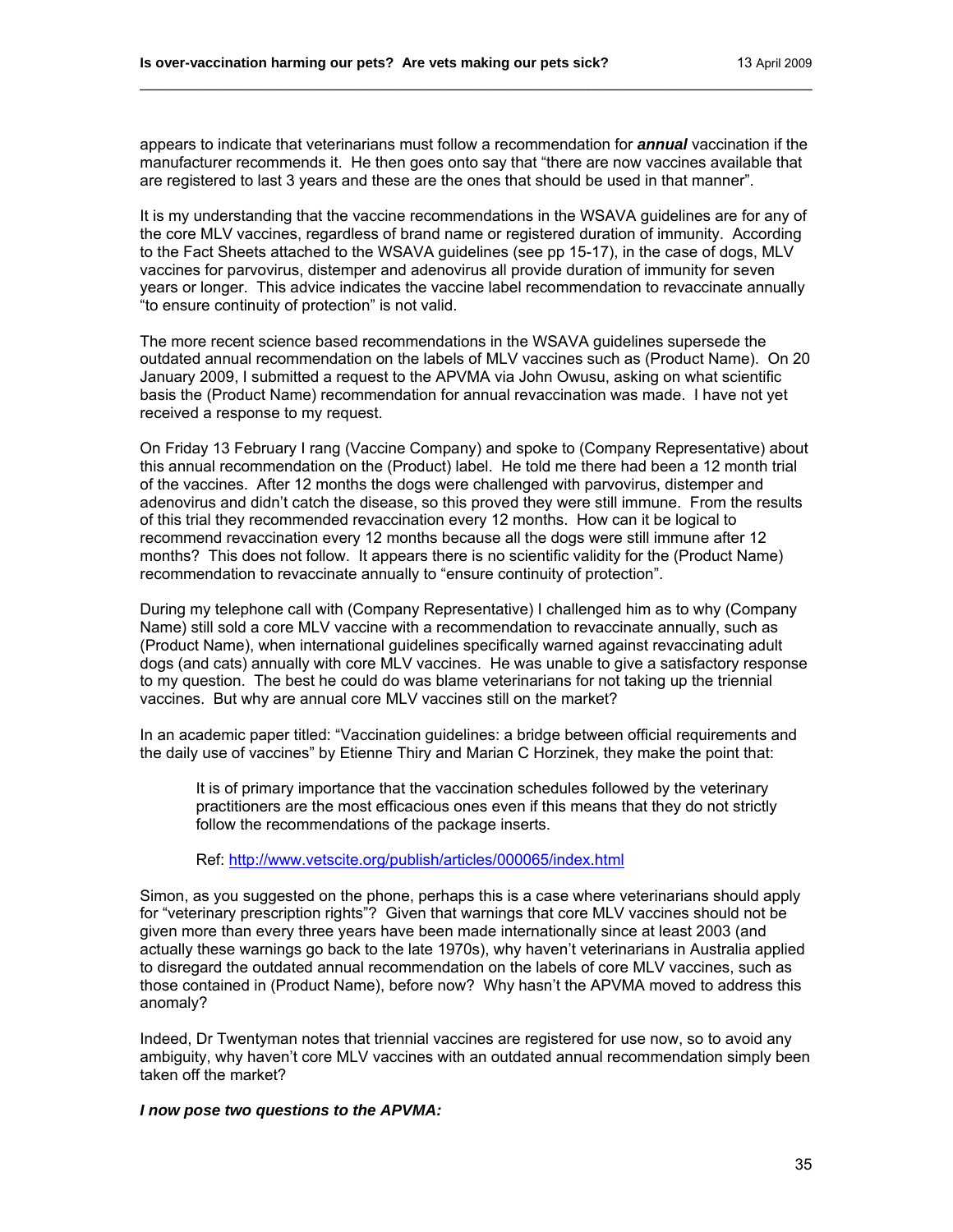appears to indicate that veterinarians must follow a recommendation for *annual* vaccination if the manufacturer recommends it. He then goes onto say that "there are now vaccines available that are registered to last 3 years and these are the ones that should be used in that manner".

\_\_\_\_\_\_\_\_\_\_\_\_\_\_\_\_\_\_\_\_\_\_\_\_\_\_\_\_\_\_\_\_\_\_\_\_\_\_\_\_\_\_\_\_\_\_\_\_\_\_\_\_\_\_\_\_\_\_\_\_\_\_\_\_\_\_\_\_\_\_\_\_

It is my understanding that the vaccine recommendations in the WSAVA guidelines are for any of the core MLV vaccines, regardless of brand name or registered duration of immunity. According to the Fact Sheets attached to the WSAVA guidelines (see pp 15-17), in the case of dogs, MLV vaccines for parvovirus, distemper and adenovirus all provide duration of immunity for seven years or longer. This advice indicates the vaccine label recommendation to revaccinate annually "to ensure continuity of protection" is not valid.

The more recent science based recommendations in the WSAVA guidelines supersede the outdated annual recommendation on the labels of MLV vaccines such as (Product Name). On 20 January 2009, I submitted a request to the APVMA via John Owusu, asking on what scientific basis the (Product Name) recommendation for annual revaccination was made. I have not yet received a response to my request.

On Friday 13 February I rang (Vaccine Company) and spoke to (Company Representative) about this annual recommendation on the (Product) label. He told me there had been a 12 month trial of the vaccines. After 12 months the dogs were challenged with parvovirus, distemper and adenovirus and didn't catch the disease, so this proved they were still immune. From the results of this trial they recommended revaccination every 12 months. How can it be logical to recommend revaccination every 12 months because all the dogs were still immune after 12 months? This does not follow. It appears there is no scientific validity for the (Product Name) recommendation to revaccinate annually to "ensure continuity of protection".

During my telephone call with (Company Representative) I challenged him as to why (Company Name) still sold a core MLV vaccine with a recommendation to revaccinate annually, such as (Product Name), when international guidelines specifically warned against revaccinating adult dogs (and cats) annually with core MLV vaccines. He was unable to give a satisfactory response to my question. The best he could do was blame veterinarians for not taking up the triennial vaccines. But why are annual core MLV vaccines still on the market?

In an academic paper titled: "Vaccination guidelines: a bridge between official requirements and the daily use of vaccines" by Etienne Thiry and Marian C Horzinek, they make the point that:

It is of primary importance that the vaccination schedules followed by the veterinary practitioners are the most efficacious ones even if this means that they do not strictly follow the recommendations of the package inserts.

Ref: <http://www.vetscite.org/publish/articles/000065/index.html>

Simon, as you suggested on the phone, perhaps this is a case where veterinarians should apply for "veterinary prescription rights"? Given that warnings that core MLV vaccines should not be given more than every three years have been made internationally since at least 2003 (and actually these warnings go back to the late 1970s), why haven't veterinarians in Australia applied to disregard the outdated annual recommendation on the labels of core MLV vaccines, such as those contained in (Product Name), before now? Why hasn't the APVMA moved to address this anomaly?

Indeed, Dr Twentyman notes that triennial vaccines are registered for use now, so to avoid any ambiguity, why haven't core MLV vaccines with an outdated annual recommendation simply been taken off the market?

#### *I now pose two questions to the APVMA:*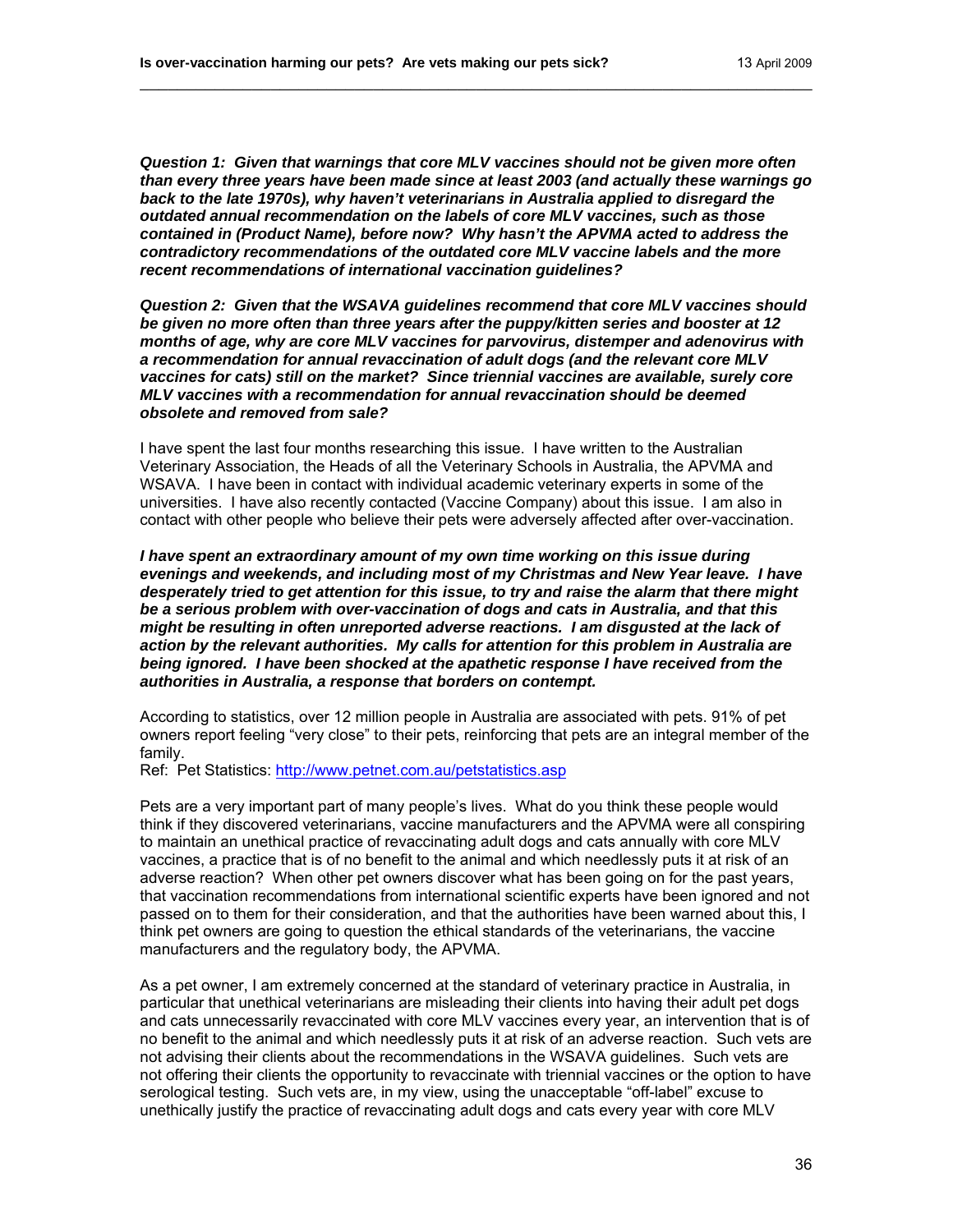*Question 1: Given that warnings that core MLV vaccines should not be given more often than every three years have been made since at least 2003 (and actually these warnings go back to the late 1970s), why haven't veterinarians in Australia applied to disregard the outdated annual recommendation on the labels of core MLV vaccines, such as those contained in (Product Name), before now? Why hasn't the APVMA acted to address the contradictory recommendations of the outdated core MLV vaccine labels and the more recent recommendations of international vaccination guidelines?* 

\_\_\_\_\_\_\_\_\_\_\_\_\_\_\_\_\_\_\_\_\_\_\_\_\_\_\_\_\_\_\_\_\_\_\_\_\_\_\_\_\_\_\_\_\_\_\_\_\_\_\_\_\_\_\_\_\_\_\_\_\_\_\_\_\_\_\_\_\_\_\_\_

*Question 2: Given that the WSAVA guidelines recommend that core MLV vaccines should be given no more often than three years after the puppy/kitten series and booster at 12 months of age, why are core MLV vaccines for parvovirus, distemper and adenovirus with a recommendation for annual revaccination of adult dogs (and the relevant core MLV vaccines for cats) still on the market? Since triennial vaccines are available, surely core MLV vaccines with a recommendation for annual revaccination should be deemed obsolete and removed from sale?* 

I have spent the last four months researching this issue. I have written to the Australian Veterinary Association, the Heads of all the Veterinary Schools in Australia, the APVMA and WSAVA. I have been in contact with individual academic veterinary experts in some of the universities. I have also recently contacted (Vaccine Company) about this issue. I am also in contact with other people who believe their pets were adversely affected after over-vaccination.

*I have spent an extraordinary amount of my own time working on this issue during evenings and weekends, and including most of my Christmas and New Year leave. I have desperately tried to get attention for this issue, to try and raise the alarm that there might be a serious problem with over-vaccination of dogs and cats in Australia, and that this might be resulting in often unreported adverse reactions. I am disgusted at the lack of action by the relevant authorities. My calls for attention for this problem in Australia are being ignored. I have been shocked at the apathetic response I have received from the authorities in Australia, a response that borders on contempt.* 

According to statistics, over 12 million people in Australia are associated with pets. 91% of pet owners report feeling "very close" to their pets, reinforcing that pets are an integral member of the family.

Ref: Pet Statistics: <http://www.petnet.com.au/petstatistics.asp>

Pets are a very important part of many people's lives. What do you think these people would think if they discovered veterinarians, vaccine manufacturers and the APVMA were all conspiring to maintain an unethical practice of revaccinating adult dogs and cats annually with core MLV vaccines, a practice that is of no benefit to the animal and which needlessly puts it at risk of an adverse reaction? When other pet owners discover what has been going on for the past years, that vaccination recommendations from international scientific experts have been ignored and not passed on to them for their consideration, and that the authorities have been warned about this, I think pet owners are going to question the ethical standards of the veterinarians, the vaccine manufacturers and the regulatory body, the APVMA.

As a pet owner, I am extremely concerned at the standard of veterinary practice in Australia, in particular that unethical veterinarians are misleading their clients into having their adult pet dogs and cats unnecessarily revaccinated with core MLV vaccines every year, an intervention that is of no benefit to the animal and which needlessly puts it at risk of an adverse reaction. Such vets are not advising their clients about the recommendations in the WSAVA guidelines. Such vets are not offering their clients the opportunity to revaccinate with triennial vaccines or the option to have serological testing. Such vets are, in my view, using the unacceptable "off-label" excuse to unethically justify the practice of revaccinating adult dogs and cats every year with core MLV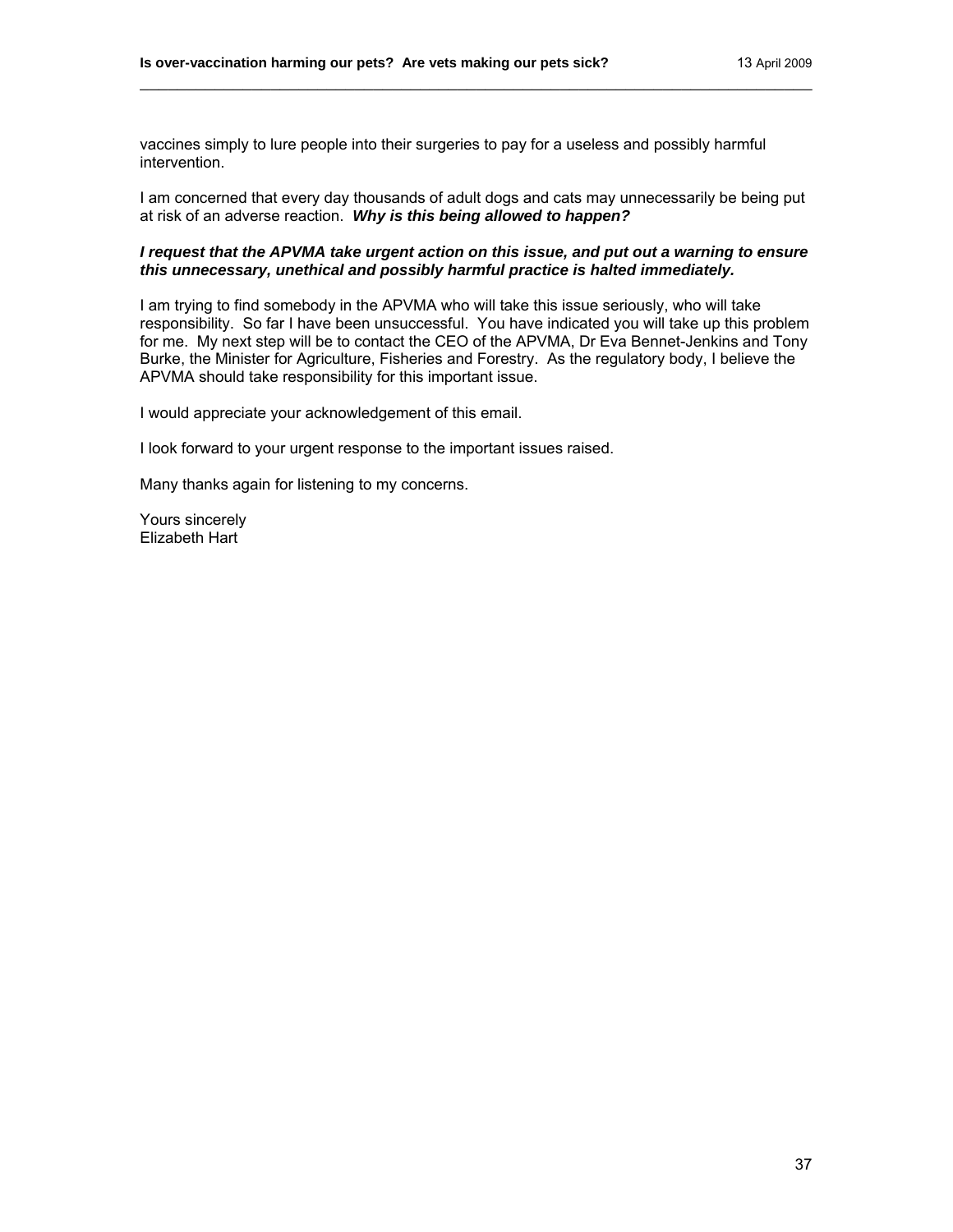vaccines simply to lure people into their surgeries to pay for a useless and possibly harmful intervention.

I am concerned that every day thousands of adult dogs and cats may unnecessarily be being put at risk of an adverse reaction. *Why is this being allowed to happen?*

\_\_\_\_\_\_\_\_\_\_\_\_\_\_\_\_\_\_\_\_\_\_\_\_\_\_\_\_\_\_\_\_\_\_\_\_\_\_\_\_\_\_\_\_\_\_\_\_\_\_\_\_\_\_\_\_\_\_\_\_\_\_\_\_\_\_\_\_\_\_\_\_

### *I request that the APVMA take urgent action on this issue, and put out a warning to ensure this unnecessary, unethical and possibly harmful practice is halted immediately.*

I am trying to find somebody in the APVMA who will take this issue seriously, who will take responsibility. So far I have been unsuccessful. You have indicated you will take up this problem for me. My next step will be to contact the CEO of the APVMA, Dr Eva Bennet-Jenkins and Tony Burke, the Minister for Agriculture, Fisheries and Forestry. As the regulatory body, I believe the APVMA should take responsibility for this important issue.

I would appreciate your acknowledgement of this email.

I look forward to your urgent response to the important issues raised.

Many thanks again for listening to my concerns.

Yours sincerely Elizabeth Hart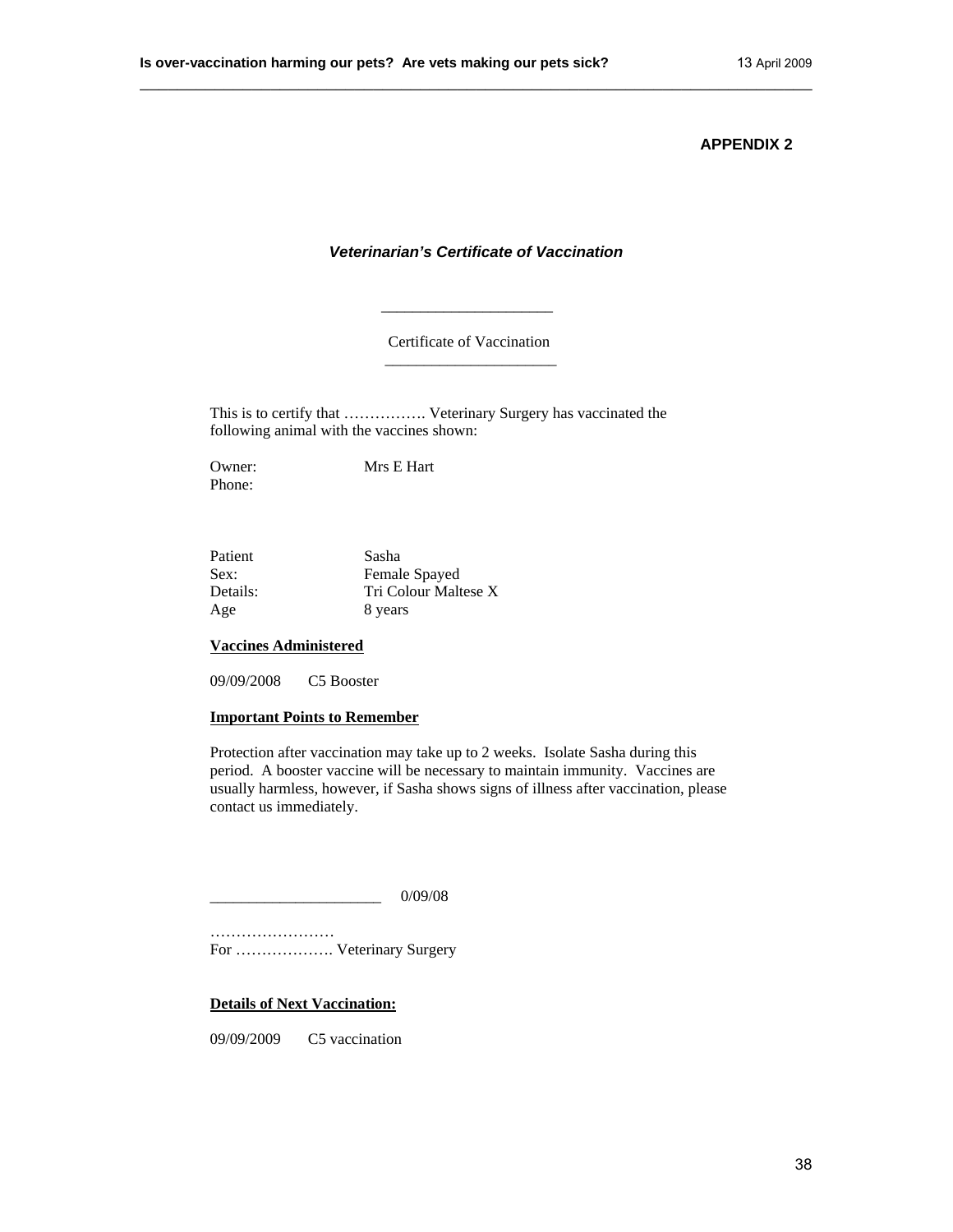## *Veterinarian's Certificate of Vaccination*

\_\_\_\_\_\_\_\_\_\_\_\_\_\_\_\_\_\_\_\_\_\_\_\_\_\_\_\_\_\_\_\_\_\_\_\_\_\_\_\_\_\_\_\_\_\_\_\_\_\_\_\_\_\_\_\_\_\_\_\_\_\_\_\_\_\_\_\_\_\_\_\_

Certificate of Vaccination

This is to certify that ……………. Veterinary Surgery has vaccinated the following animal with the vaccines shown:

Phone:

Owner: Mrs E Hart

 $\frac{1}{2}$  , and the set of the set of the set of the set of the set of the set of the set of the set of the set of the set of the set of the set of the set of the set of the set of the set of the set of the set of the set

 $\overline{\phantom{a}}$  , and the contract of the contract of the contract of the contract of the contract of the contract of the contract of the contract of the contract of the contract of the contract of the contract of the contrac

| Patient  | Sasha                |
|----------|----------------------|
| Sex:     | Female Spayed        |
| Details: | Tri Colour Maltese X |
| Age      | 8 years              |

## **Vaccines Administered**

09/09/2008 C5 Booster

#### **Important Points to Remember**

Protection after vaccination may take up to 2 weeks. Isolate Sasha during this period. A booster vaccine will be necessary to maintain immunity. Vaccines are usually harmless, however, if Sasha shows signs of illness after vaccination, please contact us immediately.

\_\_\_\_\_\_\_\_\_\_\_\_\_\_\_\_\_\_\_\_\_\_ 0/09/08

…………………… For ………………. Veterinary Surgery

**Details of Next Vaccination:**

09/09/2009 C5 vaccination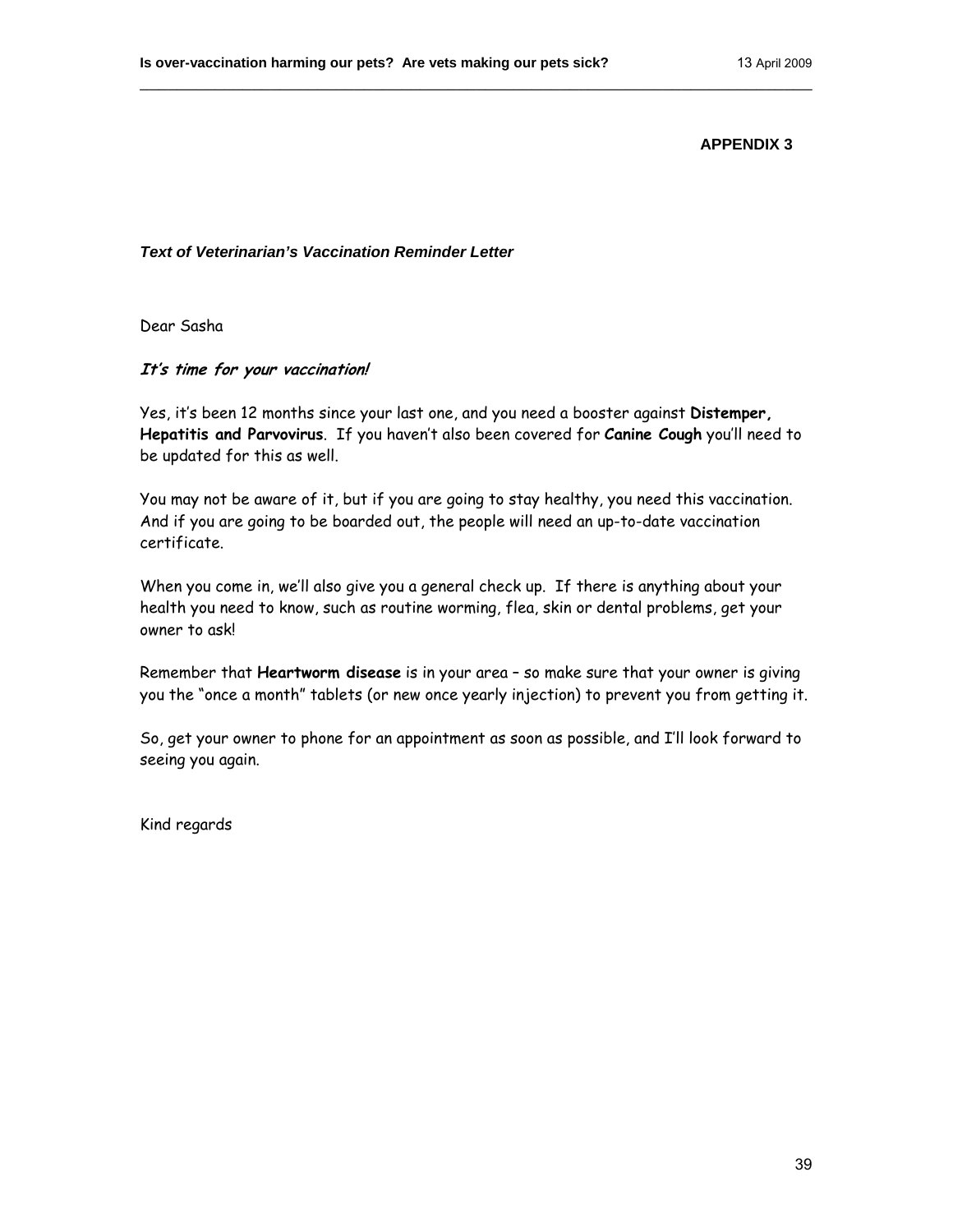## *Text of Veterinarian's Vaccination Reminder Letter*

Dear Sasha

## **It's time for your vaccination!**

Yes, it's been 12 months since your last one, and you need a booster against **Distemper, Hepatitis and Parvovirus**. If you haven't also been covered for **Canine Cough** you'll need to be updated for this as well.

\_\_\_\_\_\_\_\_\_\_\_\_\_\_\_\_\_\_\_\_\_\_\_\_\_\_\_\_\_\_\_\_\_\_\_\_\_\_\_\_\_\_\_\_\_\_\_\_\_\_\_\_\_\_\_\_\_\_\_\_\_\_\_\_\_\_\_\_\_\_\_\_

You may not be aware of it, but if you are going to stay healthy, you need this vaccination. And if you are going to be boarded out, the people will need an up-to-date vaccination certificate.

When you come in, we'll also give you a general check up. If there is anything about your health you need to know, such as routine worming, flea, skin or dental problems, get your owner to ask!

Remember that **Heartworm disease** is in your area – so make sure that your owner is giving you the "once a month" tablets (or new once yearly injection) to prevent you from getting it.

So, get your owner to phone for an appointment as soon as possible, and I'll look forward to seeing you again.

Kind regards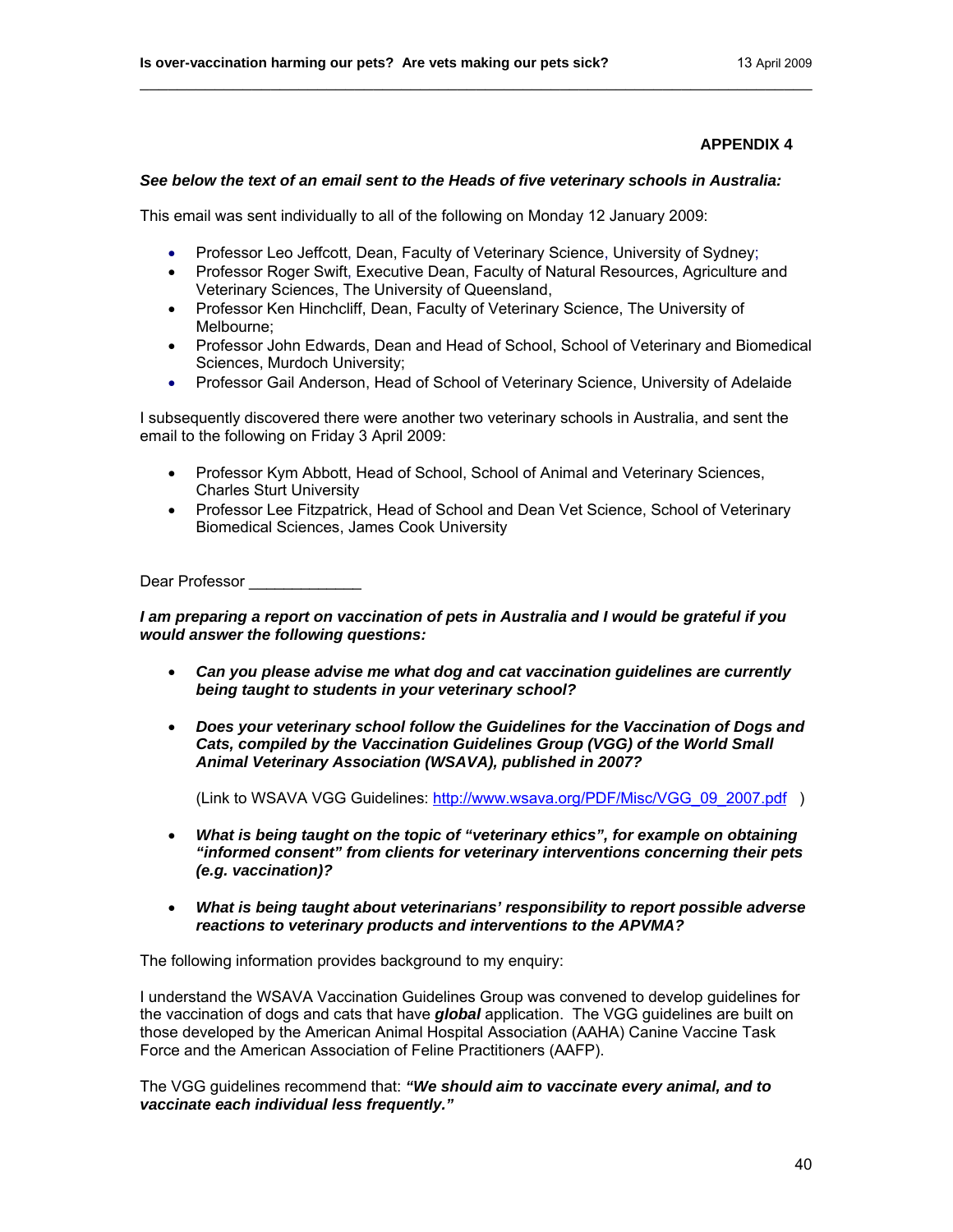## *See below the text of an email sent to the Heads of five veterinary schools in Australia:*

\_\_\_\_\_\_\_\_\_\_\_\_\_\_\_\_\_\_\_\_\_\_\_\_\_\_\_\_\_\_\_\_\_\_\_\_\_\_\_\_\_\_\_\_\_\_\_\_\_\_\_\_\_\_\_\_\_\_\_\_\_\_\_\_\_\_\_\_\_\_\_\_

This email was sent individually to all of the following on Monday 12 January 2009:

- Professor Leo Jeffcott, Dean, Faculty of Veterinary Science, University of Sydney;
- Professor Roger Swift, Executive Dean, Faculty of Natural Resources, Agriculture and Veterinary Sciences, The University of Queensland,
- Professor Ken Hinchcliff, Dean, Faculty of Veterinary Science, The University of Melbourne;
- Professor John Edwards, Dean and Head of School, School of Veterinary and Biomedical Sciences, Murdoch University;
- Professor Gail Anderson, Head of School of Veterinary Science, University of Adelaide

I subsequently discovered there were another two veterinary schools in Australia, and sent the email to the following on Friday 3 April 2009:

- Professor Kym Abbott, Head of School, School of Animal and Veterinary Sciences, Charles Sturt University
- Professor Lee Fitzpatrick, Head of School and Dean Vet Science, School of Veterinary Biomedical Sciences, James Cook University

Dear Professor **Latings** 

*I am preparing a report on vaccination of pets in Australia and I would be grateful if you would answer the following questions:* 

- *Can you please advise me what dog and cat vaccination guidelines are currently being taught to students in your veterinary school?*
- *Does your veterinary school follow the Guidelines for the Vaccination of Dogs and Cats, compiled by the Vaccination Guidelines Group (VGG) of the World Small Animal Veterinary Association (WSAVA), published in 2007?*

(Link to WSAVA VGG Guidelines: [http://www.wsava.org/PDF/Misc/VGG\\_09\\_2007.pdf](http://www.wsava.org/PDF/Misc/VGG_09_2007.pdf) )

- *What is being taught on the topic of "veterinary ethics", for example on obtaining "informed consent" from clients for veterinary interventions concerning their pets (e.g. vaccination)?*
- *What is being taught about veterinarians' responsibility to report possible adverse reactions to veterinary products and interventions to the APVMA?*

The following information provides background to my enquiry:

I understand the WSAVA Vaccination Guidelines Group was convened to develop guidelines for the vaccination of dogs and cats that have *global* application. The VGG guidelines are built on those developed by the American Animal Hospital Association (AAHA) Canine Vaccine Task Force and the American Association of Feline Practitioners (AAFP).

The VGG guidelines recommend that: *"We should aim to vaccinate every animal, and to vaccinate each individual less frequently."*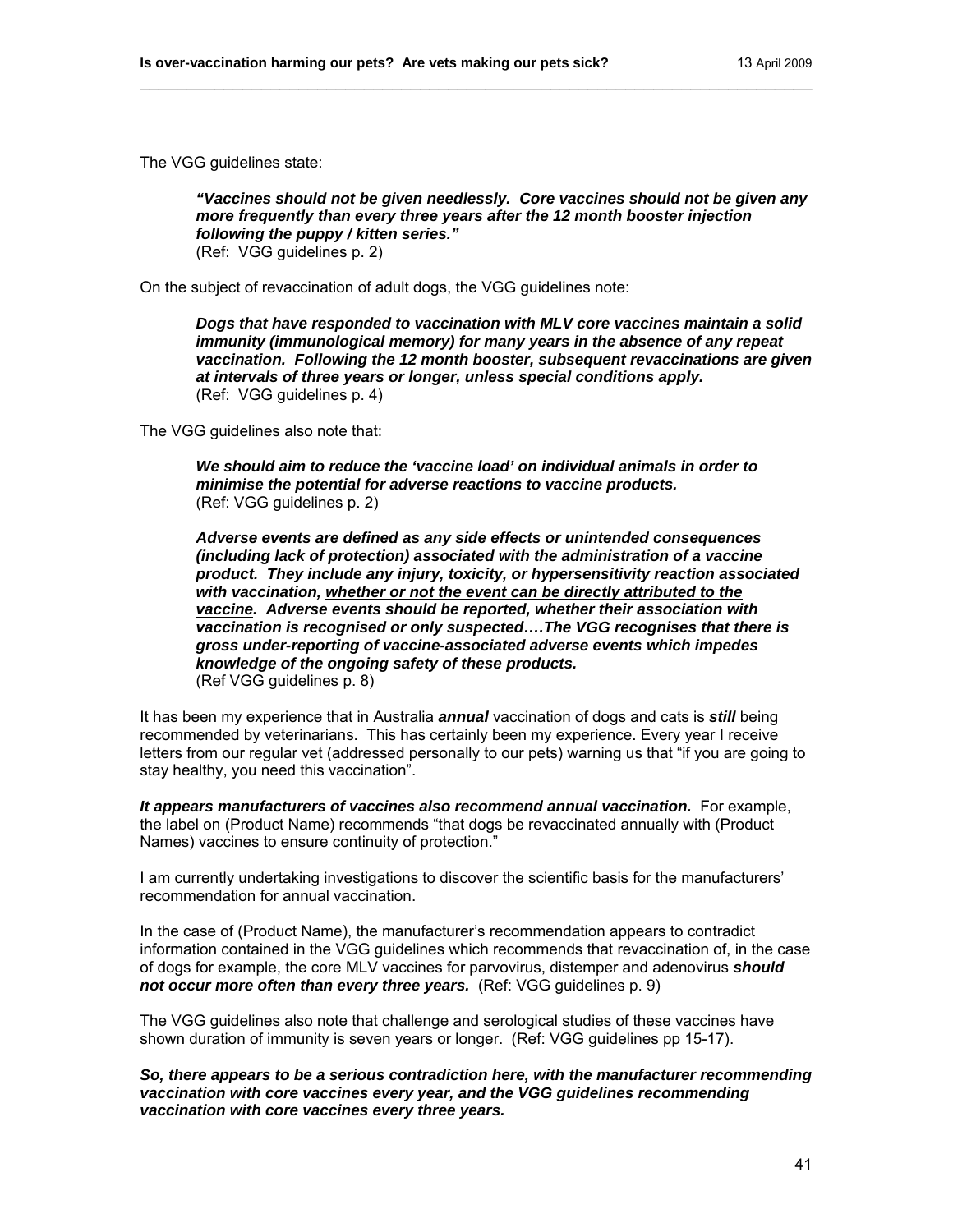The VGG guidelines state:

*"Vaccines should not be given needlessly. Core vaccines should not be given any more frequently than every three years after the 12 month booster injection following the puppy / kitten series."*  (Ref: VGG guidelines p. 2)

\_\_\_\_\_\_\_\_\_\_\_\_\_\_\_\_\_\_\_\_\_\_\_\_\_\_\_\_\_\_\_\_\_\_\_\_\_\_\_\_\_\_\_\_\_\_\_\_\_\_\_\_\_\_\_\_\_\_\_\_\_\_\_\_\_\_\_\_\_\_\_\_

On the subject of revaccination of adult dogs, the VGG guidelines note:

*Dogs that have responded to vaccination with MLV core vaccines maintain a solid immunity (immunological memory) for many years in the absence of any repeat vaccination. Following the 12 month booster, subsequent revaccinations are given at intervals of three years or longer, unless special conditions apply.*  (Ref: VGG guidelines p. 4)

The VGG guidelines also note that:

*We should aim to reduce the 'vaccine load' on individual animals in order to minimise the potential for adverse reactions to vaccine products.*  (Ref: VGG guidelines p. 2)

*Adverse events are defined as any side effects or unintended consequences (including lack of protection) associated with the administration of a vaccine product. They include any injury, toxicity, or hypersensitivity reaction associated with vaccination, whether or not the event can be directly attributed to the vaccine. Adverse events should be reported, whether their association with vaccination is recognised or only suspected….The VGG recognises that there is gross under-reporting of vaccine-associated adverse events which impedes knowledge of the ongoing safety of these products.*  (Ref VGG guidelines p. 8)

It has been my experience that in Australia *annual* vaccination of dogs and cats is *still* being recommended by veterinarians. This has certainly been my experience. Every year I receive letters from our regular vet (addressed personally to our pets) warning us that "if you are going to stay healthy, you need this vaccination".

*It appears manufacturers of vaccines also recommend annual vaccination.* For example, the label on (Product Name) recommends "that dogs be revaccinated annually with (Product Names) vaccines to ensure continuity of protection."

I am currently undertaking investigations to discover the scientific basis for the manufacturers' recommendation for annual vaccination.

In the case of (Product Name), the manufacturer's recommendation appears to contradict information contained in the VGG guidelines which recommends that revaccination of, in the case of dogs for example, the core MLV vaccines for parvovirus, distemper and adenovirus *should not occur more often than every three years.* (Ref: VGG guidelines p. 9)

The VGG guidelines also note that challenge and serological studies of these vaccines have shown duration of immunity is seven years or longer. (Ref: VGG guidelines pp 15-17).

*So, there appears to be a serious contradiction here, with the manufacturer recommending vaccination with core vaccines every year, and the VGG guidelines recommending vaccination with core vaccines every three years.*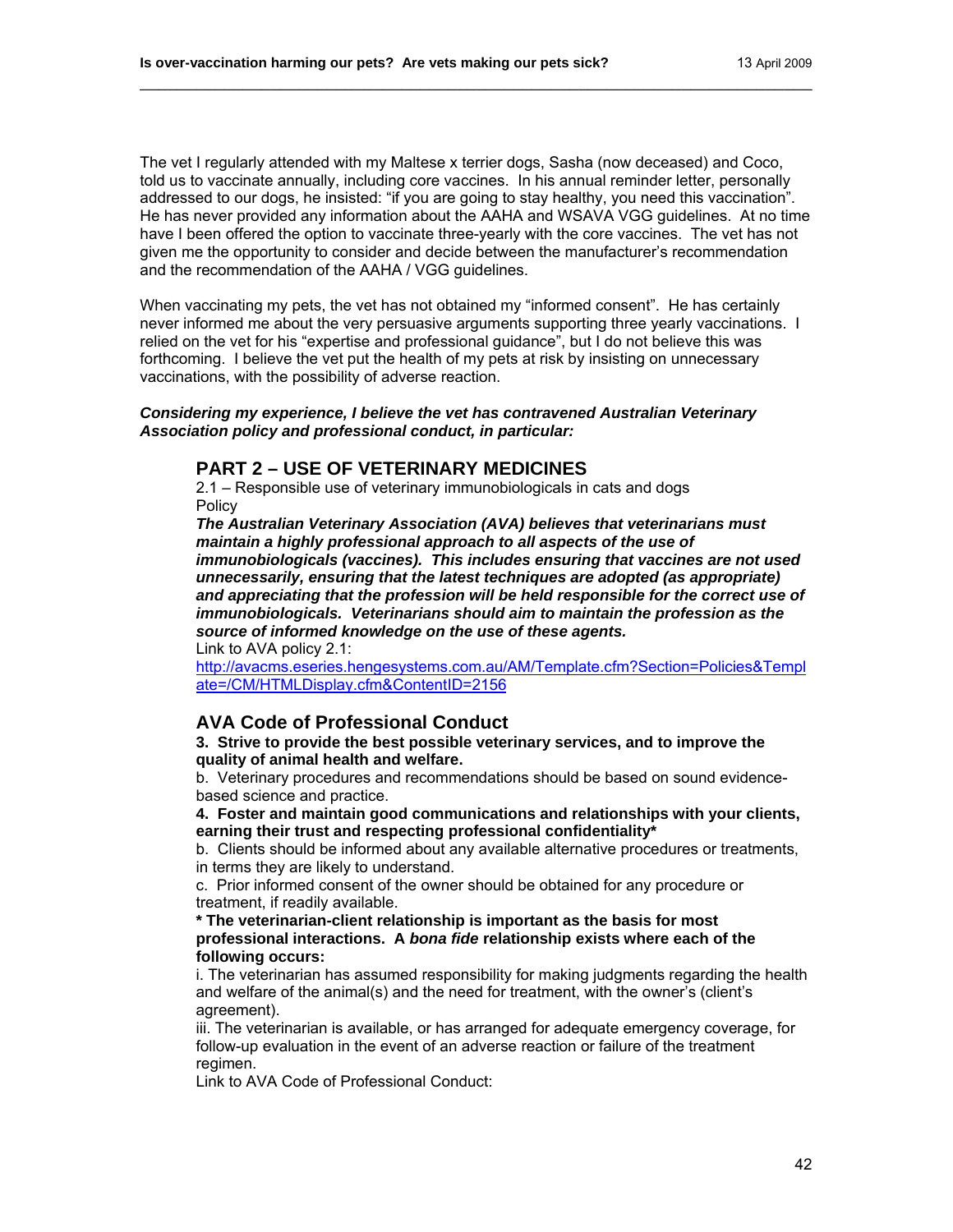The vet I regularly attended with my Maltese x terrier dogs, Sasha (now deceased) and Coco, told us to vaccinate annually, including core vaccines. In his annual reminder letter, personally addressed to our dogs, he insisted: "if you are going to stay healthy, you need this vaccination". He has never provided any information about the AAHA and WSAVA VGG guidelines. At no time have I been offered the option to vaccinate three-yearly with the core vaccines. The vet has not given me the opportunity to consider and decide between the manufacturer's recommendation and the recommendation of the AAHA / VGG guidelines.

\_\_\_\_\_\_\_\_\_\_\_\_\_\_\_\_\_\_\_\_\_\_\_\_\_\_\_\_\_\_\_\_\_\_\_\_\_\_\_\_\_\_\_\_\_\_\_\_\_\_\_\_\_\_\_\_\_\_\_\_\_\_\_\_\_\_\_\_\_\_\_\_

When vaccinating my pets, the vet has not obtained my "informed consent". He has certainly never informed me about the very persuasive arguments supporting three yearly vaccinations. I relied on the vet for his "expertise and professional guidance", but I do not believe this was forthcoming. I believe the vet put the health of my pets at risk by insisting on unnecessary vaccinations, with the possibility of adverse reaction.

#### *Considering my experience, I believe the vet has contravened Australian Veterinary Association policy and professional conduct, in particular:*

## **PART 2 – USE OF VETERINARY MEDICINES**

2.1 – Responsible use of veterinary immunobiologicals in cats and dogs **Policy** 

*The Australian Veterinary Association (AVA) believes that veterinarians must maintain a highly professional approach to all aspects of the use of immunobiologicals (vaccines). This includes ensuring that vaccines are not used unnecessarily, ensuring that the latest techniques are adopted (as appropriate) and appreciating that the profession will be held responsible for the correct use of immunobiologicals. Veterinarians should aim to maintain the profession as the source of informed knowledge on the use of these agents.* 

Link to AVA policy 2.1:

[http://avacms.eseries.hengesystems.com.au/AM/Template.cfm?Section=Policies&Templ](http://avacms.eseries.hengesystems.com.au/AM/Template.cfm?Section=Policies&Template=/CM/HTMLDisplay.cfm&ContentID=2156) [ate=/CM/HTMLDisplay.cfm&ContentID=2156](http://avacms.eseries.hengesystems.com.au/AM/Template.cfm?Section=Policies&Template=/CM/HTMLDisplay.cfm&ContentID=2156) 

## **AVA Code of Professional Conduct**

**3. Strive to provide the best possible veterinary services, and to improve the quality of animal health and welfare.** 

b. Veterinary procedures and recommendations should be based on sound evidencebased science and practice.

**4. Foster and maintain good communications and relationships with your clients, earning their trust and respecting professional confidentiality\*** 

b. Clients should be informed about any available alternative procedures or treatments, in terms they are likely to understand.

c. Prior informed consent of the owner should be obtained for any procedure or treatment, if readily available.

**\* The veterinarian-client relationship is important as the basis for most professional interactions. A** *bona fide* **relationship exists where each of the following occurs:** 

i. The veterinarian has assumed responsibility for making judgments regarding the health and welfare of the animal(s) and the need for treatment, with the owner's (client's agreement).

iii. The veterinarian is available, or has arranged for adequate emergency coverage, for follow-up evaluation in the event of an adverse reaction or failure of the treatment regimen.

Link to AVA Code of Professional Conduct: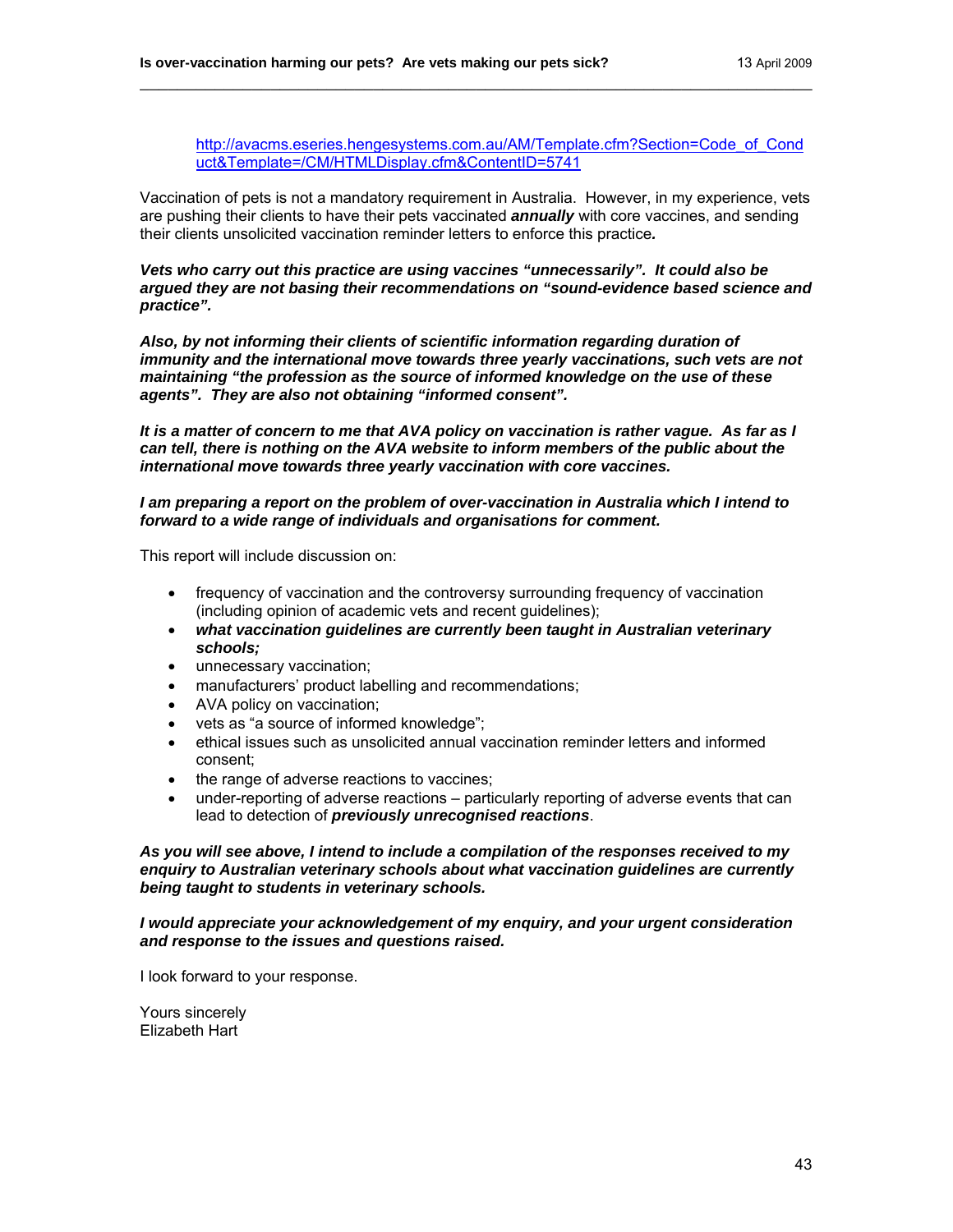[http://avacms.eseries.hengesystems.com.au/AM/Template.cfm?Section=Code\\_of\\_Cond](http://avacms.eseries.hengesystems.com.au/AM/Template.cfm?Section=Code_of_Conduct&Template=/CM/HTMLDisplay.cfm&ContentID=5741) [uct&Template=/CM/HTMLDisplay.cfm&ContentID=5741](http://avacms.eseries.hengesystems.com.au/AM/Template.cfm?Section=Code_of_Conduct&Template=/CM/HTMLDisplay.cfm&ContentID=5741)

Vaccination of pets is not a mandatory requirement in Australia. However, in my experience, vets are pushing their clients to have their pets vaccinated *annually* with core vaccines, and sending their clients unsolicited vaccination reminder letters to enforce this practice*.* 

\_\_\_\_\_\_\_\_\_\_\_\_\_\_\_\_\_\_\_\_\_\_\_\_\_\_\_\_\_\_\_\_\_\_\_\_\_\_\_\_\_\_\_\_\_\_\_\_\_\_\_\_\_\_\_\_\_\_\_\_\_\_\_\_\_\_\_\_\_\_\_\_

*Vets who carry out this practice are using vaccines "unnecessarily". It could also be argued they are not basing their recommendations on "sound-evidence based science and practice".* 

*Also, by not informing their clients of scientific information regarding duration of immunity and the international move towards three yearly vaccinations, such vets are not maintaining "the profession as the source of informed knowledge on the use of these agents". They are also not obtaining "informed consent".* 

*It is a matter of concern to me that AVA policy on vaccination is rather vague. As far as I can tell, there is nothing on the AVA website to inform members of the public about the international move towards three yearly vaccination with core vaccines.* 

## *I am preparing a report on the problem of over-vaccination in Australia which I intend to forward to a wide range of individuals and organisations for comment.*

This report will include discussion on:

- frequency of vaccination and the controversy surrounding frequency of vaccination (including opinion of academic vets and recent guidelines);
- *what vaccination guidelines are currently been taught in Australian veterinary schools;*
- unnecessary vaccination;
- manufacturers' product labelling and recommendations;
- AVA policy on vaccination;
- vets as "a source of informed knowledge";
- ethical issues such as unsolicited annual vaccination reminder letters and informed consent;
- the range of adverse reactions to vaccines;
- under-reporting of adverse reactions particularly reporting of adverse events that can lead to detection of *previously unrecognised reactions*.

*As you will see above, I intend to include a compilation of the responses received to my enquiry to Australian veterinary schools about what vaccination guidelines are currently being taught to students in veterinary schools.* 

*I would appreciate your acknowledgement of my enquiry, and your urgent consideration and response to the issues and questions raised.* 

I look forward to your response.

Yours sincerely Elizabeth Hart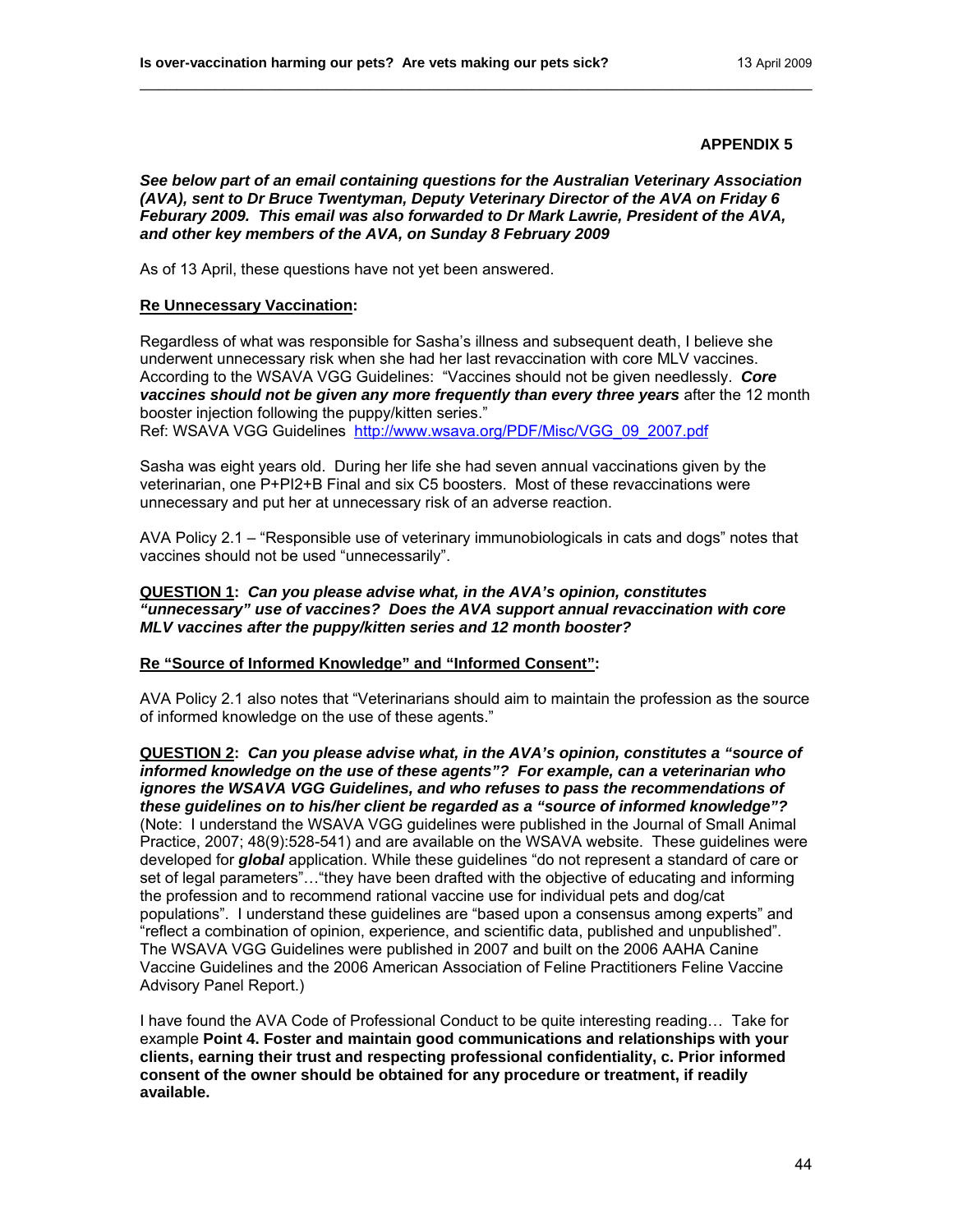*See below part of an email containing questions for the Australian Veterinary Association (AVA), sent to Dr Bruce Twentyman, Deputy Veterinary Director of the AVA on Friday 6 Feburary 2009. This email was also forwarded to Dr Mark Lawrie, President of the AVA, and other key members of the AVA, on Sunday 8 February 2009* 

\_\_\_\_\_\_\_\_\_\_\_\_\_\_\_\_\_\_\_\_\_\_\_\_\_\_\_\_\_\_\_\_\_\_\_\_\_\_\_\_\_\_\_\_\_\_\_\_\_\_\_\_\_\_\_\_\_\_\_\_\_\_\_\_\_\_\_\_\_\_\_\_

As of 13 April, these questions have not yet been answered.

#### **Re Unnecessary Vaccination:**

Regardless of what was responsible for Sasha's illness and subsequent death, I believe she underwent unnecessary risk when she had her last revaccination with core MLV vaccines. According to the WSAVA VGG Guidelines: "Vaccines should not be given needlessly. *Core vaccines should not be given any more frequently than every three years* after the 12 month booster injection following the puppy/kitten series."

Ref: WSAVA VGG Guidelines [http://www.wsava.org/PDF/Misc/VGG\\_09\\_2007.pdf](http://www.wsava.org/PDF/Misc/VGG_09_2007.pdf)

Sasha was eight years old. During her life she had seven annual vaccinations given by the veterinarian, one P+PI2+B Final and six C5 boosters. Most of these revaccinations were unnecessary and put her at unnecessary risk of an adverse reaction.

AVA Policy 2.1 – "Responsible use of veterinary immunobiologicals in cats and dogs" notes that vaccines should not be used "unnecessarily".

## **QUESTION 1:** *Can you please advise what, in the AVA's opinion, constitutes "unnecessary" use of vaccines? Does the AVA support annual revaccination with core MLV vaccines after the puppy/kitten series and 12 month booster?*

## **Re "Source of Informed Knowledge" and "Informed Consent":**

AVA Policy 2.1 also notes that "Veterinarians should aim to maintain the profession as the source of informed knowledge on the use of these agents."

**QUESTION 2:** *Can you please advise what, in the AVA's opinion, constitutes a "source of informed knowledge on the use of these agents"? For example, can a veterinarian who ignores the WSAVA VGG Guidelines, and who refuses to pass the recommendations of these guidelines on to his/her client be regarded as a "source of informed knowledge"?* (Note: I understand the WSAVA VGG guidelines were published in the Journal of Small Animal Practice, 2007; 48(9):528-541) and are available on the WSAVA website. These guidelines were developed for *global* application. While these guidelines "do not represent a standard of care or set of legal parameters"…"they have been drafted with the objective of educating and informing the profession and to recommend rational vaccine use for individual pets and dog/cat populations". I understand these guidelines are "based upon a consensus among experts" and "reflect a combination of opinion, experience, and scientific data, published and unpublished". The WSAVA VGG Guidelines were published in 2007 and built on the 2006 AAHA Canine Vaccine Guidelines and the 2006 American Association of Feline Practitioners Feline Vaccine Advisory Panel Report.)

I have found the AVA Code of Professional Conduct to be quite interesting reading… Take for example **Point 4. Foster and maintain good communications and relationships with your clients, earning their trust and respecting professional confidentiality, c. Prior informed consent of the owner should be obtained for any procedure or treatment, if readily available.**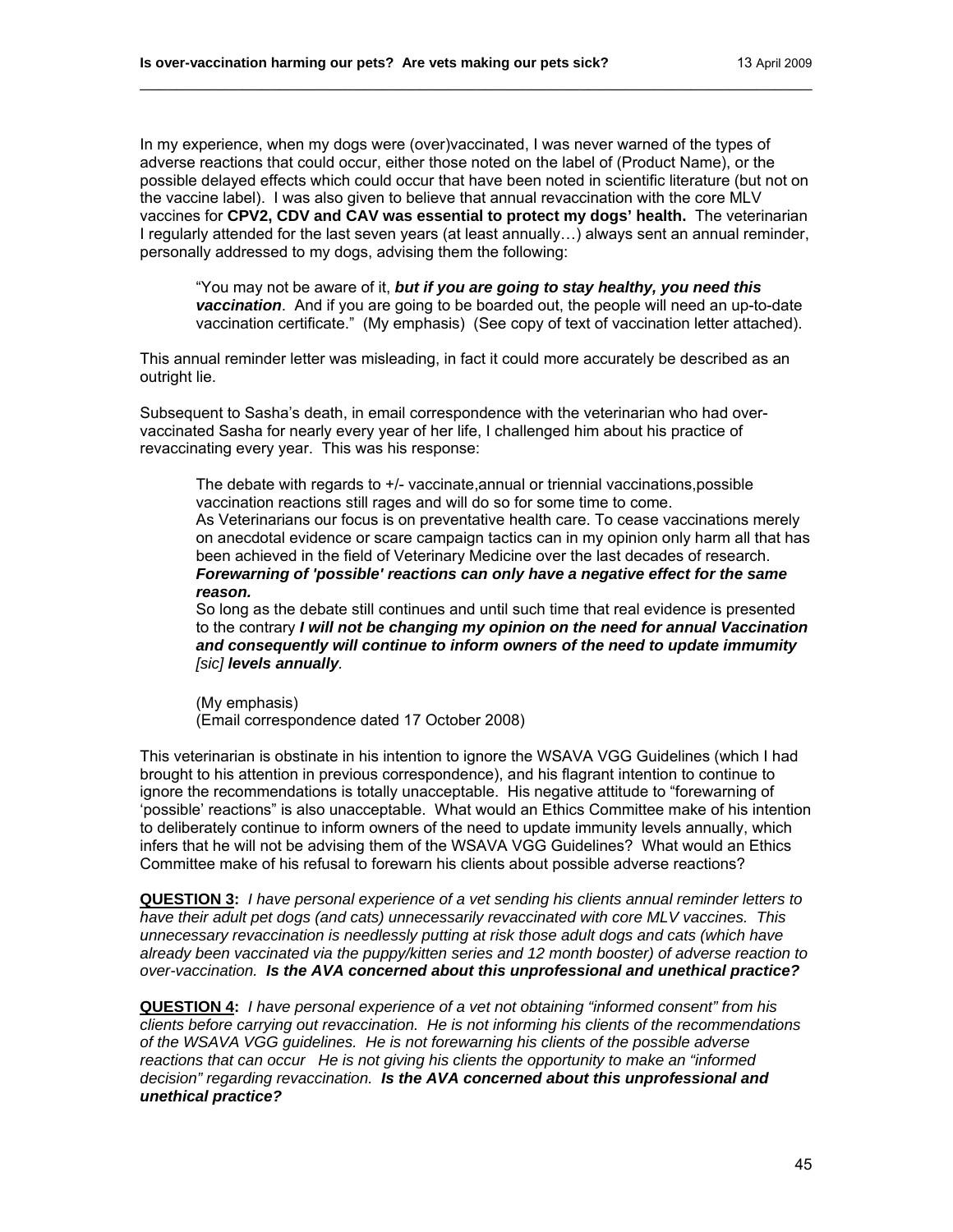In my experience, when my dogs were (over)vaccinated, I was never warned of the types of adverse reactions that could occur, either those noted on the label of (Product Name), or the possible delayed effects which could occur that have been noted in scientific literature (but not on the vaccine label). I was also given to believe that annual revaccination with the core MLV vaccines for **CPV2, CDV and CAV was essential to protect my dogs' health.** The veterinarian I regularly attended for the last seven years (at least annually…) always sent an annual reminder, personally addressed to my dogs, advising them the following:

\_\_\_\_\_\_\_\_\_\_\_\_\_\_\_\_\_\_\_\_\_\_\_\_\_\_\_\_\_\_\_\_\_\_\_\_\_\_\_\_\_\_\_\_\_\_\_\_\_\_\_\_\_\_\_\_\_\_\_\_\_\_\_\_\_\_\_\_\_\_\_\_

"You may not be aware of it, *but if you are going to stay healthy, you need this vaccination*. And if you are going to be boarded out, the people will need an up-to-date vaccination certificate." (My emphasis) (See copy of text of vaccination letter attached).

This annual reminder letter was misleading, in fact it could more accurately be described as an outright lie.

Subsequent to Sasha's death, in email correspondence with the veterinarian who had overvaccinated Sasha for nearly every year of her life, I challenged him about his practice of revaccinating every year. This was his response:

The debate with regards to +/- vaccinate,annual or triennial vaccinations,possible vaccination reactions still rages and will do so for some time to come. As Veterinarians our focus is on preventative health care. To cease vaccinations merely on anecdotal evidence or scare campaign tactics can in my opinion only harm all that has been achieved in the field of Veterinary Medicine over the last decades of research. *Forewarning of 'possible' reactions can only have a negative effect for the same reason.*

So long as the debate still continues and until such time that real evidence is presented to the contrary *I will not be changing my opinion on the need for annual Vaccination and consequently will continue to inform owners of the need to update immumity [sic] levels annually.* 

(My emphasis) (Email correspondence dated 17 October 2008)

This veterinarian is obstinate in his intention to ignore the WSAVA VGG Guidelines (which I had brought to his attention in previous correspondence), and his flagrant intention to continue to ignore the recommendations is totally unacceptable. His negative attitude to "forewarning of 'possible' reactions" is also unacceptable. What would an Ethics Committee make of his intention to deliberately continue to inform owners of the need to update immunity levels annually, which infers that he will not be advising them of the WSAVA VGG Guidelines? What would an Ethics Committee make of his refusal to forewarn his clients about possible adverse reactions?

**QUESTION 3:** *I have personal experience of a vet sending his clients annual reminder letters to have their adult pet dogs (and cats) unnecessarily revaccinated with core MLV vaccines. This unnecessary revaccination is needlessly putting at risk those adult dogs and cats (which have already been vaccinated via the puppy/kitten series and 12 month booster) of adverse reaction to over-vaccination. Is the AVA concerned about this unprofessional and unethical practice?* 

**QUESTION 4:** *I have personal experience of a vet not obtaining "informed consent" from his clients before carrying out revaccination. He is not informing his clients of the recommendations of the WSAVA VGG guidelines. He is not forewarning his clients of the possible adverse reactions that can occur He is not giving his clients the opportunity to make an "informed decision" regarding revaccination. Is the AVA concerned about this unprofessional and unethical practice?*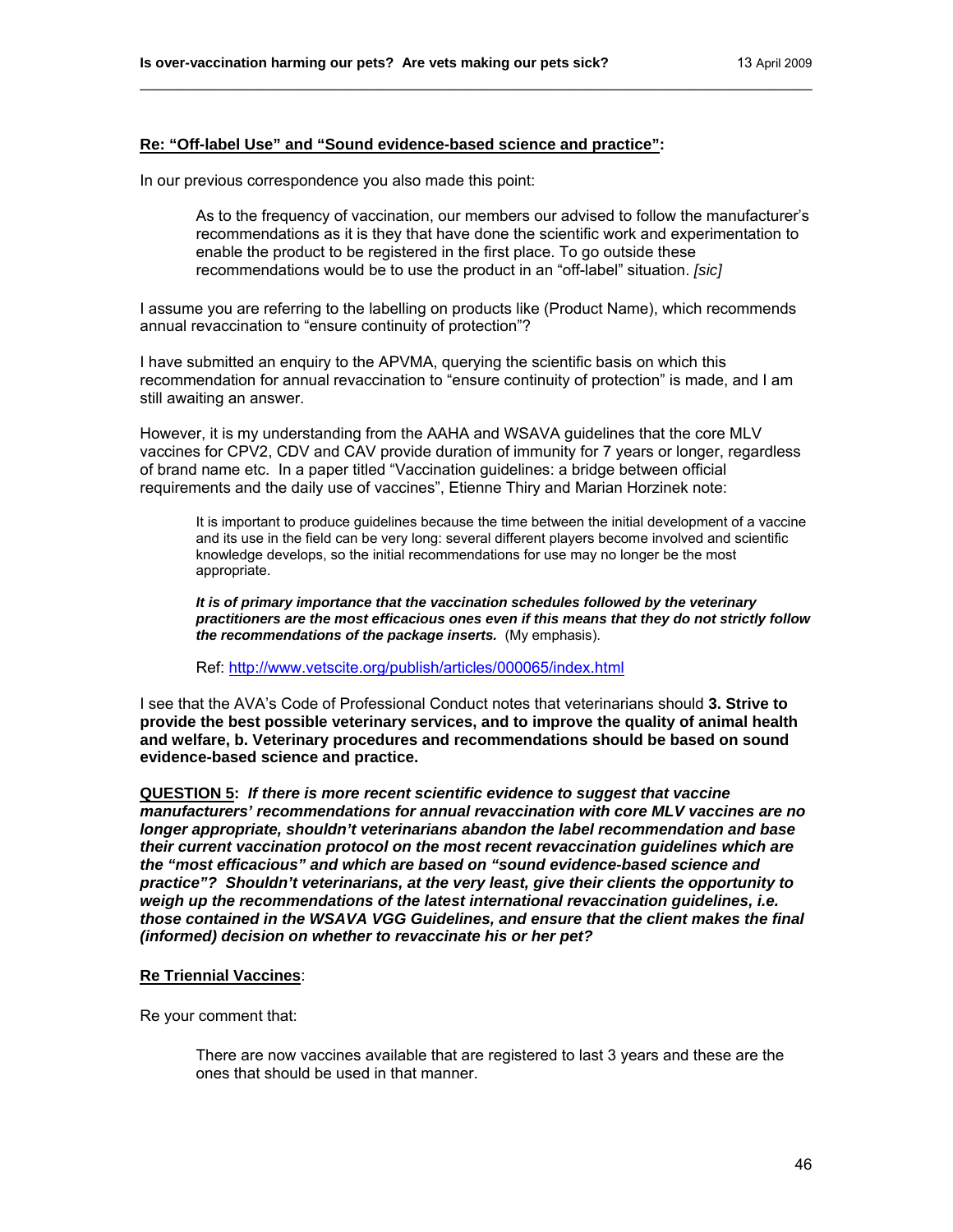## **Re: "Off-label Use" and "Sound evidence-based science and practice":**

In our previous correspondence you also made this point:

As to the frequency of vaccination, our members our advised to follow the manufacturer's recommendations as it is they that have done the scientific work and experimentation to enable the product to be registered in the first place. To go outside these recommendations would be to use the product in an "off-label" situation. *[sic]* 

I assume you are referring to the labelling on products like (Product Name), which recommends annual revaccination to "ensure continuity of protection"?

\_\_\_\_\_\_\_\_\_\_\_\_\_\_\_\_\_\_\_\_\_\_\_\_\_\_\_\_\_\_\_\_\_\_\_\_\_\_\_\_\_\_\_\_\_\_\_\_\_\_\_\_\_\_\_\_\_\_\_\_\_\_\_\_\_\_\_\_\_\_\_\_

I have submitted an enquiry to the APVMA, querying the scientific basis on which this recommendation for annual revaccination to "ensure continuity of protection" is made, and I am still awaiting an answer.

However, it is my understanding from the AAHA and WSAVA guidelines that the core MLV vaccines for CPV2, CDV and CAV provide duration of immunity for 7 years or longer, regardless of brand name etc. In a paper titled "Vaccination guidelines: a bridge between official requirements and the daily use of vaccines", Etienne Thiry and Marian Horzinek note:

It is important to produce guidelines because the time between the initial development of a vaccine and its use in the field can be very long: several different players become involved and scientific knowledge develops, so the initial recommendations for use may no longer be the most appropriate.

*It is of primary importance that the vaccination schedules followed by the veterinary practitioners are the most efficacious ones even if this means that they do not strictly follow the recommendations of the package inserts.* (My emphasis).

Ref:<http://www.vetscite.org/publish/articles/000065/index.html>

I see that the AVA's Code of Professional Conduct notes that veterinarians should **3. Strive to provide the best possible veterinary services, and to improve the quality of animal health and welfare, b. Veterinary procedures and recommendations should be based on sound evidence-based science and practice.** 

**QUESTION 5:** *If there is more recent scientific evidence to suggest that vaccine manufacturers' recommendations for annual revaccination with core MLV vaccines are no longer appropriate, shouldn't veterinarians abandon the label recommendation and base their current vaccination protocol on the most recent revaccination guidelines which are the "most efficacious" and which are based on "sound evidence-based science and practice"? Shouldn't veterinarians, at the very least, give their clients the opportunity to weigh up the recommendations of the latest international revaccination guidelines, i.e. those contained in the WSAVA VGG Guidelines, and ensure that the client makes the final (informed) decision on whether to revaccinate his or her pet?* 

#### **Re Triennial Vaccines**:

Re your comment that:

There are now vaccines available that are registered to last 3 years and these are the ones that should be used in that manner.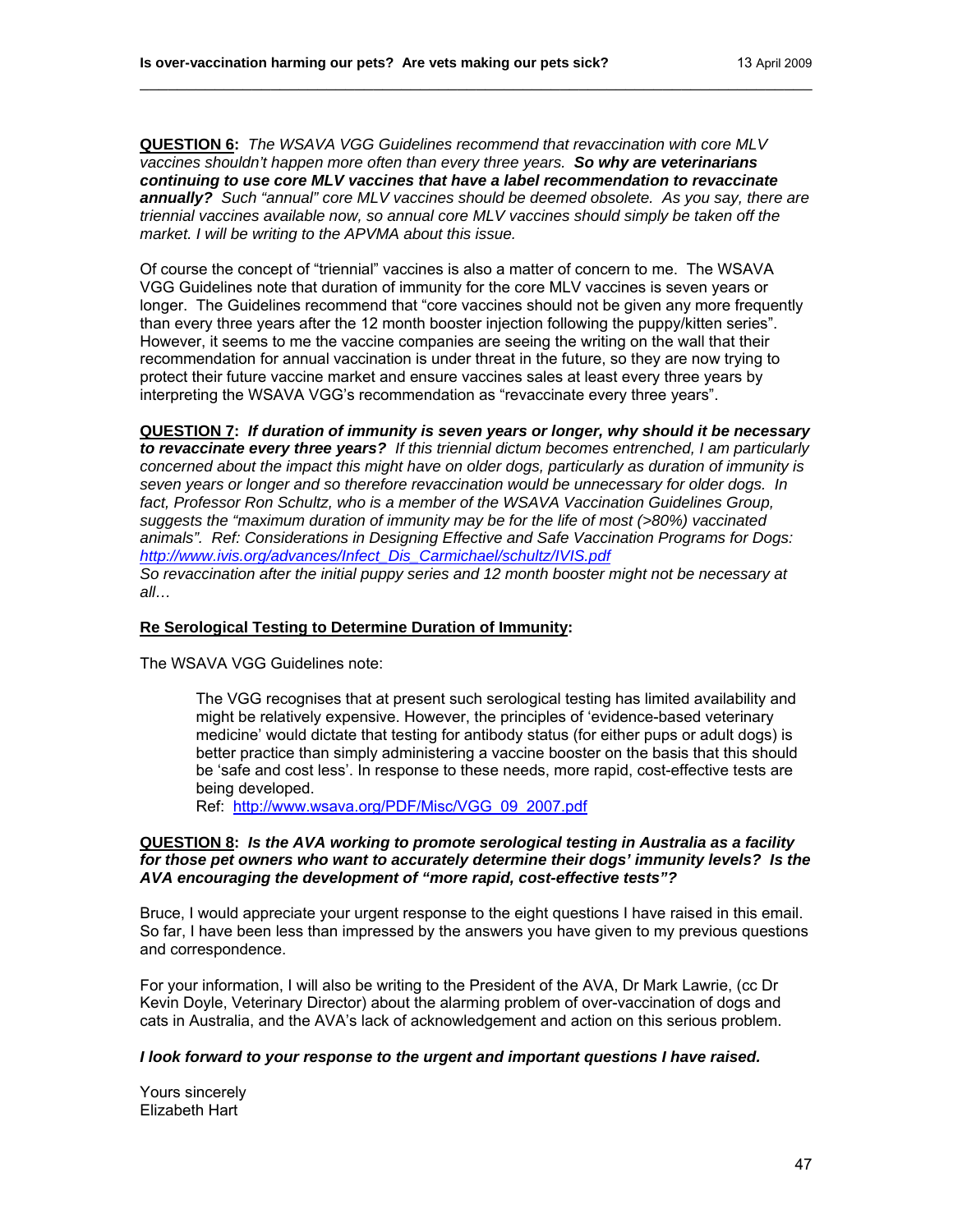**QUESTION 6:** *The WSAVA VGG Guidelines recommend that revaccination with core MLV vaccines shouldn't happen more often than every three years. So why are veterinarians continuing to use core MLV vaccines that have a label recommendation to revaccinate annually? Such "annual" core MLV vaccines should be deemed obsolete. As you say, there are triennial vaccines available now, so annual core MLV vaccines should simply be taken off the market. I will be writing to the APVMA about this issue.* 

\_\_\_\_\_\_\_\_\_\_\_\_\_\_\_\_\_\_\_\_\_\_\_\_\_\_\_\_\_\_\_\_\_\_\_\_\_\_\_\_\_\_\_\_\_\_\_\_\_\_\_\_\_\_\_\_\_\_\_\_\_\_\_\_\_\_\_\_\_\_\_\_

Of course the concept of "triennial" vaccines is also a matter of concern to me. The WSAVA VGG Guidelines note that duration of immunity for the core MLV vaccines is seven years or longer. The Guidelines recommend that "core vaccines should not be given any more frequently than every three years after the 12 month booster injection following the puppy/kitten series". However, it seems to me the vaccine companies are seeing the writing on the wall that their recommendation for annual vaccination is under threat in the future, so they are now trying to protect their future vaccine market and ensure vaccines sales at least every three years by interpreting the WSAVA VGG's recommendation as "revaccinate every three years".

**QUESTION 7:** *If duration of immunity is seven years or longer, why should it be necessary to revaccinate every three years? If this triennial dictum becomes entrenched, I am particularly concerned about the impact this might have on older dogs, particularly as duration of immunity is seven years or longer and so therefore revaccination would be unnecessary for older dogs. In*  fact, Professor Ron Schultz, who is a member of the WSAVA Vaccination Guidelines Group, *suggests the "maximum duration of immunity may be for the life of most (>80%) vaccinated animals". Ref: Considerations in Designing Effective and Safe Vaccination Programs for Dogs: [http://www.ivis.org/advances/Infect\\_Dis\\_Carmichael/schultz/IVIS.pdf](http://www.ivis.org/advances/Infect_Dis_Carmichael/schultz/IVIS.pdf) So revaccination after the initial puppy series and 12 month booster might not be necessary at all…* 

#### **Re Serological Testing to Determine Duration of Immunity:**

The WSAVA VGG Guidelines note:

The VGG recognises that at present such serological testing has limited availability and might be relatively expensive. However, the principles of 'evidence-based veterinary medicine' would dictate that testing for antibody status (for either pups or adult dogs) is better practice than simply administering a vaccine booster on the basis that this should be 'safe and cost less'. In response to these needs, more rapid, cost-effective tests are being developed.

Ref: [http://www.wsava.org/PDF/Misc/VGG\\_09\\_2007.pdf](http://www.wsava.org/PDF/Misc/VGG_09_2007.pdf)

#### **QUESTION 8:** *Is the AVA working to promote serological testing in Australia as a facility for those pet owners who want to accurately determine their dogs' immunity levels? Is the AVA encouraging the development of "more rapid, cost-effective tests"?*

Bruce, I would appreciate your urgent response to the eight questions I have raised in this email. So far, I have been less than impressed by the answers you have given to my previous questions and correspondence.

For your information, I will also be writing to the President of the AVA, Dr Mark Lawrie, (cc Dr Kevin Doyle, Veterinary Director) about the alarming problem of over-vaccination of dogs and cats in Australia, and the AVA's lack of acknowledgement and action on this serious problem.

#### *I look forward to your response to the urgent and important questions I have raised.*

Yours sincerely Elizabeth Hart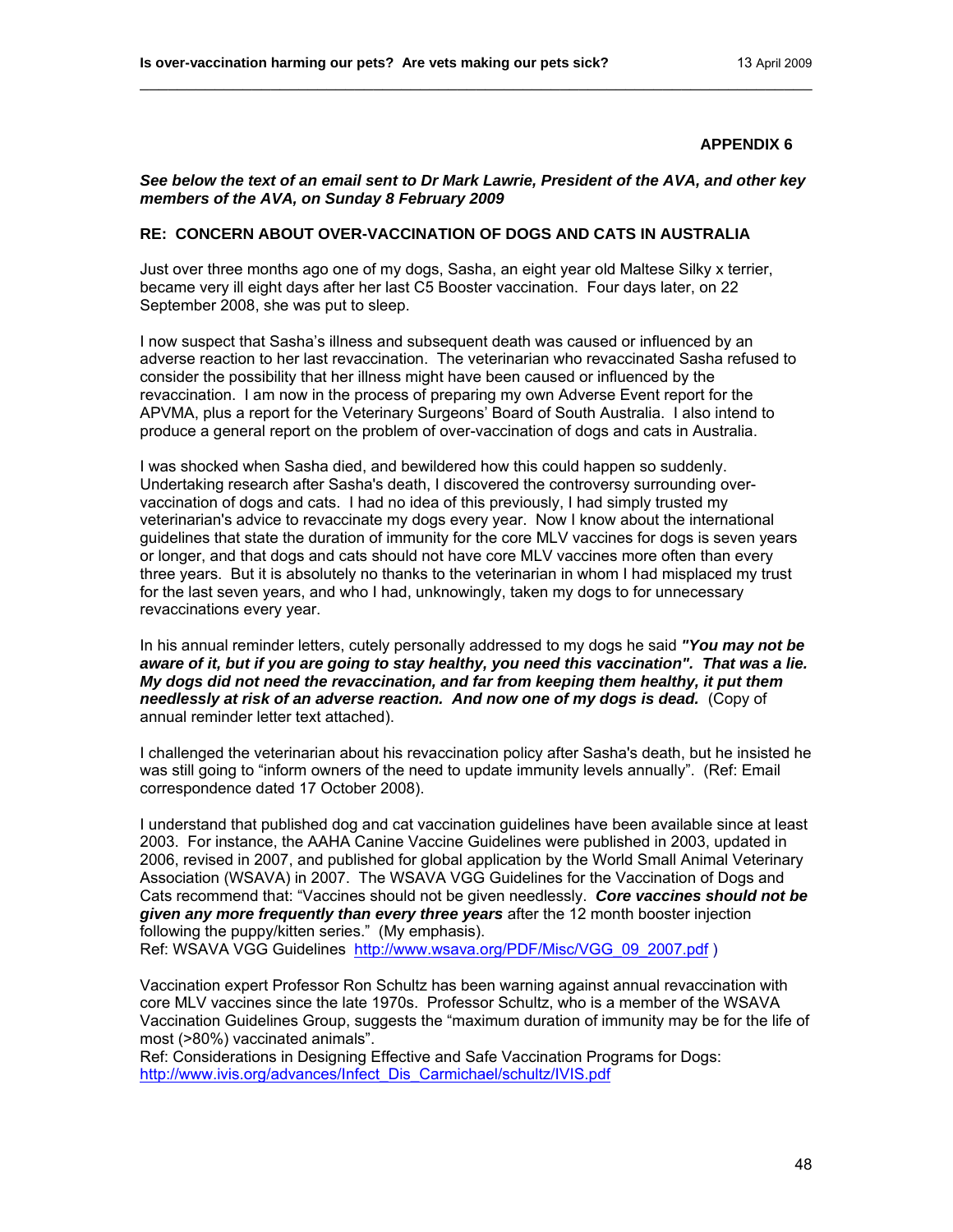#### *See below the text of an email sent to Dr Mark Lawrie, President of the AVA, and other key members of the AVA, on Sunday 8 February 2009*

\_\_\_\_\_\_\_\_\_\_\_\_\_\_\_\_\_\_\_\_\_\_\_\_\_\_\_\_\_\_\_\_\_\_\_\_\_\_\_\_\_\_\_\_\_\_\_\_\_\_\_\_\_\_\_\_\_\_\_\_\_\_\_\_\_\_\_\_\_\_\_\_

## **RE: CONCERN ABOUT OVER-VACCINATION OF DOGS AND CATS IN AUSTRALIA**

Just over three months ago one of my dogs, Sasha, an eight year old Maltese Silky x terrier, became very ill eight days after her last C5 Booster vaccination. Four days later, on 22 September 2008, she was put to sleep.

I now suspect that Sasha's illness and subsequent death was caused or influenced by an adverse reaction to her last revaccination. The veterinarian who revaccinated Sasha refused to consider the possibility that her illness might have been caused or influenced by the revaccination. I am now in the process of preparing my own Adverse Event report for the APVMA, plus a report for the Veterinary Surgeons' Board of South Australia. I also intend to produce a general report on the problem of over-vaccination of dogs and cats in Australia.

I was shocked when Sasha died, and bewildered how this could happen so suddenly. Undertaking research after Sasha's death, I discovered the controversy surrounding overvaccination of dogs and cats. I had no idea of this previously, I had simply trusted my veterinarian's advice to revaccinate my dogs every year. Now I know about the international guidelines that state the duration of immunity for the core MLV vaccines for dogs is seven years or longer, and that dogs and cats should not have core MLV vaccines more often than every three years. But it is absolutely no thanks to the veterinarian in whom I had misplaced my trust for the last seven years, and who I had, unknowingly, taken my dogs to for unnecessary revaccinations every year.

In his annual reminder letters, cutely personally addressed to my dogs he said *"You may not be aware of it, but if you are going to stay healthy, you need this vaccination". That was a lie. My dogs did not need the revaccination, and far from keeping them healthy, it put them needlessly at risk of an adverse reaction. And now one of my dogs is dead.* (Copy of annual reminder letter text attached).

I challenged the veterinarian about his revaccination policy after Sasha's death, but he insisted he was still going to "inform owners of the need to update immunity levels annually". (Ref: Email correspondence dated 17 October 2008).

I understand that published dog and cat vaccination guidelines have been available since at least 2003. For instance, the AAHA Canine Vaccine Guidelines were published in 2003, updated in 2006, revised in 2007, and published for global application by the World Small Animal Veterinary Association (WSAVA) in 2007. The WSAVA VGG Guidelines for the Vaccination of Dogs and Cats recommend that: "Vaccines should not be given needlessly. *Core vaccines should not be given any more frequently than every three years* after the 12 month booster injection following the puppy/kitten series." (My emphasis).

Ref: WSAVA VGG Guidelines [http://www.wsava.org/PDF/Misc/VGG\\_09\\_2007.pdf](http://www.wsava.org/PDF/Misc/VGG_09_2007.pdf) )

Vaccination expert Professor Ron Schultz has been warning against annual revaccination with core MLV vaccines since the late 1970s. Professor Schultz, who is a member of the WSAVA Vaccination Guidelines Group, suggests the "maximum duration of immunity may be for the life of most (>80%) vaccinated animals".

Ref: Considerations in Designing Effective and Safe Vaccination Programs for Dogs: [http://www.ivis.org/advances/Infect\\_Dis\\_Carmichael/schultz/IVIS.pdf](http://www.ivis.org/advances/Infect_Dis_Carmichael/schultz/IVIS.pdf)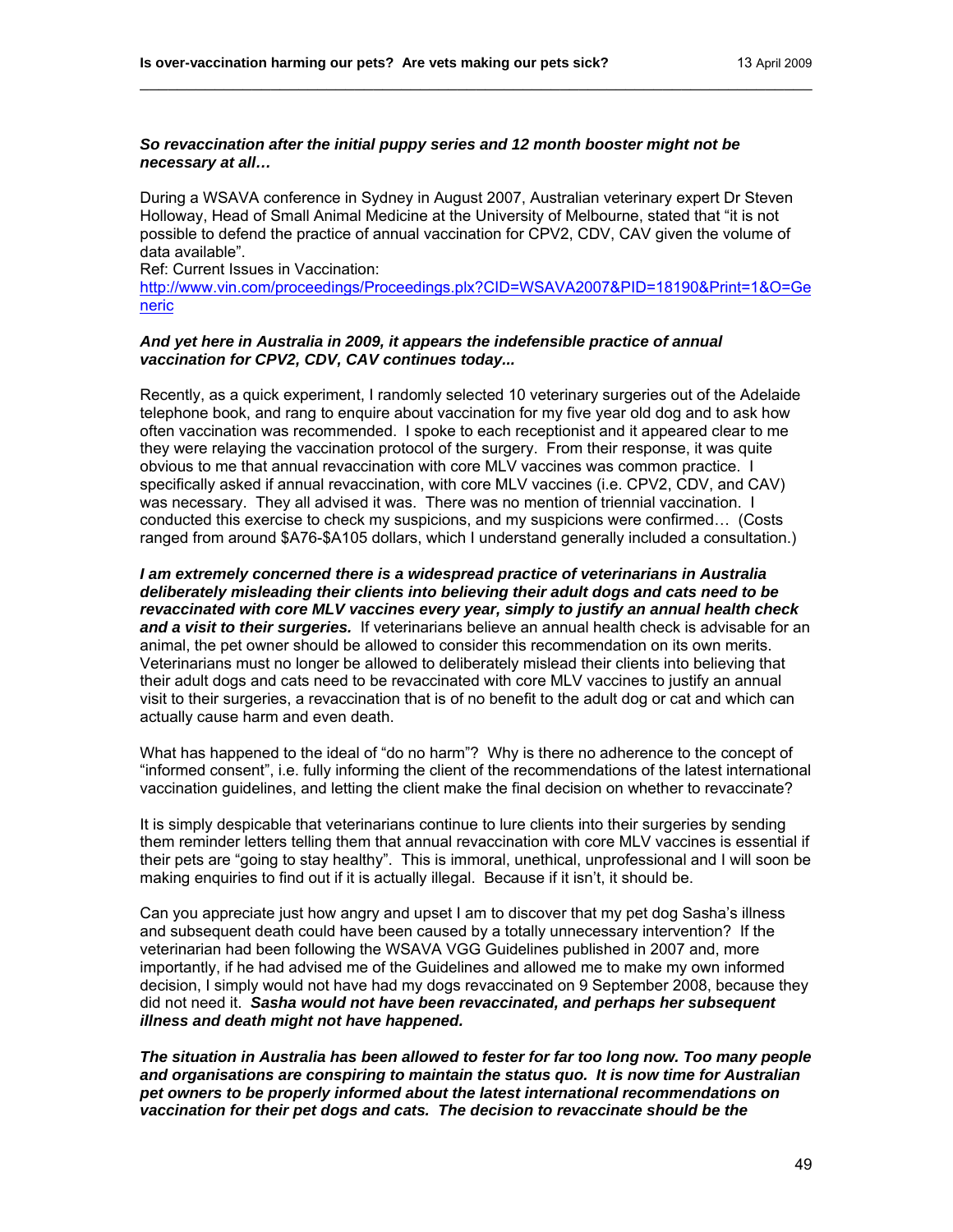## *So revaccination after the initial puppy series and 12 month booster might not be necessary at all…*

During a WSAVA conference in Sydney in August 2007, Australian veterinary expert Dr Steven Holloway, Head of Small Animal Medicine at the University of Melbourne, stated that "it is not possible to defend the practice of annual vaccination for CPV2, CDV, CAV given the volume of data available".

\_\_\_\_\_\_\_\_\_\_\_\_\_\_\_\_\_\_\_\_\_\_\_\_\_\_\_\_\_\_\_\_\_\_\_\_\_\_\_\_\_\_\_\_\_\_\_\_\_\_\_\_\_\_\_\_\_\_\_\_\_\_\_\_\_\_\_\_\_\_\_\_

Ref: Current Issues in Vaccination: [http://www.vin.com/proceedings/Proceedings.plx?CID=WSAVA2007&PID=18190&Print=1&O=Ge](http://www.vin.com/proceedings/Proceedings.plx?CID=WSAVA2007&PID=18190&Print=1&O=Generic) [neric](http://www.vin.com/proceedings/Proceedings.plx?CID=WSAVA2007&PID=18190&Print=1&O=Generic) 

#### *And yet here in Australia in 2009, it appears the indefensible practice of annual vaccination for CPV2, CDV, CAV continues today...*

Recently, as a quick experiment, I randomly selected 10 veterinary surgeries out of the Adelaide telephone book, and rang to enquire about vaccination for my five year old dog and to ask how often vaccination was recommended.I spoke to each receptionist and it appeared clear to me they were relaying the vaccination protocol of the surgery. From their response, it was quite obvious to me that annual revaccination with core MLV vaccines was common practice. I specifically asked if annual revaccination, with core MLV vaccines (i.e. CPV2, CDV, and CAV) was necessary. They all advised it was. There was no mention of triennial vaccination. I conducted this exercise to check my suspicions, and my suspicions were confirmed… (Costs ranged from around \$A76-\$A105 dollars, which I understand generally included a consultation.)

*I am extremely concerned there is a widespread practice of veterinarians in Australia deliberately misleading their clients into believing their adult dogs and cats need to be revaccinated with core MLV vaccines every year, simply to justify an annual health check and a visit to their surgeries.* If veterinarians believe an annual health check is advisable for an animal, the pet owner should be allowed to consider this recommendation on its own merits. Veterinarians must no longer be allowed to deliberately mislead their clients into believing that their adult dogs and cats need to be revaccinated with core MLV vaccines to justify an annual visit to their surgeries, a revaccination that is of no benefit to the adult dog or cat and which can actually cause harm and even death.

What has happened to the ideal of "do no harm"? Why is there no adherence to the concept of "informed consent", i.e. fully informing the client of the recommendations of the latest international vaccination guidelines, and letting the client make the final decision on whether to revaccinate?

It is simply despicable that veterinarians continue to lure clients into their surgeries by sending them reminder letters telling them that annual revaccination with core MLV vaccines is essential if their pets are "going to stay healthy". This is immoral, unethical, unprofessional and I will soon be making enquiries to find out if it is actually illegal. Because if it isn't, it should be.

Can you appreciate just how angry and upset I am to discover that my pet dog Sasha's illness and subsequent death could have been caused by a totally unnecessary intervention? If the veterinarian had been following the WSAVA VGG Guidelines published in 2007 and, more importantly, if he had advised me of the Guidelines and allowed me to make my own informed decision, I simply would not have had my dogs revaccinated on 9 September 2008, because they did not need it. *Sasha would not have been revaccinated, and perhaps her subsequent illness and death might not have happened.* 

*The situation in Australia has been allowed to fester for far too long now. Too many people and organisations are conspiring to maintain the status quo. It is now time for Australian pet owners to be properly informed about the latest international recommendations on vaccination for their pet dogs and cats. The decision to revaccinate should be the*